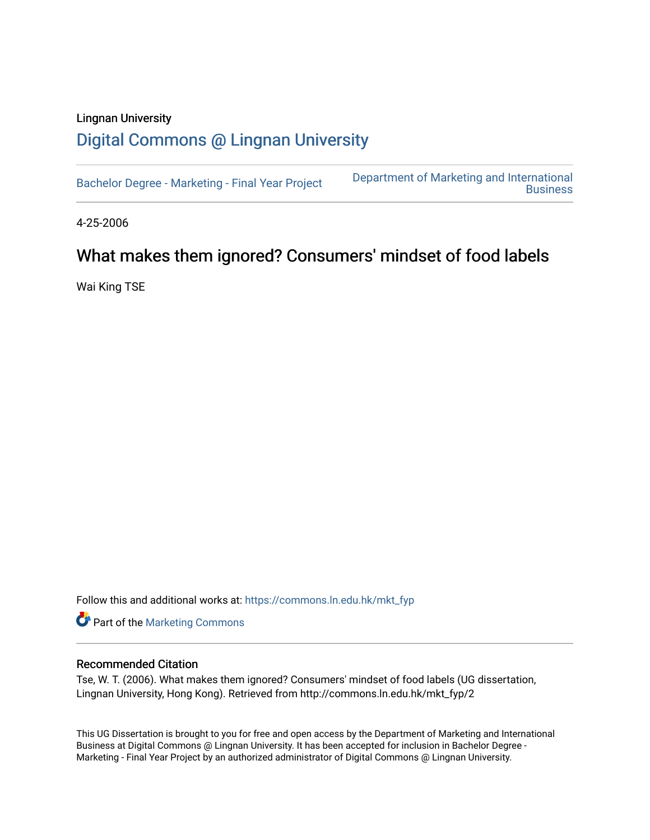### Lingnan University [Digital Commons @ Lingnan University](https://commons.ln.edu.hk/)

[Bachelor Degree - Marketing - Final Year Project](https://commons.ln.edu.hk/mkt_fyp) [Department of Marketing and International](https://commons.ln.edu.hk/mkt)  **Business** 

4-25-2006

### What makes them ignored? Consumers' mindset of food labels

Wai King TSE

Follow this and additional works at: [https://commons.ln.edu.hk/mkt\\_fyp](https://commons.ln.edu.hk/mkt_fyp?utm_source=commons.ln.edu.hk%2Fmkt_fyp%2F2&utm_medium=PDF&utm_campaign=PDFCoverPages) 

Part of the [Marketing Commons](http://network.bepress.com/hgg/discipline/638?utm_source=commons.ln.edu.hk%2Fmkt_fyp%2F2&utm_medium=PDF&utm_campaign=PDFCoverPages)

#### Recommended Citation

Tse, W. T. (2006). What makes them ignored? Consumers' mindset of food labels (UG dissertation, Lingnan University, Hong Kong). Retrieved from http://commons.ln.edu.hk/mkt\_fyp/2

This UG Dissertation is brought to you for free and open access by the Department of Marketing and International Business at Digital Commons @ Lingnan University. It has been accepted for inclusion in Bachelor Degree - Marketing - Final Year Project by an authorized administrator of Digital Commons @ Lingnan University.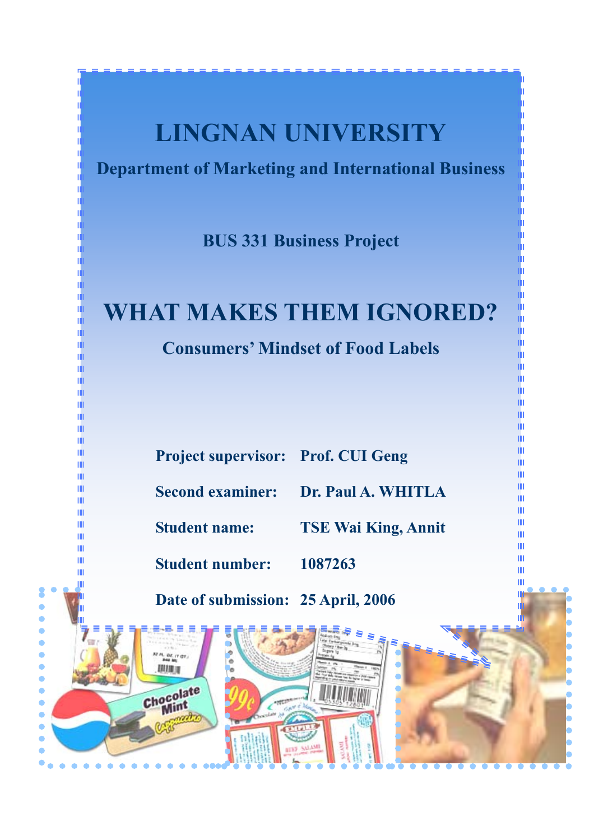## **LINGNAN UNIVERSITY**

**Department of Marketing and International Business** 

**BUS 331 Business Project** 

# **WHAT MAKES THEM IGNORED?**

**Consumers' Mindset of Food Labels** 

| <b>Project supervisor: Prof. CUI Geng</b> |                                     |
|-------------------------------------------|-------------------------------------|
|                                           | Second examiner: Dr. Paul A. WHITLA |

**Student name: TSE Wai King, Annit** 

뒝

ш Ш

Ш

m

ш

Ш

Ш

ш

Ш

Ш

Ш

m

Ш

ш

ш

m

Ш

Ш

m

Ш

Ш

**Student number: 1087263** 

**22 PL. OZ. (1 OT.)** 

Chocolate

Mint

期期间

Ш ŵ

шĪ

ш

Ш

ш

Ш

Ш

Ш

ш

Ш

Ш

Ш

m

Ш

Ш

Ш

Ш

Ш

Ш

ш

Ċ  $\bullet$  $\bullet$  $\bullet$  $\bullet$ 

 $\bullet$ 

 $\bullet$ 

 $\bullet$  $\bullet$ 

Ċ Ċ **Date of submission: 25 April, 2006**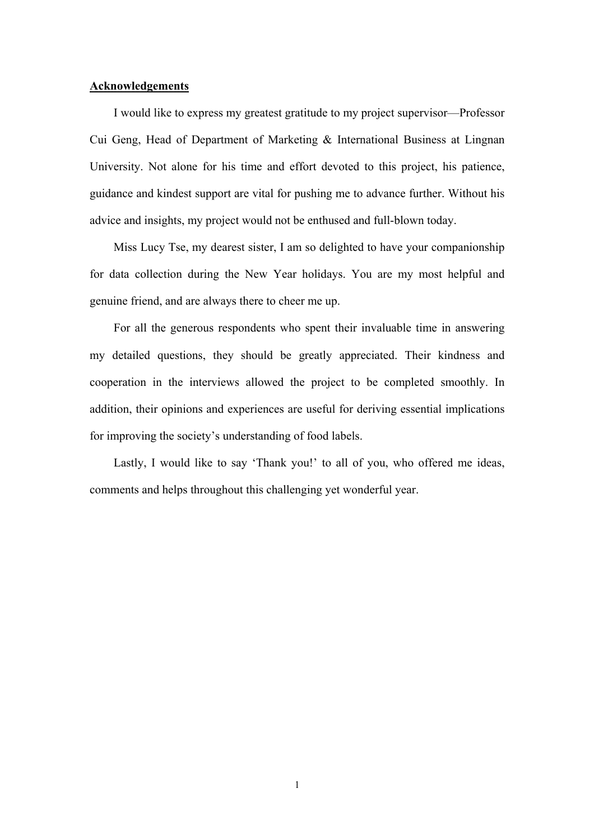#### **Acknowledgements**

 I would like to express my greatest gratitude to my project supervisor—Professor Cui Geng, Head of Department of Marketing & International Business at Lingnan University. Not alone for his time and effort devoted to this project, his patience, guidance and kindest support are vital for pushing me to advance further. Without his advice and insights, my project would not be enthused and full-blown today.

 Miss Lucy Tse, my dearest sister, I am so delighted to have your companionship for data collection during the New Year holidays. You are my most helpful and genuine friend, and are always there to cheer me up.

 For all the generous respondents who spent their invaluable time in answering my detailed questions, they should be greatly appreciated. Their kindness and cooperation in the interviews allowed the project to be completed smoothly. In addition, their opinions and experiences are useful for deriving essential implications for improving the society's understanding of food labels.

Lastly, I would like to say 'Thank you!' to all of you, who offered me ideas, comments and helps throughout this challenging yet wonderful year.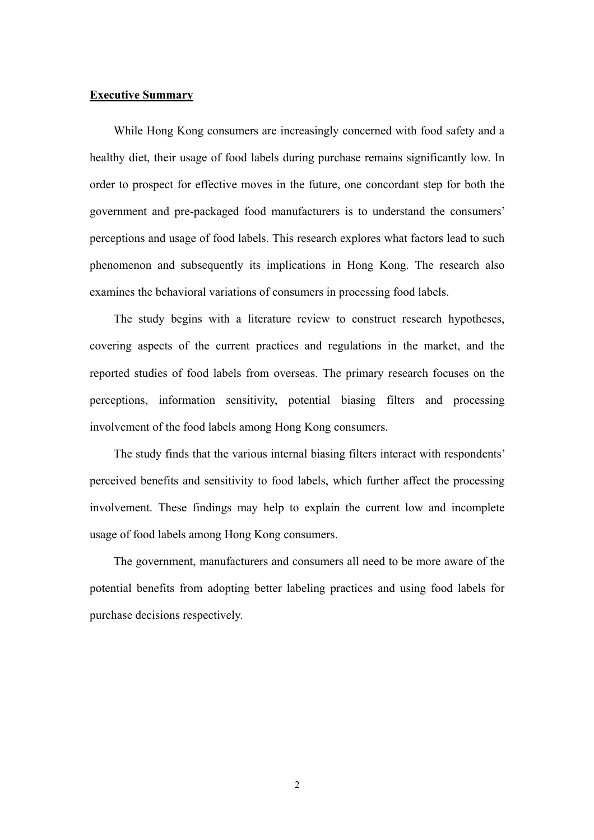#### **Executive Summary**

 While Hong Kong consumers are increasingly concerned with food safety and a healthy diet, their usage of food labels during purchase remains significantly low. In order to prospect for effective moves in the future, one concordant step for both the government and pre-packaged food manufacturers is to understand the consumers' perceptions and usage of food labels. This research explores what factors lead to such phenomenon and subsequently its implications in Hong Kong. The research also examines the behavioral variations of consumers in processing food labels.

 The study begins with a literature review to construct research hypotheses, covering aspects of the current practices and regulations in the market, and the reported studies of food labels from overseas. The primary research focuses on the perceptions, information sensitivity, potential biasing filters and processing involvement of the food labels among Hong Kong consumers.

 The study finds that the various internal biasing filters interact with respondents' perceived benefits and sensitivity to food labels, which further affect the processing involvement. These findings may help to explain the current low and incomplete usage of food labels among Hong Kong consumers.

 The government, manufacturers and consumers all need to be more aware of the potential benefits from adopting better labeling practices and using food labels for purchase decisions respectively.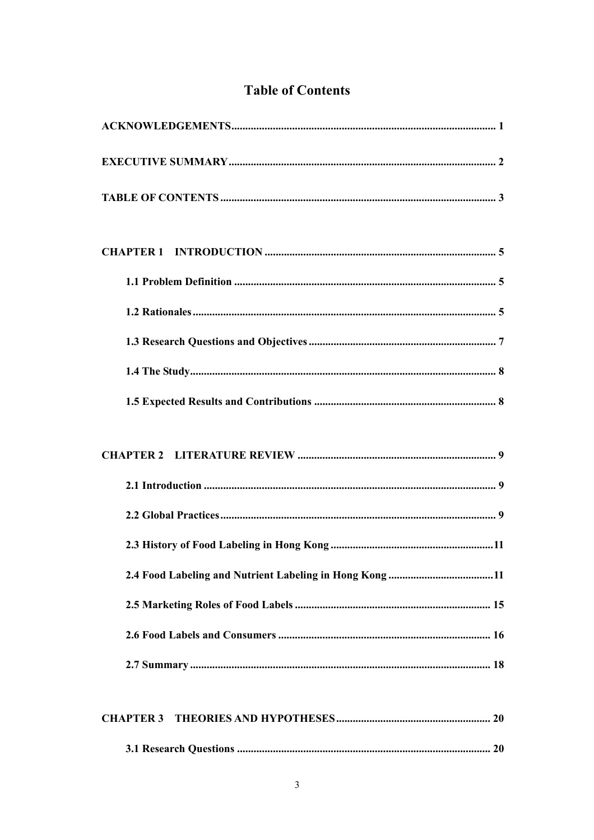|  | <b>Table of Contents</b> |
|--|--------------------------|
|--|--------------------------|

| 2.4 Food Labeling and Nutrient Labeling in Hong Kong 11 |
|---------------------------------------------------------|
|                                                         |
|                                                         |
|                                                         |
|                                                         |
| <b>CHAPTER 3</b>                                        |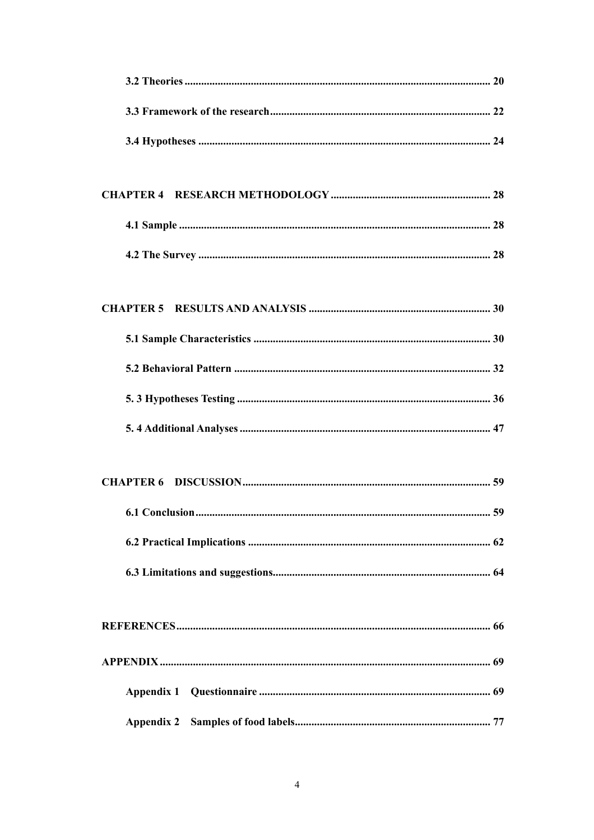| 59<br><b>6.1 Conclusion.</b> |
|------------------------------|
|                              |
|                              |
|                              |
|                              |
|                              |
|                              |
| <b>Appendix 2</b>            |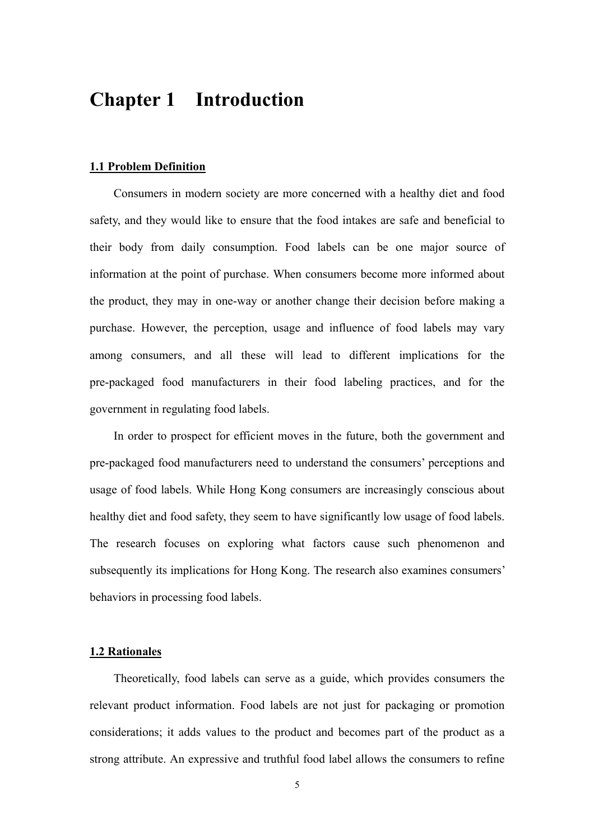### **Chapter 1 Introduction**

#### **1.1 Problem Definition**

 Consumers in modern society are more concerned with a healthy diet and food safety, and they would like to ensure that the food intakes are safe and beneficial to their body from daily consumption. Food labels can be one major source of information at the point of purchase. When consumers become more informed about the product, they may in one-way or another change their decision before making a purchase. However, the perception, usage and influence of food labels may vary among consumers, and all these will lead to different implications for the pre-packaged food manufacturers in their food labeling practices, and for the government in regulating food labels.

 In order to prospect for efficient moves in the future, both the government and pre-packaged food manufacturers need to understand the consumers' perceptions and usage of food labels. While Hong Kong consumers are increasingly conscious about healthy diet and food safety, they seem to have significantly low usage of food labels. The research focuses on exploring what factors cause such phenomenon and subsequently its implications for Hong Kong. The research also examines consumers' behaviors in processing food labels.

#### **1.2 Rationales**

 Theoretically, food labels can serve as a guide, which provides consumers the relevant product information. Food labels are not just for packaging or promotion considerations; it adds values to the product and becomes part of the product as a strong attribute. An expressive and truthful food label allows the consumers to refine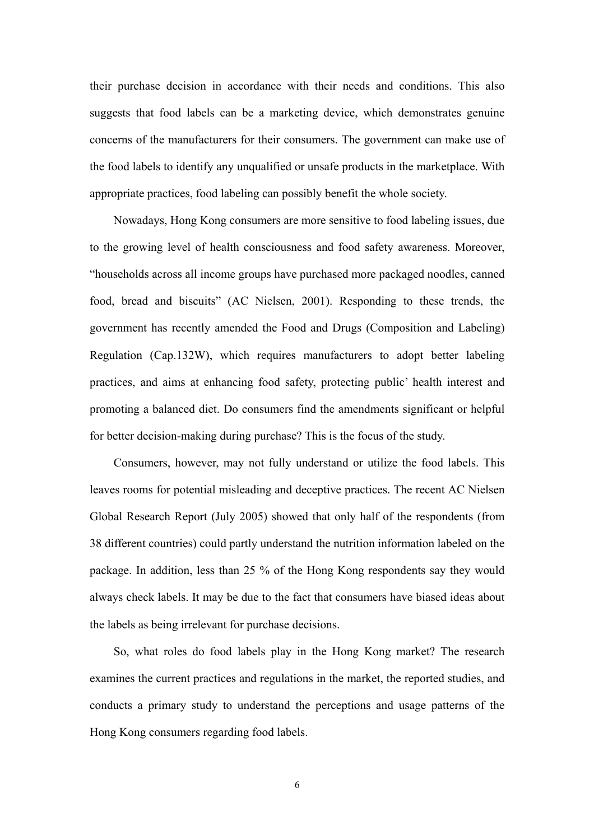their purchase decision in accordance with their needs and conditions. This also suggests that food labels can be a marketing device, which demonstrates genuine concerns of the manufacturers for their consumers. The government can make use of the food labels to identify any unqualified or unsafe products in the marketplace. With appropriate practices, food labeling can possibly benefit the whole society.

 Nowadays, Hong Kong consumers are more sensitive to food labeling issues, due to the growing level of health consciousness and food safety awareness. Moreover, "households across all income groups have purchased more packaged noodles, canned food, bread and biscuits" (AC Nielsen, 2001). Responding to these trends, the government has recently amended the Food and Drugs (Composition and Labeling) Regulation (Cap.132W), which requires manufacturers to adopt better labeling practices, and aims at enhancing food safety, protecting public' health interest and promoting a balanced diet. Do consumers find the amendments significant or helpful for better decision-making during purchase? This is the focus of the study.

 Consumers, however, may not fully understand or utilize the food labels. This leaves rooms for potential misleading and deceptive practices. The recent AC Nielsen Global Research Report (July 2005) showed that only half of the respondents (from 38 different countries) could partly understand the nutrition information labeled on the package. In addition, less than 25 % of the Hong Kong respondents say they would always check labels. It may be due to the fact that consumers have biased ideas about the labels as being irrelevant for purchase decisions.

 So, what roles do food labels play in the Hong Kong market? The research examines the current practices and regulations in the market, the reported studies, and conducts a primary study to understand the perceptions and usage patterns of the Hong Kong consumers regarding food labels.

6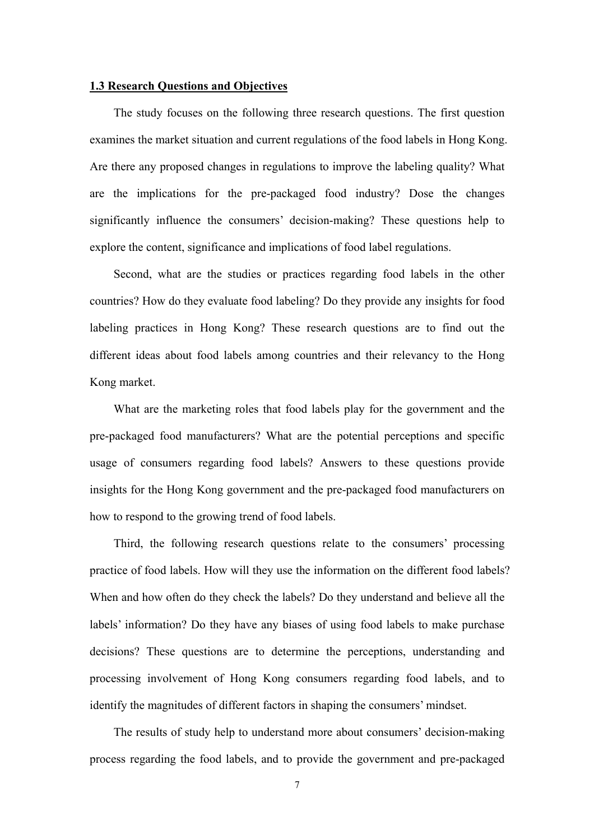#### **1.3 Research Questions and Objectives**

 The study focuses on the following three research questions. The first question examines the market situation and current regulations of the food labels in Hong Kong. Are there any proposed changes in regulations to improve the labeling quality? What are the implications for the pre-packaged food industry? Dose the changes significantly influence the consumers' decision-making? These questions help to explore the content, significance and implications of food label regulations.

 Second, what are the studies or practices regarding food labels in the other countries? How do they evaluate food labeling? Do they provide any insights for food labeling practices in Hong Kong? These research questions are to find out the different ideas about food labels among countries and their relevancy to the Hong Kong market.

 What are the marketing roles that food labels play for the government and the pre-packaged food manufacturers? What are the potential perceptions and specific usage of consumers regarding food labels? Answers to these questions provide insights for the Hong Kong government and the pre-packaged food manufacturers on how to respond to the growing trend of food labels.

 Third, the following research questions relate to the consumers' processing practice of food labels. How will they use the information on the different food labels? When and how often do they check the labels? Do they understand and believe all the labels' information? Do they have any biases of using food labels to make purchase decisions? These questions are to determine the perceptions, understanding and processing involvement of Hong Kong consumers regarding food labels, and to identify the magnitudes of different factors in shaping the consumers' mindset.

 The results of study help to understand more about consumers' decision-making process regarding the food labels, and to provide the government and pre-packaged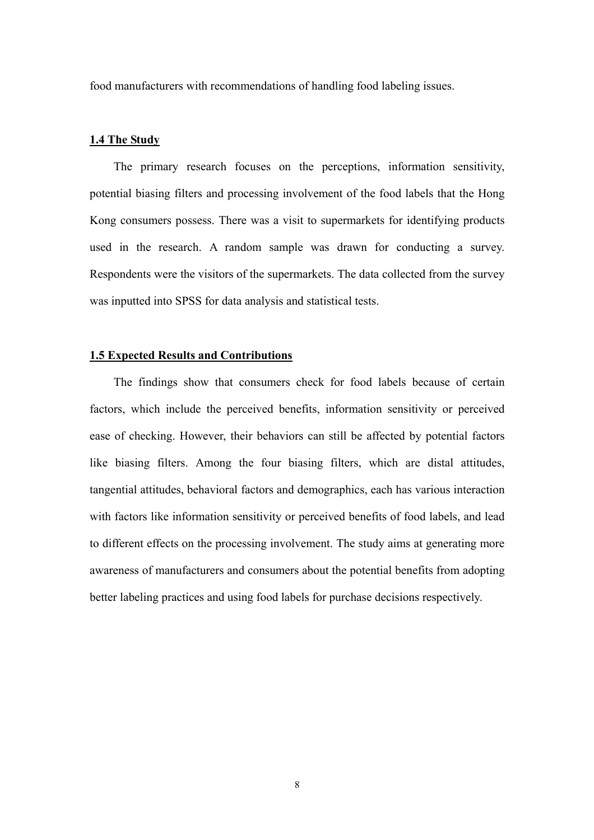food manufacturers with recommendations of handling food labeling issues.

#### **1.4 The Study**

 The primary research focuses on the perceptions, information sensitivity, potential biasing filters and processing involvement of the food labels that the Hong Kong consumers possess. There was a visit to supermarkets for identifying products used in the research. A random sample was drawn for conducting a survey. Respondents were the visitors of the supermarkets. The data collected from the survey was inputted into SPSS for data analysis and statistical tests.

#### **1.5 Expected Results and Contributions**

 The findings show that consumers check for food labels because of certain factors, which include the perceived benefits, information sensitivity or perceived ease of checking. However, their behaviors can still be affected by potential factors like biasing filters. Among the four biasing filters, which are distal attitudes, tangential attitudes, behavioral factors and demographics, each has various interaction with factors like information sensitivity or perceived benefits of food labels, and lead to different effects on the processing involvement. The study aims at generating more awareness of manufacturers and consumers about the potential benefits from adopting better labeling practices and using food labels for purchase decisions respectively.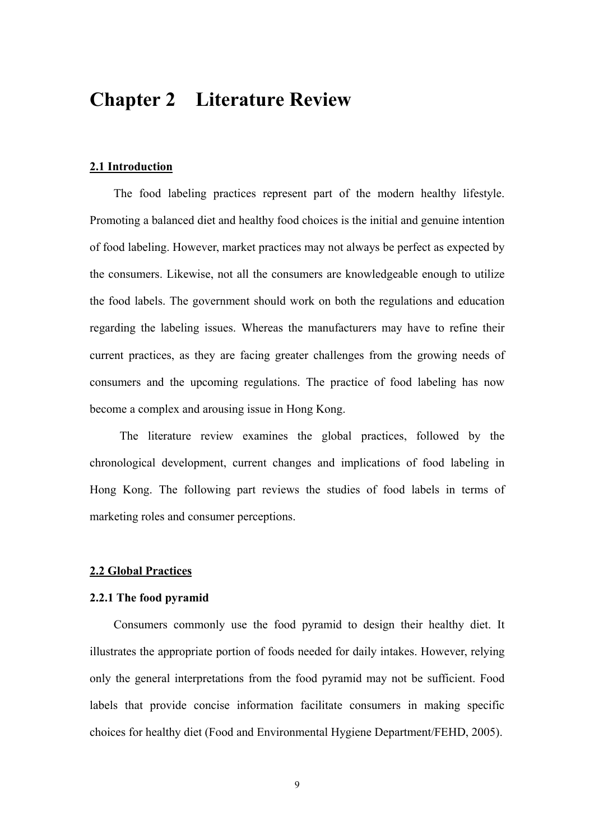### **Chapter 2 Literature Review**

#### **2.1 Introduction**

The food labeling practices represent part of the modern healthy lifestyle. Promoting a balanced diet and healthy food choices is the initial and genuine intention of food labeling. However, market practices may not always be perfect as expected by the consumers. Likewise, not all the consumers are knowledgeable enough to utilize the food labels. The government should work on both the regulations and education regarding the labeling issues. Whereas the manufacturers may have to refine their current practices, as they are facing greater challenges from the growing needs of consumers and the upcoming regulations. The practice of food labeling has now become a complex and arousing issue in Hong Kong.

 The literature review examines the global practices, followed by the chronological development, current changes and implications of food labeling in Hong Kong. The following part reviews the studies of food labels in terms of marketing roles and consumer perceptions.

#### **2.2 Global Practices**

#### **2.2.1 The food pyramid**

Consumers commonly use the food pyramid to design their healthy diet. It illustrates the appropriate portion of foods needed for daily intakes. However, relying only the general interpretations from the food pyramid may not be sufficient. Food labels that provide concise information facilitate consumers in making specific choices for healthy diet (Food and Environmental Hygiene Department/FEHD, 2005).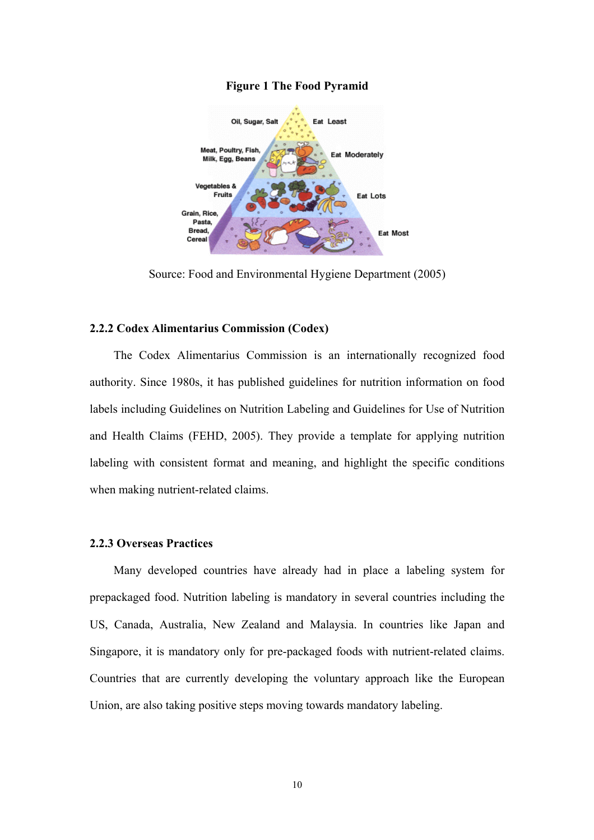

#### **Figure 1 The Food Pyramid**

Source: Food and Environmental Hygiene Department (2005)

#### **2.2.2 Codex Alimentarius Commission (Codex)**

The Codex Alimentarius Commission is an internationally recognized food authority. Since 1980s, it has published guidelines for nutrition information on food labels including Guidelines on Nutrition Labeling and Guidelines for Use of Nutrition and Health Claims (FEHD, 2005). They provide a template for applying nutrition labeling with consistent format and meaning, and highlight the specific conditions when making nutrient-related claims.

#### **2.2.3 Overseas Practices**

Many developed countries have already had in place a labeling system for prepackaged food. Nutrition labeling is mandatory in several countries including the US, Canada, Australia, New Zealand and Malaysia. In countries like Japan and Singapore, it is mandatory only for pre-packaged foods with nutrient-related claims. Countries that are currently developing the voluntary approach like the European Union, are also taking positive steps moving towards mandatory labeling.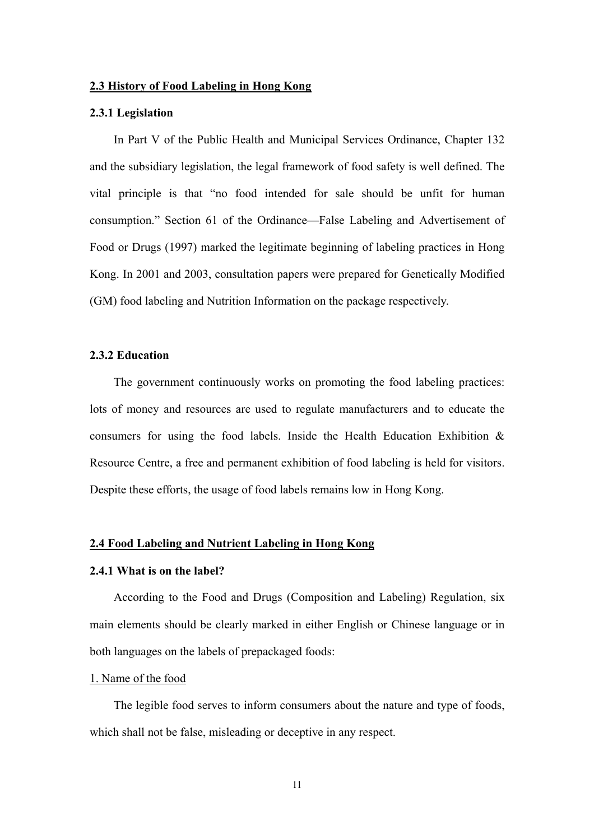#### **2.3 History of Food Labeling in Hong Kong**

#### **2.3.1 Legislation**

In Part V of the Public Health and Municipal Services Ordinance, Chapter 132 and the subsidiary legislation, the legal framework of food safety is well defined. The vital principle is that "no food intended for sale should be unfit for human consumption." Section 61 of the Ordinance—False Labeling and Advertisement of Food or Drugs (1997) marked the legitimate beginning of labeling practices in Hong Kong. In 2001 and 2003, consultation papers were prepared for Genetically Modified (GM) food labeling and Nutrition Information on the package respectively.

#### **2.3.2 Education**

The government continuously works on promoting the food labeling practices: lots of money and resources are used to regulate manufacturers and to educate the consumers for using the food labels. Inside the Health Education Exhibition & Resource Centre, a free and permanent exhibition of food labeling is held for visitors. Despite these efforts, the usage of food labels remains low in Hong Kong.

#### **2.4 Food Labeling and Nutrient Labeling in Hong Kong**

#### **2.4.1 What is on the label?**

According to the Food and Drugs (Composition and Labeling) Regulation, six main elements should be clearly marked in either English or Chinese language or in both languages on the labels of prepackaged foods:

#### 1. Name of the food

The legible food serves to inform consumers about the nature and type of foods, which shall not be false, misleading or deceptive in any respect.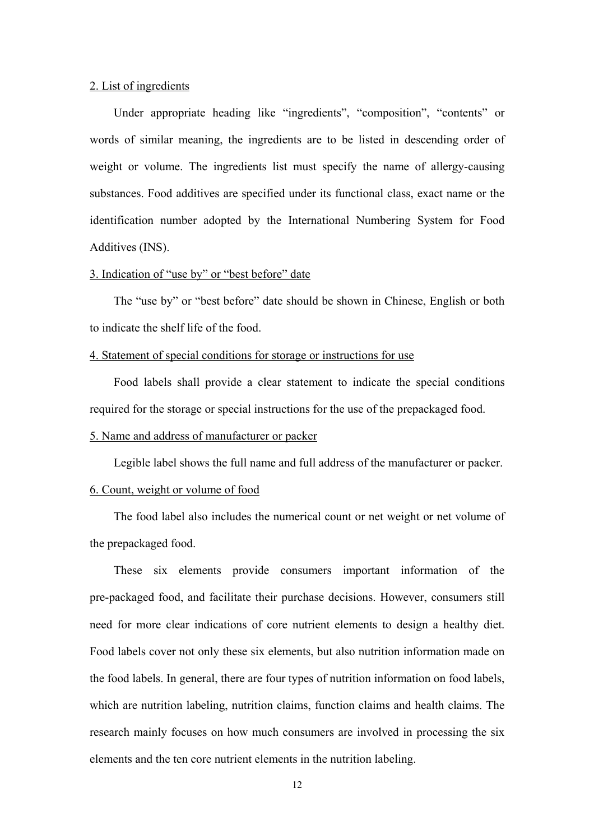#### 2. List of ingredients

Under appropriate heading like "ingredients", "composition", "contents" or words of similar meaning, the ingredients are to be listed in descending order of weight or volume. The ingredients list must specify the name of allergy-causing substances. Food additives are specified under its functional class, exact name or the identification number adopted by the International Numbering System for Food Additives (INS).

#### 3. Indication of "use by" or "best before" date

The "use by" or "best before" date should be shown in Chinese, English or both to indicate the shelf life of the food.

#### 4. Statement of special conditions for storage or instructions for use

Food labels shall provide a clear statement to indicate the special conditions required for the storage or special instructions for the use of the prepackaged food.

#### 5. Name and address of manufacturer or packer

Legible label shows the full name and full address of the manufacturer or packer.

#### 6. Count, weight or volume of food

The food label also includes the numerical count or net weight or net volume of the prepackaged food.

These six elements provide consumers important information of the pre-packaged food, and facilitate their purchase decisions. However, consumers still need for more clear indications of core nutrient elements to design a healthy diet. Food labels cover not only these six elements, but also nutrition information made on the food labels. In general, there are four types of nutrition information on food labels, which are nutrition labeling, nutrition claims, function claims and health claims. The research mainly focuses on how much consumers are involved in processing the six elements and the ten core nutrient elements in the nutrition labeling.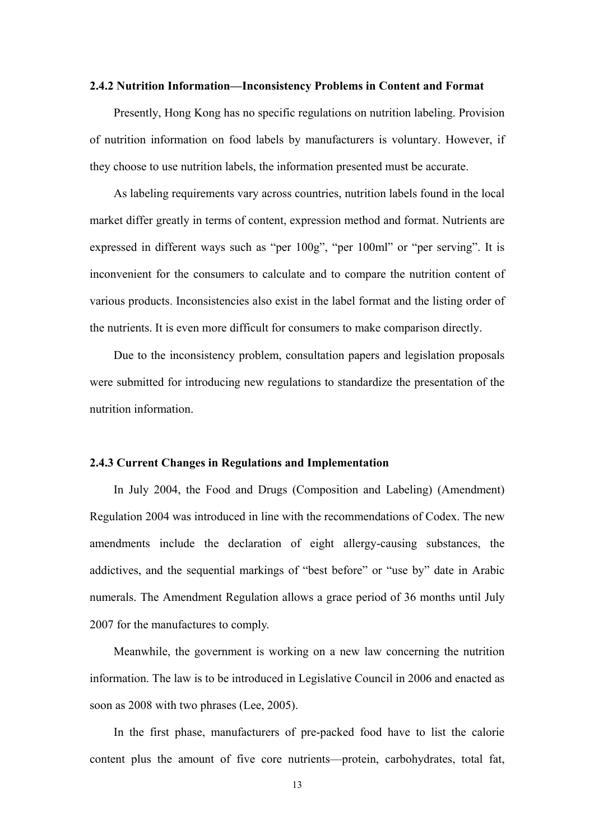#### **2.4.2 Nutrition Information—Inconsistency Problems in Content and Format**

Presently, Hong Kong has no specific regulations on nutrition labeling. Provision of nutrition information on food labels by manufacturers is voluntary. However, if they choose to use nutrition labels, the information presented must be accurate.

As labeling requirements vary across countries, nutrition labels found in the local market differ greatly in terms of content, expression method and format. Nutrients are expressed in different ways such as "per 100g", "per 100ml" or "per serving". It is inconvenient for the consumers to calculate and to compare the nutrition content of various products. Inconsistencies also exist in the label format and the listing order of the nutrients. It is even more difficult for consumers to make comparison directly.

Due to the inconsistency problem, consultation papers and legislation proposals were submitted for introducing new regulations to standardize the presentation of the nutrition information.

#### **2.4.3 Current Changes in Regulations and Implementation**

In July 2004, the Food and Drugs (Composition and Labeling) (Amendment) Regulation 2004 was introduced in line with the recommendations of Codex. The new amendments include the declaration of eight allergy-causing substances, the addictives, and the sequential markings of "best before" or "use by" date in Arabic numerals. The Amendment Regulation allows a grace period of 36 months until July 2007 for the manufactures to comply.

Meanwhile, the government is working on a new law concerning the nutrition information. The law is to be introduced in Legislative Council in 2006 and enacted as soon as 2008 with two phrases (Lee, 2005).

In the first phase, manufacturers of pre-packed food have to list the calorie content plus the amount of five core nutrients—protein, carbohydrates, total fat,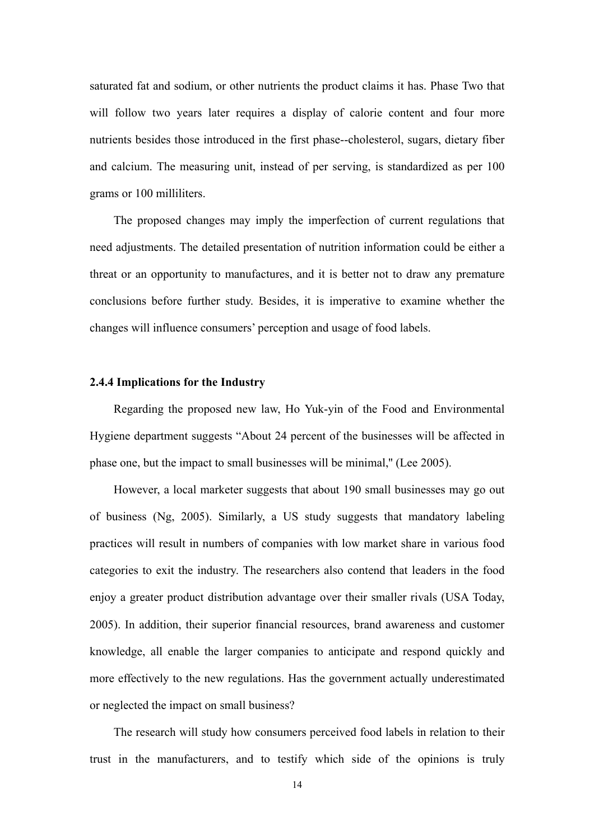saturated fat and sodium, or other nutrients the product claims it has. Phase Two that will follow two years later requires a display of calorie content and four more nutrients besides those introduced in the first phase--cholesterol, sugars, dietary fiber and calcium. The measuring unit, instead of per serving, is standardized as per 100 grams or 100 milliliters.

The proposed changes may imply the imperfection of current regulations that need adjustments. The detailed presentation of nutrition information could be either a threat or an opportunity to manufactures, and it is better not to draw any premature conclusions before further study. Besides, it is imperative to examine whether the changes will influence consumers' perception and usage of food labels.

#### **2.4.4 Implications for the Industry**

Regarding the proposed new law, Ho Yuk-yin of the Food and Environmental Hygiene department suggests "About 24 percent of the businesses will be affected in phase one, but the impact to small businesses will be minimal,'' (Lee 2005).

However, a local marketer suggests that about 190 small businesses may go out of business (Ng, 2005). Similarly, a US study suggests that mandatory labeling practices will result in numbers of companies with low market share in various food categories to exit the industry. The researchers also contend that leaders in the food enjoy a greater product distribution advantage over their smaller rivals (USA Today, 2005). In addition, their superior financial resources, brand awareness and customer knowledge, all enable the larger companies to anticipate and respond quickly and more effectively to the new regulations. Has the government actually underestimated or neglected the impact on small business?

The research will study how consumers perceived food labels in relation to their trust in the manufacturers, and to testify which side of the opinions is truly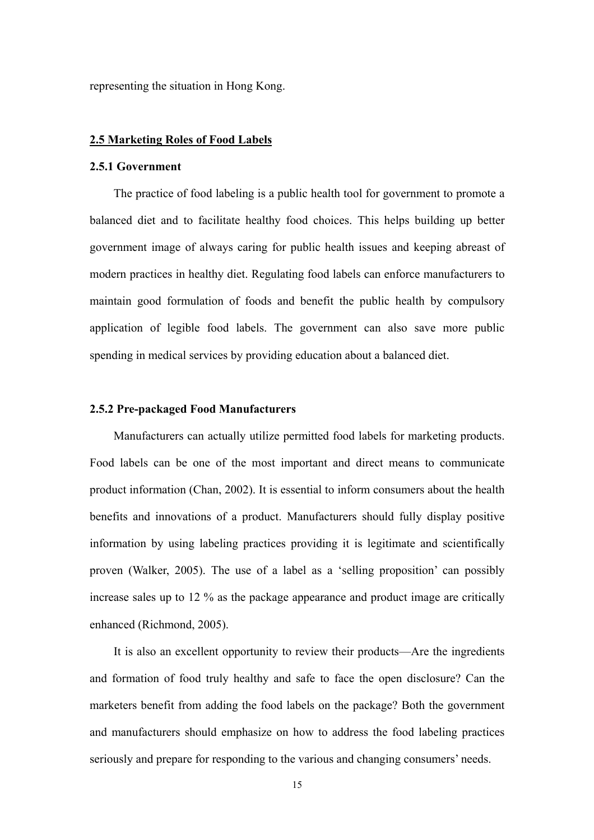representing the situation in Hong Kong.

#### **2.5 Marketing Roles of Food Labels**

#### **2.5.1 Government**

The practice of food labeling is a public health tool for government to promote a balanced diet and to facilitate healthy food choices. This helps building up better government image of always caring for public health issues and keeping abreast of modern practices in healthy diet. Regulating food labels can enforce manufacturers to maintain good formulation of foods and benefit the public health by compulsory application of legible food labels. The government can also save more public spending in medical services by providing education about a balanced diet.

#### **2.5.2 Pre-packaged Food Manufacturers**

Manufacturers can actually utilize permitted food labels for marketing products. Food labels can be one of the most important and direct means to communicate product information (Chan, 2002). It is essential to inform consumers about the health benefits and innovations of a product. Manufacturers should fully display positive information by using labeling practices providing it is legitimate and scientifically proven (Walker, 2005). The use of a label as a 'selling proposition' can possibly increase sales up to 12 % as the package appearance and product image are critically enhanced (Richmond, 2005).

It is also an excellent opportunity to review their products—Are the ingredients and formation of food truly healthy and safe to face the open disclosure? Can the marketers benefit from adding the food labels on the package? Both the government and manufacturers should emphasize on how to address the food labeling practices seriously and prepare for responding to the various and changing consumers' needs.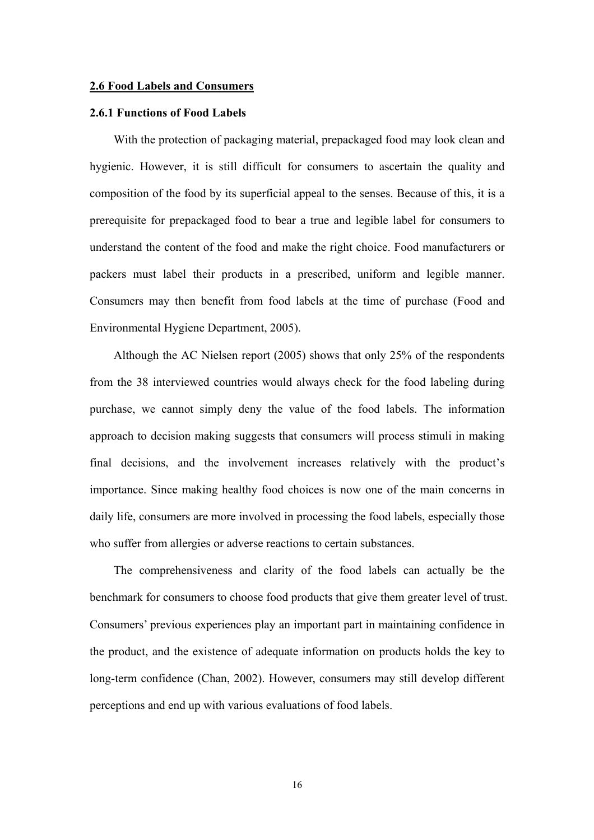#### **2.6 Food Labels and Consumers**

#### **2.6.1 Functions of Food Labels**

With the protection of packaging material, prepackaged food may look clean and hygienic. However, it is still difficult for consumers to ascertain the quality and composition of the food by its superficial appeal to the senses. Because of this, it is a prerequisite for prepackaged food to bear a true and legible label for consumers to understand the content of the food and make the right choice. Food manufacturers or packers must label their products in a prescribed, uniform and legible manner. Consumers may then benefit from food labels at the time of purchase (Food and Environmental Hygiene Department, 2005).

Although the AC Nielsen report (2005) shows that only 25% of the respondents from the 38 interviewed countries would always check for the food labeling during purchase, we cannot simply deny the value of the food labels. The information approach to decision making suggests that consumers will process stimuli in making final decisions, and the involvement increases relatively with the product's importance. Since making healthy food choices is now one of the main concerns in daily life, consumers are more involved in processing the food labels, especially those who suffer from allergies or adverse reactions to certain substances.

The comprehensiveness and clarity of the food labels can actually be the benchmark for consumers to choose food products that give them greater level of trust. Consumers' previous experiences play an important part in maintaining confidence in the product, and the existence of adequate information on products holds the key to long-term confidence (Chan, 2002). However, consumers may still develop different perceptions and end up with various evaluations of food labels.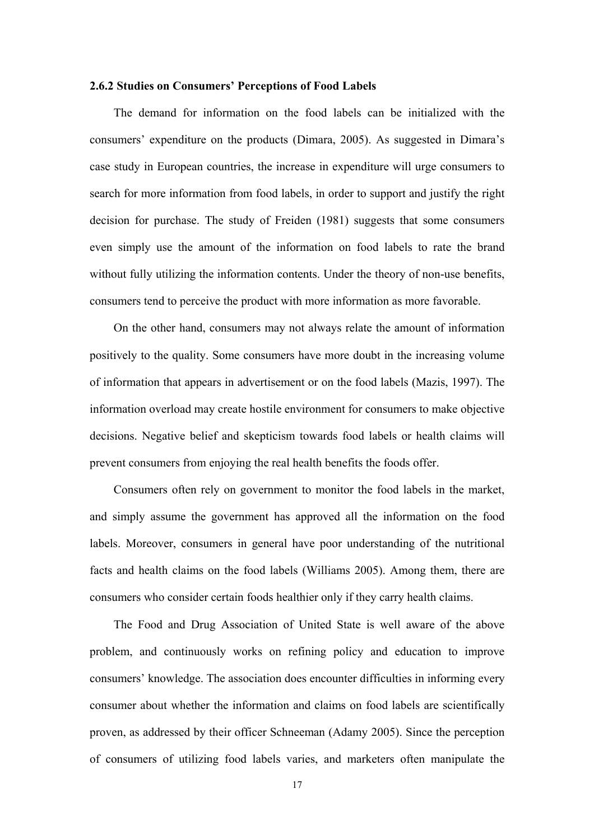#### **2.6.2 Studies on Consumers' Perceptions of Food Labels**

 The demand for information on the food labels can be initialized with the consumers' expenditure on the products (Dimara, 2005). As suggested in Dimara's case study in European countries, the increase in expenditure will urge consumers to search for more information from food labels, in order to support and justify the right decision for purchase. The study of Freiden (1981) suggests that some consumers even simply use the amount of the information on food labels to rate the brand without fully utilizing the information contents. Under the theory of non-use benefits, consumers tend to perceive the product with more information as more favorable.

 On the other hand, consumers may not always relate the amount of information positively to the quality. Some consumers have more doubt in the increasing volume of information that appears in advertisement or on the food labels (Mazis, 1997). The information overload may create hostile environment for consumers to make objective decisions. Negative belief and skepticism towards food labels or health claims will prevent consumers from enjoying the real health benefits the foods offer.

 Consumers often rely on government to monitor the food labels in the market, and simply assume the government has approved all the information on the food labels. Moreover, consumers in general have poor understanding of the nutritional facts and health claims on the food labels (Williams 2005). Among them, there are consumers who consider certain foods healthier only if they carry health claims.

 The Food and Drug Association of United State is well aware of the above problem, and continuously works on refining policy and education to improve consumers' knowledge. The association does encounter difficulties in informing every consumer about whether the information and claims on food labels are scientifically proven, as addressed by their officer Schneeman (Adamy 2005). Since the perception of consumers of utilizing food labels varies, and marketers often manipulate the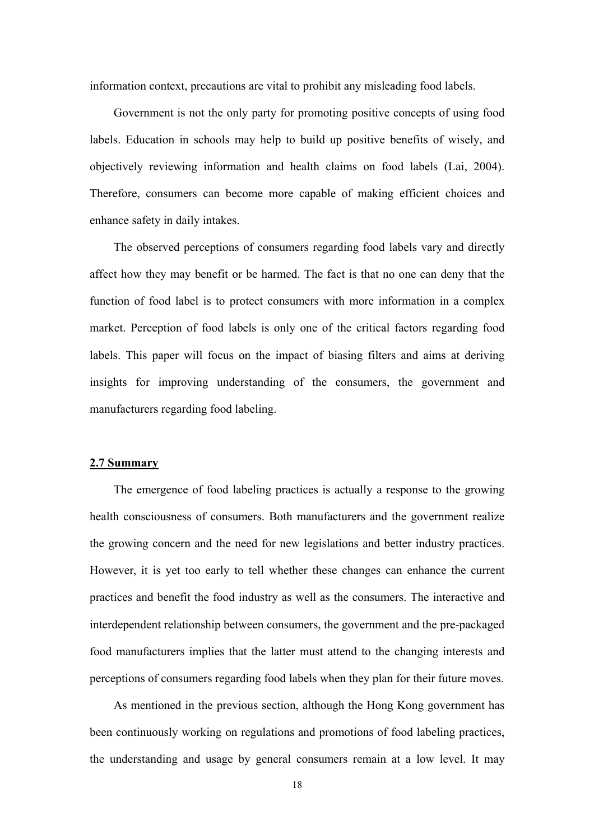information context, precautions are vital to prohibit any misleading food labels.

 Government is not the only party for promoting positive concepts of using food labels. Education in schools may help to build up positive benefits of wisely, and objectively reviewing information and health claims on food labels (Lai, 2004). Therefore, consumers can become more capable of making efficient choices and enhance safety in daily intakes.

 The observed perceptions of consumers regarding food labels vary and directly affect how they may benefit or be harmed. The fact is that no one can deny that the function of food label is to protect consumers with more information in a complex market. Perception of food labels is only one of the critical factors regarding food labels. This paper will focus on the impact of biasing filters and aims at deriving insights for improving understanding of the consumers, the government and manufacturers regarding food labeling.

#### **2.7 Summary**

The emergence of food labeling practices is actually a response to the growing health consciousness of consumers. Both manufacturers and the government realize the growing concern and the need for new legislations and better industry practices. However, it is yet too early to tell whether these changes can enhance the current practices and benefit the food industry as well as the consumers. The interactive and interdependent relationship between consumers, the government and the pre-packaged food manufacturers implies that the latter must attend to the changing interests and perceptions of consumers regarding food labels when they plan for their future moves.

As mentioned in the previous section, although the Hong Kong government has been continuously working on regulations and promotions of food labeling practices, the understanding and usage by general consumers remain at a low level. It may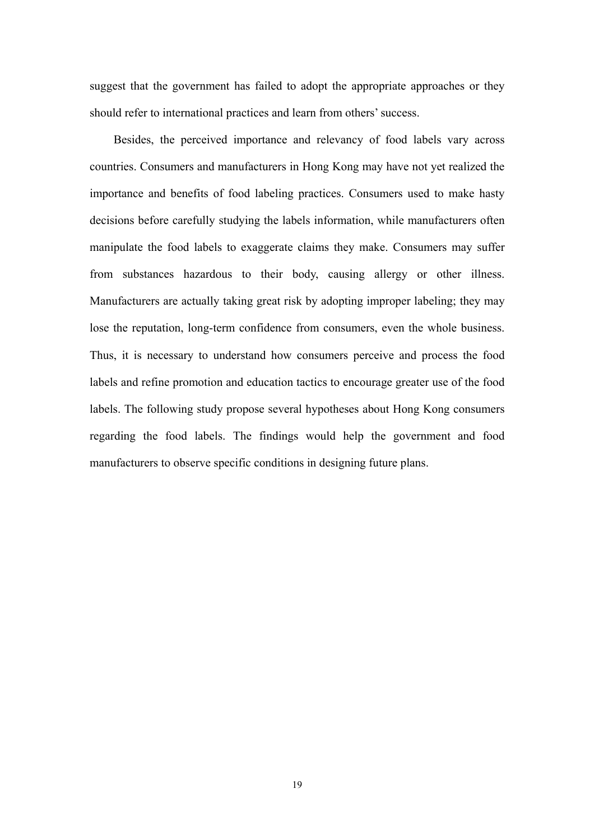suggest that the government has failed to adopt the appropriate approaches or they should refer to international practices and learn from others' success.

Besides, the perceived importance and relevancy of food labels vary across countries. Consumers and manufacturers in Hong Kong may have not yet realized the importance and benefits of food labeling practices. Consumers used to make hasty decisions before carefully studying the labels information, while manufacturers often manipulate the food labels to exaggerate claims they make. Consumers may suffer from substances hazardous to their body, causing allergy or other illness. Manufacturers are actually taking great risk by adopting improper labeling; they may lose the reputation, long-term confidence from consumers, even the whole business. Thus, it is necessary to understand how consumers perceive and process the food labels and refine promotion and education tactics to encourage greater use of the food labels. The following study propose several hypotheses about Hong Kong consumers regarding the food labels. The findings would help the government and food manufacturers to observe specific conditions in designing future plans.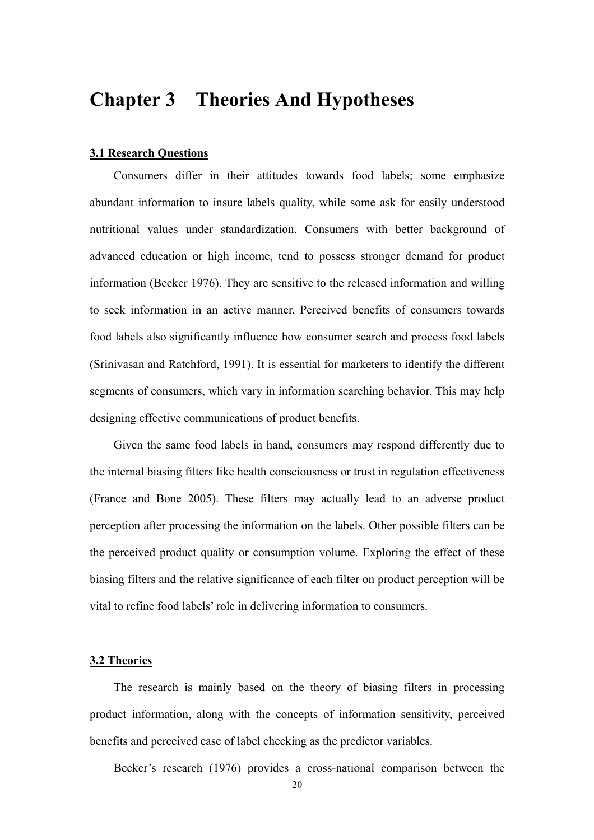### **Chapter 3 Theories And Hypotheses**

#### **3.1 Research Questions**

 Consumers differ in their attitudes towards food labels; some emphasize abundant information to insure labels quality, while some ask for easily understood nutritional values under standardization. Consumers with better background of advanced education or high income, tend to possess stronger demand for product information (Becker 1976). They are sensitive to the released information and willing to seek information in an active manner. Perceived benefits of consumers towards food labels also significantly influence how consumer search and process food labels (Srinivasan and Ratchford, 1991). It is essential for marketers to identify the different segments of consumers, which vary in information searching behavior. This may help designing effective communications of product benefits.

 Given the same food labels in hand, consumers may respond differently due to the internal biasing filters like health consciousness or trust in regulation effectiveness (France and Bone 2005). These filters may actually lead to an adverse product perception after processing the information on the labels. Other possible filters can be the perceived product quality or consumption volume. Exploring the effect of these biasing filters and the relative significance of each filter on product perception will be vital to refine food labels' role in delivering information to consumers.

#### **3.2 Theories**

 The research is mainly based on the theory of biasing filters in processing product information, along with the concepts of information sensitivity, perceived benefits and perceived ease of label checking as the predictor variables.

Becker's research (1976) provides a cross-national comparison between the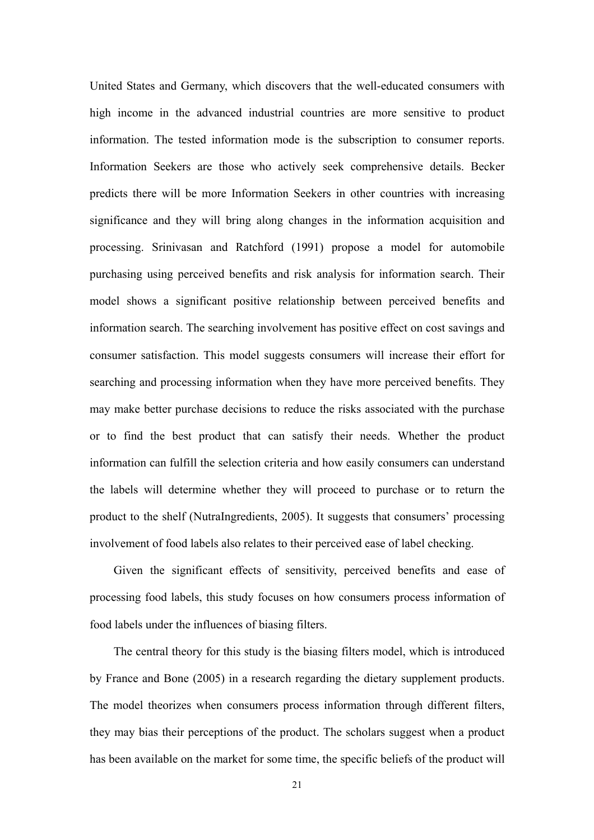United States and Germany, which discovers that the well-educated consumers with high income in the advanced industrial countries are more sensitive to product information. The tested information mode is the subscription to consumer reports. Information Seekers are those who actively seek comprehensive details. Becker predicts there will be more Information Seekers in other countries with increasing significance and they will bring along changes in the information acquisition and processing. Srinivasan and Ratchford (1991) propose a model for automobile purchasing using perceived benefits and risk analysis for information search. Their model shows a significant positive relationship between perceived benefits and information search. The searching involvement has positive effect on cost savings and consumer satisfaction. This model suggests consumers will increase their effort for searching and processing information when they have more perceived benefits. They may make better purchase decisions to reduce the risks associated with the purchase or to find the best product that can satisfy their needs. Whether the product information can fulfill the selection criteria and how easily consumers can understand the labels will determine whether they will proceed to purchase or to return the product to the shelf (NutraIngredients, 2005). It suggests that consumers' processing involvement of food labels also relates to their perceived ease of label checking.

Given the significant effects of sensitivity, perceived benefits and ease of processing food labels, this study focuses on how consumers process information of food labels under the influences of biasing filters.

The central theory for this study is the biasing filters model, which is introduced by France and Bone (2005) in a research regarding the dietary supplement products. The model theorizes when consumers process information through different filters, they may bias their perceptions of the product. The scholars suggest when a product has been available on the market for some time, the specific beliefs of the product will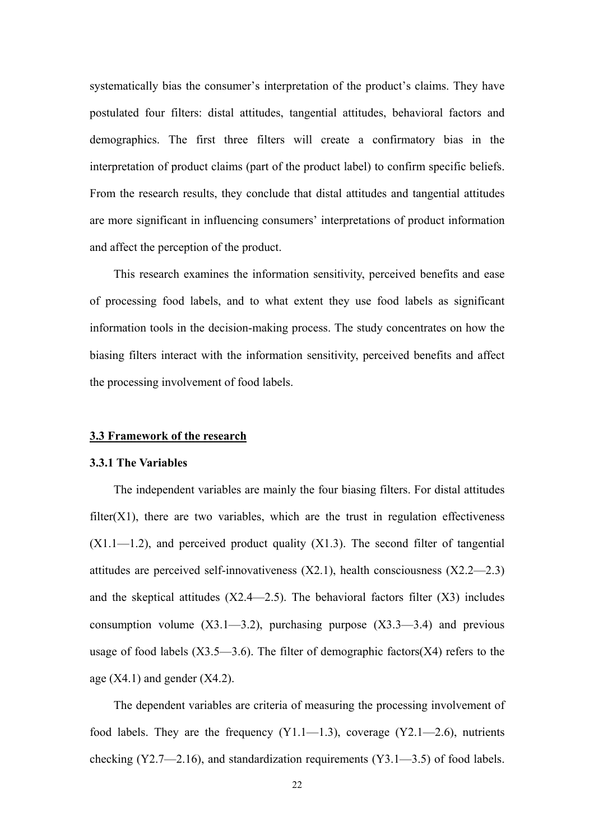systematically bias the consumer's interpretation of the product's claims. They have postulated four filters: distal attitudes, tangential attitudes, behavioral factors and demographics. The first three filters will create a confirmatory bias in the interpretation of product claims (part of the product label) to confirm specific beliefs. From the research results, they conclude that distal attitudes and tangential attitudes are more significant in influencing consumers' interpretations of product information and affect the perception of the product.

This research examines the information sensitivity, perceived benefits and ease of processing food labels, and to what extent they use food labels as significant information tools in the decision-making process. The study concentrates on how the biasing filters interact with the information sensitivity, perceived benefits and affect the processing involvement of food labels.

#### **3.3 Framework of the research**

#### **3.3.1 The Variables**

 The independent variables are mainly the four biasing filters. For distal attitudes  $filter(X1)$ , there are two variables, which are the trust in regulation effectiveness  $(X1.1-1.2)$ , and perceived product quality  $(X1.3)$ . The second filter of tangential attitudes are perceived self-innovativeness (X2.1), health consciousness (X2.2—2.3) and the skeptical attitudes  $(X2.4 \t -2.5)$ . The behavioral factors filter  $(X3)$  includes consumption volume  $(X3.1-3.2)$ , purchasing purpose  $(X3.3-3.4)$  and previous usage of food labels  $(X3.5-3.6)$ . The filter of demographic factors  $(X4)$  refers to the age  $(X4.1)$  and gender  $(X4.2)$ .

The dependent variables are criteria of measuring the processing involvement of food labels. They are the frequency  $(Y1.1 - 1.3)$ , coverage  $(Y2.1 - 2.6)$ , nutrients checking (Y2.7—2.16), and standardization requirements (Y3.1—3.5) of food labels.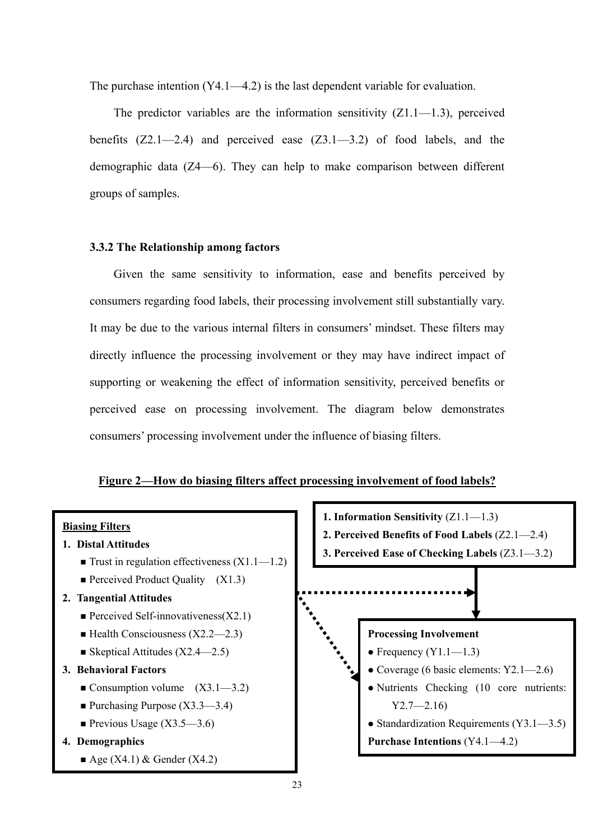The purchase intention (Y4.1—4.2) is the last dependent variable for evaluation.

The predictor variables are the information sensitivity  $(Z1.1 - 1.3)$ , perceived benefits  $(Z2.1-2.4)$  and perceived ease  $(Z3.1-3.2)$  of food labels, and the demographic data (Z4—6). They can help to make comparison between different groups of samples.

#### **3.3.2 The Relationship among factors**

Given the same sensitivity to information, ease and benefits perceived by consumers regarding food labels, their processing involvement still substantially vary. It may be due to the various internal filters in consumers' mindset. These filters may directly influence the processing involvement or they may have indirect impact of supporting or weakening the effect of information sensitivity, perceived benefits or perceived ease on processing involvement. The diagram below demonstrates consumers' processing involvement under the influence of biasing filters.

#### **Figure 2—How do biasing filters affect processing involvement of food labels?**

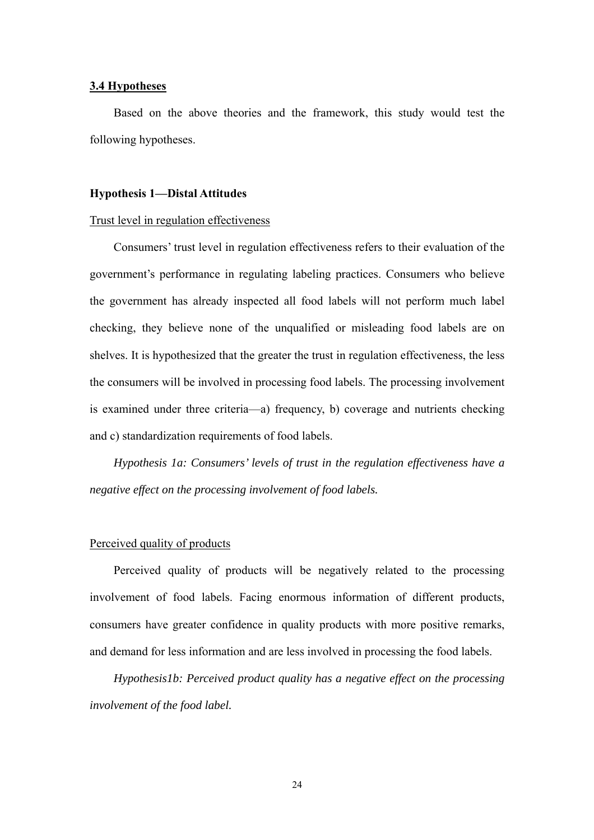#### **3.4 Hypotheses**

Based on the above theories and the framework, this study would test the following hypotheses.

#### **Hypothesis 1—Distal Attitudes**

#### Trust level in regulation effectiveness

Consumers' trust level in regulation effectiveness refers to their evaluation of the government's performance in regulating labeling practices. Consumers who believe the government has already inspected all food labels will not perform much label checking, they believe none of the unqualified or misleading food labels are on shelves. It is hypothesized that the greater the trust in regulation effectiveness, the less the consumers will be involved in processing food labels. The processing involvement is examined under three criteria—a) frequency, b) coverage and nutrients checking and c) standardization requirements of food labels.

 *Hypothesis 1a: Consumers' levels of trust in the regulation effectiveness have a negative effect on the processing involvement of food labels.* 

#### Perceived quality of products

 Perceived quality of products will be negatively related to the processing involvement of food labels. Facing enormous information of different products, consumers have greater confidence in quality products with more positive remarks, and demand for less information and are less involved in processing the food labels.

*Hypothesis1b: Perceived product quality has a negative effect on the processing involvement of the food label.*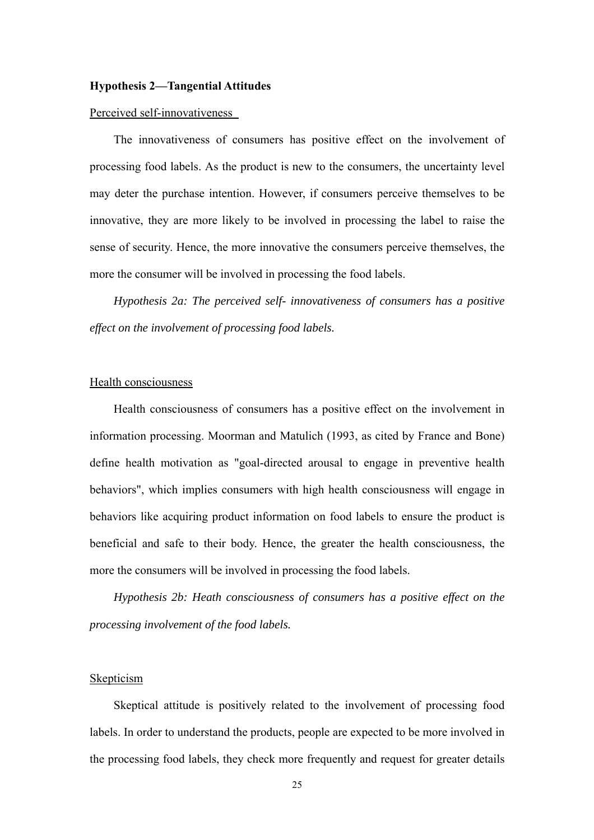#### **Hypothesis 2—Tangential Attitudes**

#### Perceived self-innovativeness

The innovativeness of consumers has positive effect on the involvement of processing food labels. As the product is new to the consumers, the uncertainty level may deter the purchase intention. However, if consumers perceive themselves to be innovative, they are more likely to be involved in processing the label to raise the sense of security. Hence, the more innovative the consumers perceive themselves, the more the consumer will be involved in processing the food labels.

*Hypothesis 2a: The perceived self- innovativeness of consumers has a positive effect on the involvement of processing food labels.* 

#### Health consciousness

 Health consciousness of consumers has a positive effect on the involvement in information processing. Moorman and Matulich (1993, as cited by France and Bone) define health motivation as "goal-directed arousal to engage in preventive health behaviors", which implies consumers with high health consciousness will engage in behaviors like acquiring product information on food labels to ensure the product is beneficial and safe to their body. Hence, the greater the health consciousness, the more the consumers will be involved in processing the food labels.

*Hypothesis 2b: Heath consciousness of consumers has a positive effect on the processing involvement of the food labels.*

#### Skepticism

Skeptical attitude is positively related to the involvement of processing food labels. In order to understand the products, people are expected to be more involved in the processing food labels, they check more frequently and request for greater details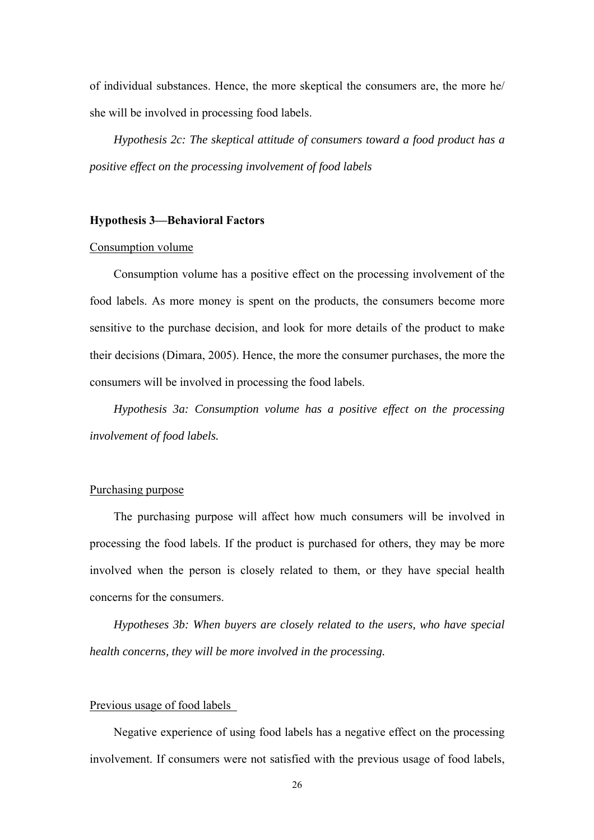of individual substances. Hence, the more skeptical the consumers are, the more he/ she will be involved in processing food labels.

*Hypothesis 2c: The skeptical attitude of consumers toward a food product has a positive effect on the processing involvement of food labels* 

#### **Hypothesis 3—Behavioral Factors**

#### Consumption volume

Consumption volume has a positive effect on the processing involvement of the food labels. As more money is spent on the products, the consumers become more sensitive to the purchase decision, and look for more details of the product to make their decisions (Dimara, 2005). Hence, the more the consumer purchases, the more the consumers will be involved in processing the food labels.

*Hypothesis 3a: Consumption volume has a positive effect on the processing involvement of food labels.*

#### Purchasing purpose

The purchasing purpose will affect how much consumers will be involved in processing the food labels. If the product is purchased for others, they may be more involved when the person is closely related to them, or they have special health concerns for the consumers.

*Hypotheses 3b: When buyers are closely related to the users, who have special health concerns, they will be more involved in the processing.* 

#### Previous usage of food labels

Negative experience of using food labels has a negative effect on the processing involvement. If consumers were not satisfied with the previous usage of food labels,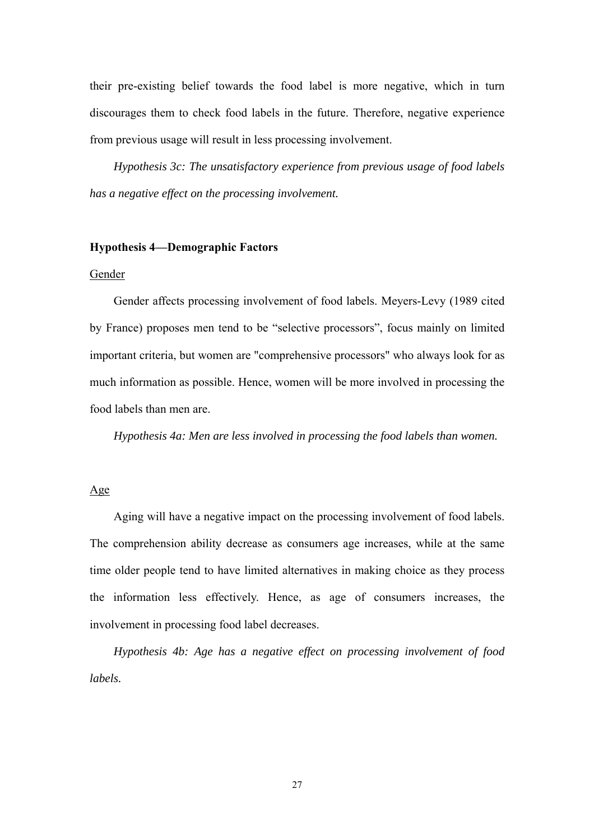their pre-existing belief towards the food label is more negative, which in turn discourages them to check food labels in the future. Therefore, negative experience from previous usage will result in less processing involvement.

*Hypothesis 3c: The unsatisfactory experience from previous usage of food labels has a negative effect on the processing involvement.* 

#### **Hypothesis 4—Demographic Factors**

#### Gender

Gender affects processing involvement of food labels. Meyers-Levy (1989 cited by France) proposes men tend to be "selective processors", focus mainly on limited important criteria, but women are "comprehensive processors" who always look for as much information as possible. Hence, women will be more involved in processing the food labels than men are.

*Hypothesis 4a: Men are less involved in processing the food labels than women.* 

#### Age

Aging will have a negative impact on the processing involvement of food labels. The comprehension ability decrease as consumers age increases, while at the same time older people tend to have limited alternatives in making choice as they process the information less effectively. Hence, as age of consumers increases, the involvement in processing food label decreases.

*Hypothesis 4b: Age has a negative effect on processing involvement of food labels.*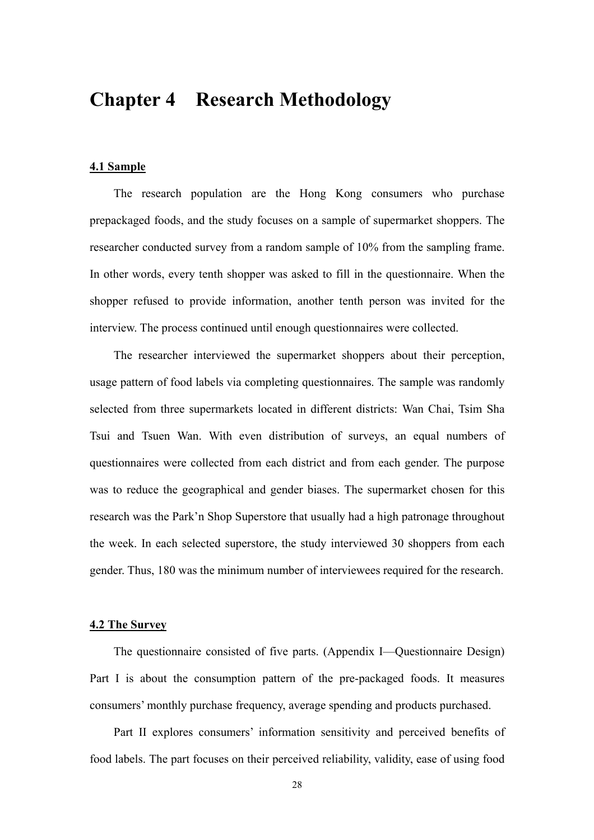### **Chapter 4 Research Methodology**

#### **4.1 Sample**

The research population are the Hong Kong consumers who purchase prepackaged foods, and the study focuses on a sample of supermarket shoppers. The researcher conducted survey from a random sample of 10% from the sampling frame. In other words, every tenth shopper was asked to fill in the questionnaire. When the shopper refused to provide information, another tenth person was invited for the interview. The process continued until enough questionnaires were collected.

The researcher interviewed the supermarket shoppers about their perception, usage pattern of food labels via completing questionnaires. The sample was randomly selected from three supermarkets located in different districts: Wan Chai, Tsim Sha Tsui and Tsuen Wan. With even distribution of surveys, an equal numbers of questionnaires were collected from each district and from each gender. The purpose was to reduce the geographical and gender biases. The supermarket chosen for this research was the Park'n Shop Superstore that usually had a high patronage throughout the week. In each selected superstore, the study interviewed 30 shoppers from each gender. Thus, 180 was the minimum number of interviewees required for the research.

#### **4.2 The Survey**

The questionnaire consisted of five parts. (Appendix I—Questionnaire Design) Part I is about the consumption pattern of the pre-packaged foods. It measures consumers' monthly purchase frequency, average spending and products purchased.

Part II explores consumers' information sensitivity and perceived benefits of food labels. The part focuses on their perceived reliability, validity, ease of using food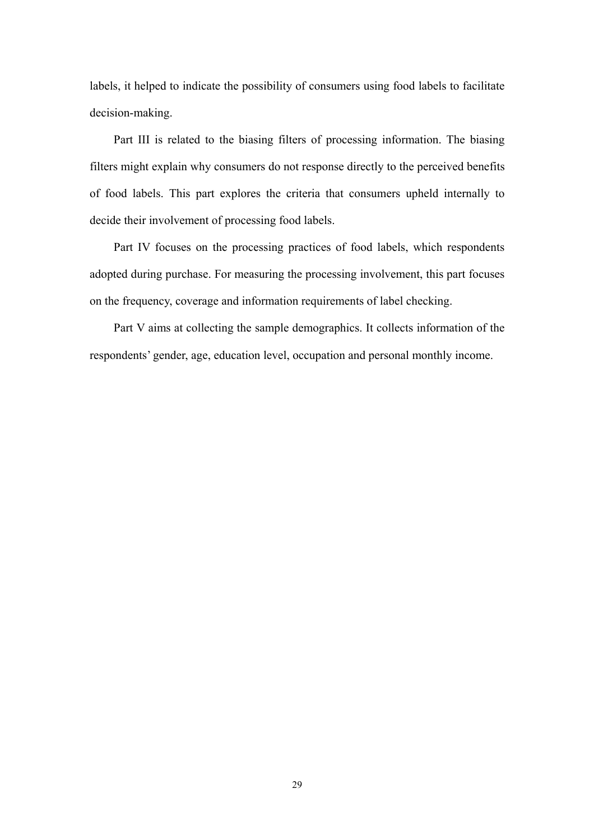labels, it helped to indicate the possibility of consumers using food labels to facilitate decision-making.

Part III is related to the biasing filters of processing information. The biasing filters might explain why consumers do not response directly to the perceived benefits of food labels. This part explores the criteria that consumers upheld internally to decide their involvement of processing food labels.

Part IV focuses on the processing practices of food labels, which respondents adopted during purchase. For measuring the processing involvement, this part focuses on the frequency, coverage and information requirements of label checking.

Part V aims at collecting the sample demographics. It collects information of the respondents' gender, age, education level, occupation and personal monthly income.

29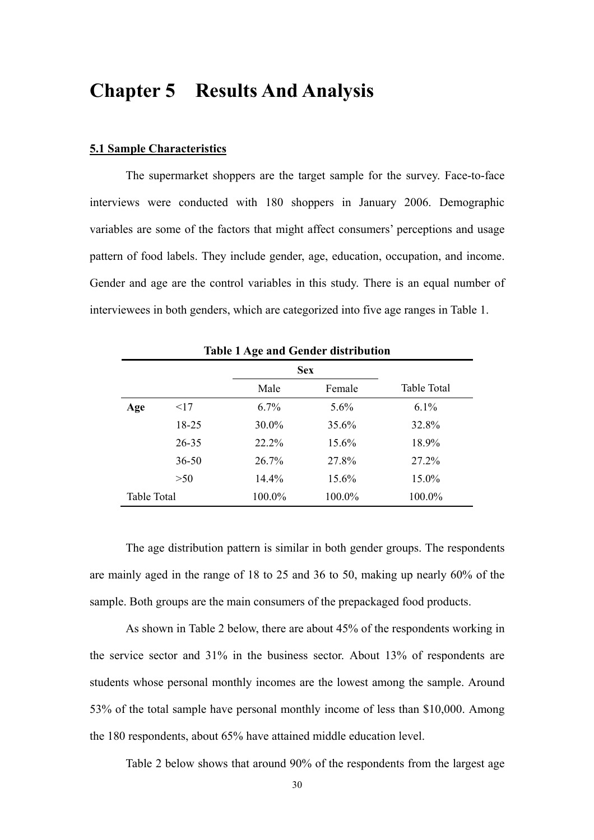### **Chapter 5 Results And Analysis**

#### **5.1 Sample Characteristics**

The supermarket shoppers are the target sample for the survey. Face-to-face interviews were conducted with 180 shoppers in January 2006. Demographic variables are some of the factors that might affect consumers' perceptions and usage pattern of food labels. They include gender, age, education, occupation, and income. Gender and age are the control variables in this study. There is an equal number of interviewees in both genders, which are categorized into five age ranges in Table 1.

|                    |           |        | <b>Sex</b> |             |
|--------------------|-----------|--------|------------|-------------|
|                    |           | Male   | Female     | Table Total |
| Age                | <17       | 6.7%   | 5.6%       | 6.1%        |
|                    | 18-25     | 30.0%  | 35.6%      | 32.8%       |
|                    | $26 - 35$ | 22.2%  | 15.6%      | 18.9%       |
|                    | $36 - 50$ | 26.7%  | 27.8%      | 27.2%       |
|                    | >50       | 14.4%  | 15.6%      | 15.0%       |
| <b>Table Total</b> |           | 100.0% | 100.0%     | 100.0%      |

**Table 1 Age and Gender distribution** 

The age distribution pattern is similar in both gender groups. The respondents are mainly aged in the range of 18 to 25 and 36 to 50, making up nearly 60% of the sample. Both groups are the main consumers of the prepackaged food products.

As shown in Table 2 below, there are about 45% of the respondents working in the service sector and 31% in the business sector. About 13% of respondents are students whose personal monthly incomes are the lowest among the sample. Around 53% of the total sample have personal monthly income of less than \$10,000. Among the 180 respondents, about 65% have attained middle education level.

Table 2 below shows that around 90% of the respondents from the largest age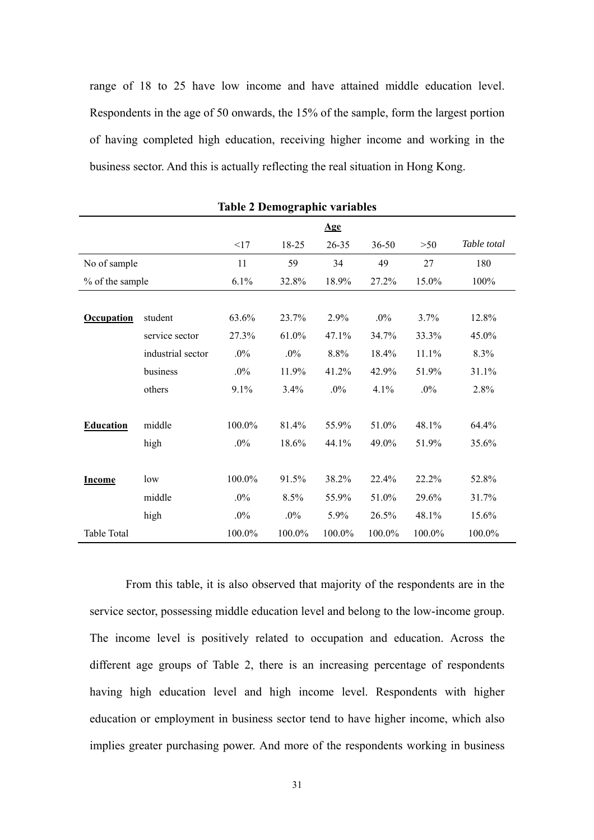range of 18 to 25 have low income and have attained middle education level. Respondents in the age of 50 onwards, the 15% of the sample, form the largest portion of having completed high education, receiving higher income and working in the business sector. And this is actually reflecting the real situation in Hong Kong.

|                   |                   |        | 0      |           |        |        |             |
|-------------------|-------------------|--------|--------|-----------|--------|--------|-------------|
|                   |                   |        |        | Age       |        |        |             |
|                   |                   | <17    | 18-25  | $26 - 35$ | 36-50  | >50    | Table total |
| No of sample      |                   | 11     | 59     | 34        | 49     | 27     | 180         |
| % of the sample   |                   | 6.1%   | 32.8%  | 18.9%     | 27.2%  | 15.0%  | 100%        |
|                   |                   |        |        |           |        |        |             |
| <b>Occupation</b> | student           | 63.6%  | 23.7%  | 2.9%      | $.0\%$ | 3.7%   | 12.8%       |
|                   | service sector    | 27.3%  | 61.0%  | 47.1%     | 34.7%  | 33.3%  | 45.0%       |
|                   | industrial sector | $.0\%$ | $.0\%$ | 8.8%      | 18.4%  | 11.1%  | 8.3%        |
|                   | business          | $.0\%$ | 11.9%  | 41.2%     | 42.9%  | 51.9%  | 31.1%       |
|                   | others            | 9.1%   | 3.4%   | $.0\%$    | 4.1%   | $.0\%$ | 2.8%        |
|                   |                   |        |        |           |        |        |             |
| <b>Education</b>  | middle            | 100.0% | 81.4%  | 55.9%     | 51.0%  | 48.1%  | 64.4%       |
|                   | high              | $.0\%$ | 18.6%  | 44.1%     | 49.0%  | 51.9%  | 35.6%       |
|                   |                   |        |        |           |        |        |             |
| <b>Income</b>     | low               | 100.0% | 91.5%  | 38.2%     | 22.4%  | 22.2%  | 52.8%       |
|                   | middle            | $.0\%$ | 8.5%   | 55.9%     | 51.0%  | 29.6%  | 31.7%       |
|                   | high              | $.0\%$ | $.0\%$ | 5.9%      | 26.5%  | 48.1%  | 15.6%       |
| Table Total       |                   | 100.0% | 100.0% | 100.0%    | 100.0% | 100.0% | 100.0%      |

**Table 2 Demographic variables** 

From this table, it is also observed that majority of the respondents are in the service sector, possessing middle education level and belong to the low-income group. The income level is positively related to occupation and education. Across the different age groups of Table 2, there is an increasing percentage of respondents having high education level and high income level. Respondents with higher education or employment in business sector tend to have higher income, which also implies greater purchasing power. And more of the respondents working in business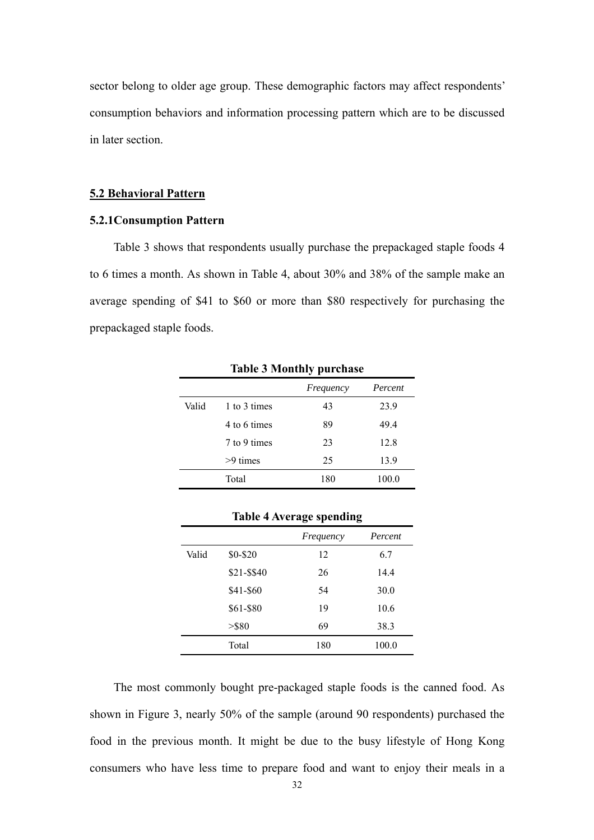sector belong to older age group. These demographic factors may affect respondents' consumption behaviors and information processing pattern which are to be discussed in later section.

#### **5.2 Behavioral Pattern**

#### **5.2.1Consumption Pattern**

Table 3 shows that respondents usually purchase the prepackaged staple foods 4 to 6 times a month. As shown in Table 4, about 30% and 38% of the sample make an average spending of \$41 to \$60 or more than \$80 respectively for purchasing the prepackaged staple foods.

|       |              | Frequency | Percent |
|-------|--------------|-----------|---------|
| Valid | 1 to 3 times | 43        | 23.9    |
|       | 4 to 6 times | 89        | 49.4    |
|       | 7 to 9 times | 23        | 12.8    |
|       | $>9$ times   | 25        | 13.9    |
|       | Total        | 180       | 100.0   |

**Table 3 Monthly purchase**

|       |             | o<br>л.   | o       |
|-------|-------------|-----------|---------|
|       |             | Frequency | Percent |
| Valid | \$0-\$20    | 12        | 6.7     |
|       | \$21-\$\$40 | 26        | 14.4    |
|       | \$41-\$60   | 54        | 30.0    |
|       | \$61-\$80   | 19        | 10.6    |
|       | $>$ \$80    | 69        | 38.3    |
|       | Total       | 180       | 100.0   |

#### **Table 4 Average spending**

 The most commonly bought pre-packaged staple foods is the canned food. As shown in Figure 3, nearly 50% of the sample (around 90 respondents) purchased the food in the previous month. It might be due to the busy lifestyle of Hong Kong consumers who have less time to prepare food and want to enjoy their meals in a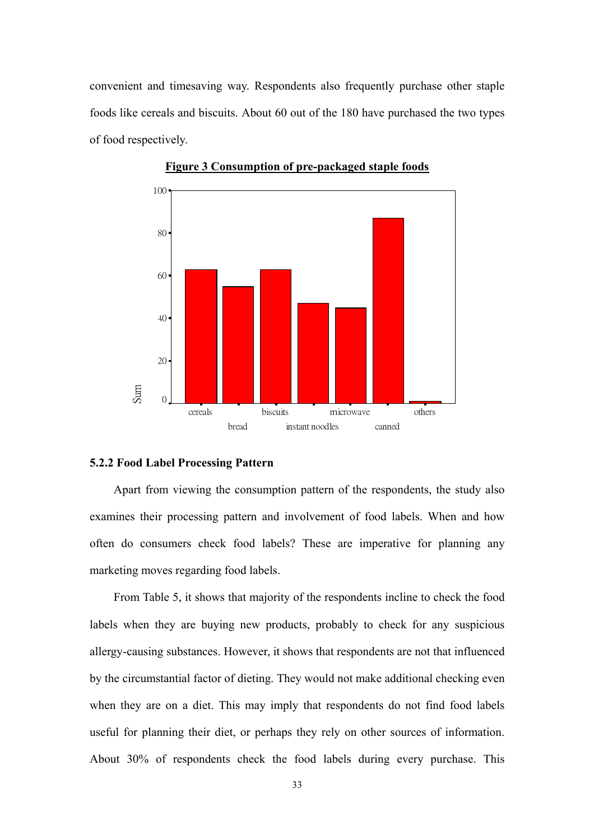convenient and timesaving way. Respondents also frequently purchase other staple foods like cereals and biscuits. About 60 out of the 180 have purchased the two types of food respectively.



**Figure 3 Consumption of pre-packaged staple foods**

#### **5.2.2 Food Label Processing Pattern**

 Apart from viewing the consumption pattern of the respondents, the study also examines their processing pattern and involvement of food labels. When and how often do consumers check food labels? These are imperative for planning any marketing moves regarding food labels.

From Table 5, it shows that majority of the respondents incline to check the food labels when they are buying new products, probably to check for any suspicious allergy-causing substances. However, it shows that respondents are not that influenced by the circumstantial factor of dieting. They would not make additional checking even when they are on a diet. This may imply that respondents do not find food labels useful for planning their diet, or perhaps they rely on other sources of information. About 30% of respondents check the food labels during every purchase. This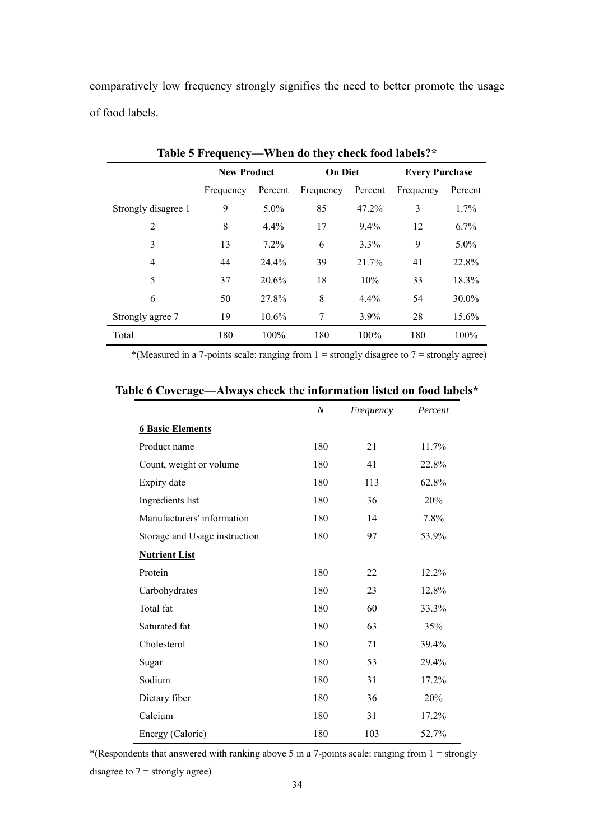comparatively low frequency strongly signifies the need to better promote the usage of food labels.

|                     | <b>New Product</b> |          | <b>On Diet</b> |          | <b>Every Purchase</b> |         |
|---------------------|--------------------|----------|----------------|----------|-----------------------|---------|
|                     | Frequency          | Percent  | Frequency      | Percent  | Frequency             | Percent |
| Strongly disagree 1 | 9                  | $5.0\%$  | 85             | $47.2\%$ | 3                     | 1.7%    |
| $\overline{2}$      | 8                  | $4.4\%$  | 17             | 9.4%     | 12                    | 6.7%    |
| 3                   | 13                 | 7.2%     | 6              | 3.3%     | 9                     | $5.0\%$ |
| 4                   | 44                 | 24.4%    | 39             | 21.7%    | 41                    | 22.8%   |
| 5                   | 37                 | 20.6%    | 18             | 10%      | 33                    | 18.3%   |
| 6                   | 50                 | 27.8%    | 8              | 4.4%     | 54                    | 30.0%   |
| Strongly agree 7    | 19                 | $10.6\%$ | 7              | $3.9\%$  | 28                    | 15.6%   |
| Total               | 180                | 100%     | 180            | 100%     | 180                   | 100%    |

**Table 5 Frequency—When do they check food labels?\***

\*(Measured in a 7-points scale: ranging from  $1 =$  strongly disagree to  $7 =$  strongly agree)

|                               | $\boldsymbol{N}$ | Frequency | Percent |
|-------------------------------|------------------|-----------|---------|
| <b>6 Basic Elements</b>       |                  |           |         |
| Product name                  | 180              | 21        | 11.7%   |
| Count, weight or volume       | 180              | 41        | 22.8%   |
| Expiry date                   | 180              | 113       | 62.8%   |
| Ingredients list              | 180              | 36        | 20%     |
| Manufacturers' information    | 180              | 14        | 7.8%    |
| Storage and Usage instruction | 180              | 97        | 53.9%   |
| <b>Nutrient List</b>          |                  |           |         |
| Protein                       | 180              | 22        | 12.2%   |
| Carbohydrates                 | 180              | 23        | 12.8%   |
| Total fat                     | 180              | 60        | 33.3%   |
| Saturated fat                 | 180              | 63        | 35%     |
| Cholesterol                   | 180              | 71        | 39.4%   |
| Sugar                         | 180              | 53        | 29.4%   |
| Sodium                        | 180              | 31        | 17.2%   |
| Dietary fiber                 | 180              | 36        | 20%     |
| Calcium                       | 180              | 31        | 17.2%   |
| Energy (Calorie)              | 180              | 103       | 52.7%   |

\*(Respondents that answered with ranking above 5 in a 7-points scale: ranging from  $1 =$  strongly

disagree to  $7 =$  strongly agree)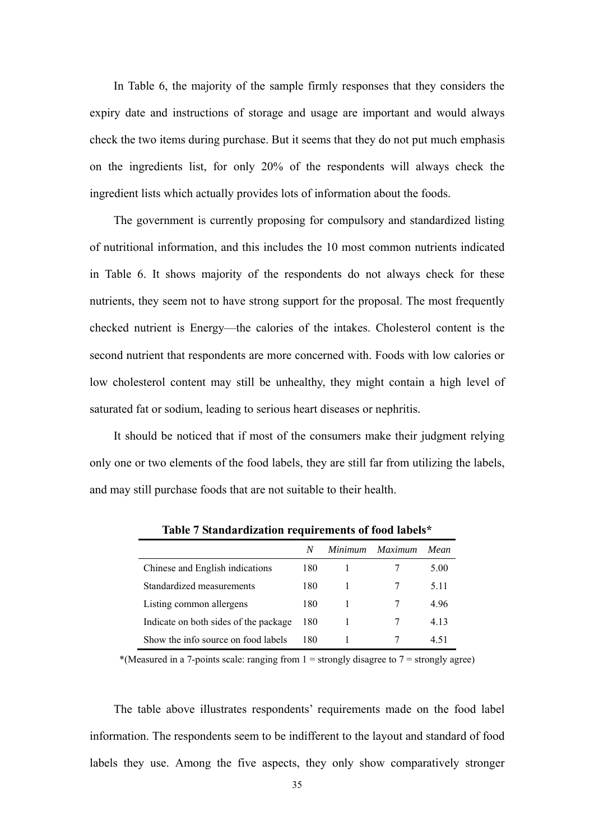In Table 6, the majority of the sample firmly responses that they considers the expiry date and instructions of storage and usage are important and would always check the two items during purchase. But it seems that they do not put much emphasis on the ingredients list, for only 20% of the respondents will always check the ingredient lists which actually provides lots of information about the foods.

 The government is currently proposing for compulsory and standardized listing of nutritional information, and this includes the 10 most common nutrients indicated in Table 6. It shows majority of the respondents do not always check for these nutrients, they seem not to have strong support for the proposal. The most frequently checked nutrient is Energy—the calories of the intakes. Cholesterol content is the second nutrient that respondents are more concerned with. Foods with low calories or low cholesterol content may still be unhealthy, they might contain a high level of saturated fat or sodium, leading to serious heart diseases or nephritis.

 It should be noticed that if most of the consumers make their judgment relying only one or two elements of the food labels, they are still far from utilizing the labels, and may still purchase foods that are not suitable to their health.

|                                       | N   | <i>Minimum</i> | Maximum | Mean  |
|---------------------------------------|-----|----------------|---------|-------|
| Chinese and English indications       | 180 |                |         | 5.00  |
| Standardized measurements             | 180 |                |         | 5 1 1 |
| Listing common allergens              | 180 |                |         | 4.96  |
| Indicate on both sides of the package | 180 |                |         | 4 1 3 |
| Show the info source on food labels   | 180 |                |         | 451   |

**Table 7 Standardization requirements of food labels\***

\*(Measured in a 7-points scale: ranging from  $1 =$  strongly disagree to  $7 =$  strongly agree)

 The table above illustrates respondents' requirements made on the food label information. The respondents seem to be indifferent to the layout and standard of food labels they use. Among the five aspects, they only show comparatively stronger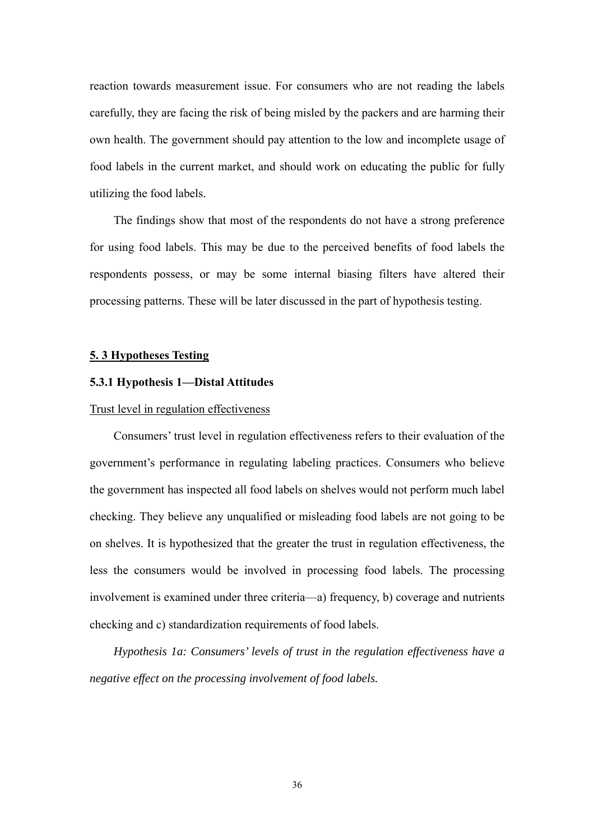reaction towards measurement issue. For consumers who are not reading the labels carefully, they are facing the risk of being misled by the packers and are harming their own health. The government should pay attention to the low and incomplete usage of food labels in the current market, and should work on educating the public for fully utilizing the food labels.

 The findings show that most of the respondents do not have a strong preference for using food labels. This may be due to the perceived benefits of food labels the respondents possess, or may be some internal biasing filters have altered their processing patterns. These will be later discussed in the part of hypothesis testing.

#### **5. 3 Hypotheses Testing**

# **5.3.1 Hypothesis 1—Distal Attitudes**

# Trust level in regulation effectiveness

Consumers' trust level in regulation effectiveness refers to their evaluation of the government's performance in regulating labeling practices. Consumers who believe the government has inspected all food labels on shelves would not perform much label checking. They believe any unqualified or misleading food labels are not going to be on shelves. It is hypothesized that the greater the trust in regulation effectiveness, the less the consumers would be involved in processing food labels. The processing involvement is examined under three criteria—a) frequency, b) coverage and nutrients checking and c) standardization requirements of food labels.

 *Hypothesis 1a: Consumers' levels of trust in the regulation effectiveness have a negative effect on the processing involvement of food labels.*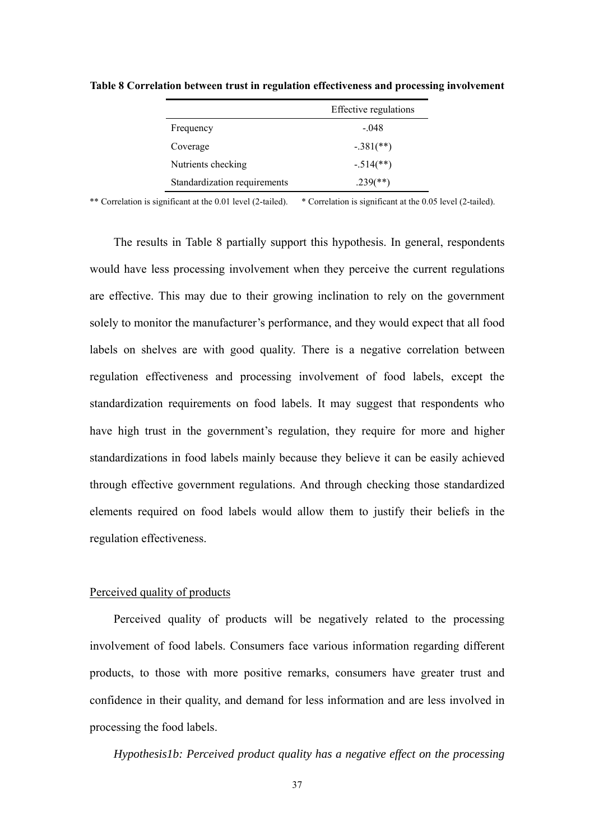|                              | Effective regulations    |
|------------------------------|--------------------------|
| Frequency                    | $-.048$                  |
| Coverage                     | $-.381$ (**)             |
| Nutrients checking           | $-.514$ <sup>**</sup> )  |
| Standardization requirements | $.239$ <sup>(**)</sup> ) |

**Table 8 Correlation between trust in regulation effectiveness and processing involvement** 

The results in Table 8 partially support this hypothesis. In general, respondents would have less processing involvement when they perceive the current regulations are effective. This may due to their growing inclination to rely on the government solely to monitor the manufacturer's performance, and they would expect that all food labels on shelves are with good quality. There is a negative correlation between regulation effectiveness and processing involvement of food labels, except the standardization requirements on food labels. It may suggest that respondents who have high trust in the government's regulation, they require for more and higher standardizations in food labels mainly because they believe it can be easily achieved through effective government regulations. And through checking those standardized elements required on food labels would allow them to justify their beliefs in the regulation effectiveness.

# Perceived quality of products

 Perceived quality of products will be negatively related to the processing involvement of food labels. Consumers face various information regarding different products, to those with more positive remarks, consumers have greater trust and confidence in their quality, and demand for less information and are less involved in processing the food labels.

*Hypothesis1b: Perceived product quality has a negative effect on the processing*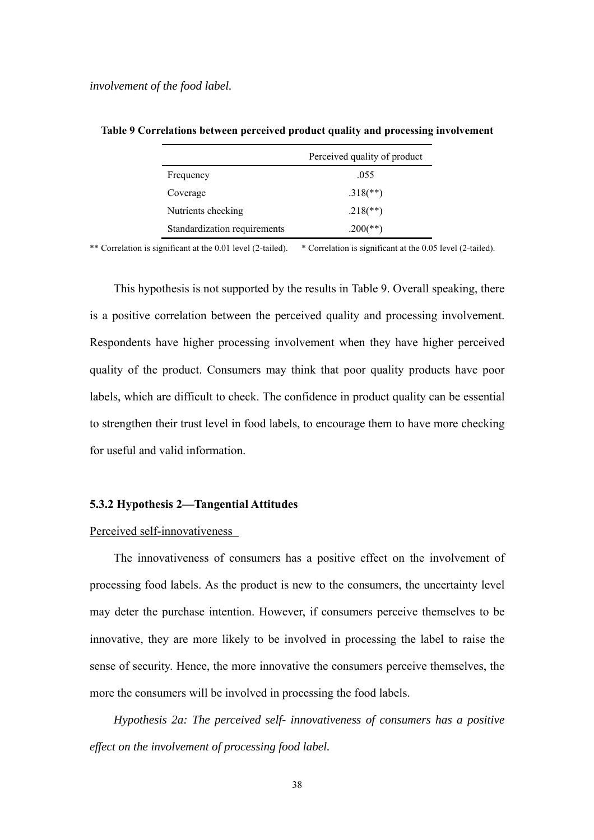|                              | Perceived quality of product |
|------------------------------|------------------------------|
| Frequency                    | .055                         |
| Coverage                     | $.318$ <sup>(**)</sup> )     |
| Nutrients checking           | $.218$ <sup>**</sup> )       |
| Standardization requirements | $.200$ (**)                  |

**Table 9 Correlations between perceived product quality and processing involvement**

\*\* Correlation is significant at the 0.01 level (2-tailed). \* Correlation is significant at the 0.05 level (2-tailed).

This hypothesis is not supported by the results in Table 9. Overall speaking, there is a positive correlation between the perceived quality and processing involvement. Respondents have higher processing involvement when they have higher perceived quality of the product. Consumers may think that poor quality products have poor labels, which are difficult to check. The confidence in product quality can be essential to strengthen their trust level in food labels, to encourage them to have more checking for useful and valid information.

### **5.3.2 Hypothesis 2—Tangential Attitudes**

#### Perceived self-innovativeness

The innovativeness of consumers has a positive effect on the involvement of processing food labels. As the product is new to the consumers, the uncertainty level may deter the purchase intention. However, if consumers perceive themselves to be innovative, they are more likely to be involved in processing the label to raise the sense of security. Hence, the more innovative the consumers perceive themselves, the more the consumers will be involved in processing the food labels.

*Hypothesis 2a: The perceived self- innovativeness of consumers has a positive effect on the involvement of processing food label.*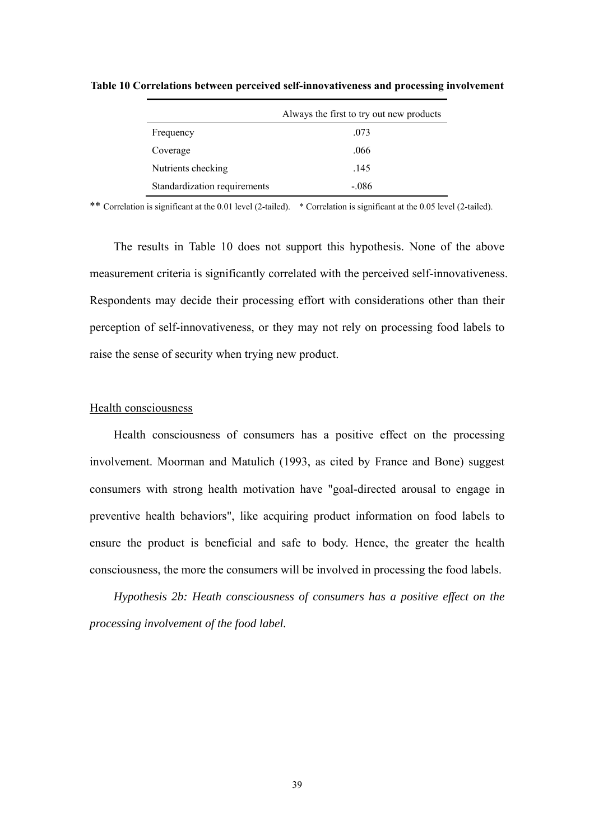|                              | Always the first to try out new products |
|------------------------------|------------------------------------------|
| Frequency                    | .073                                     |
| Coverage                     | .066                                     |
| Nutrients checking           | .145                                     |
| Standardization requirements | $-.086$                                  |

**Table 10 Correlations between perceived self-innovativeness and processing involvement** 

The results in Table 10 does not support this hypothesis. None of the above measurement criteria is significantly correlated with the perceived self-innovativeness. Respondents may decide their processing effort with considerations other than their perception of self-innovativeness, or they may not rely on processing food labels to raise the sense of security when trying new product.

# Health consciousness

 Health consciousness of consumers has a positive effect on the processing involvement. Moorman and Matulich (1993, as cited by France and Bone) suggest consumers with strong health motivation have "goal-directed arousal to engage in preventive health behaviors", like acquiring product information on food labels to ensure the product is beneficial and safe to body. Hence, the greater the health consciousness, the more the consumers will be involved in processing the food labels.

*Hypothesis 2b: Heath consciousness of consumers has a positive effect on the processing involvement of the food label.*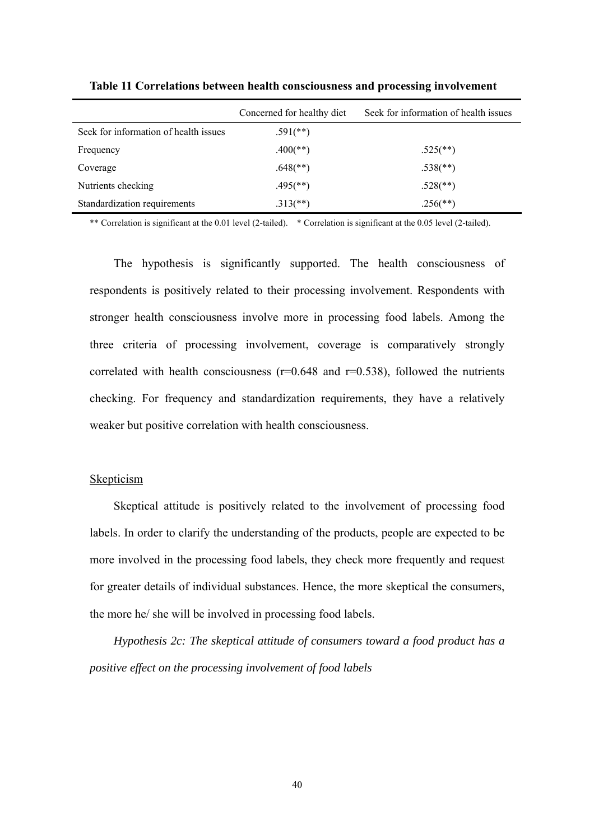|                                       | Concerned for healthy diet | Seek for information of health issues |
|---------------------------------------|----------------------------|---------------------------------------|
| Seek for information of health issues | $.591$ <sup>(**)</sup> )   |                                       |
| Frequency                             | $.400$ (**)                | $.525$ <sup>(**)</sup> )              |
| Coverage                              | $.648$ <sup>**</sup> )     | $.538$ <sup>(**)</sup> )              |
| Nutrients checking                    | $.495$ <sup>(**)</sup> )   | $.528$ <sup>(**)</sup> )              |
| Standardization requirements          | $.313$ <sup>**</sup> )     | $.256$ <sup>(**)</sup> )              |

**Table 11 Correlations between health consciousness and processing involvement**

The hypothesis is significantly supported. The health consciousness of respondents is positively related to their processing involvement. Respondents with stronger health consciousness involve more in processing food labels. Among the three criteria of processing involvement, coverage is comparatively strongly correlated with health consciousness ( $r=0.648$  and  $r=0.538$ ), followed the nutrients checking. For frequency and standardization requirements, they have a relatively weaker but positive correlation with health consciousness.

### Skepticism

Skeptical attitude is positively related to the involvement of processing food labels. In order to clarify the understanding of the products, people are expected to be more involved in the processing food labels, they check more frequently and request for greater details of individual substances. Hence, the more skeptical the consumers, the more he/ she will be involved in processing food labels.

*Hypothesis 2c: The skeptical attitude of consumers toward a food product has a positive effect on the processing involvement of food labels*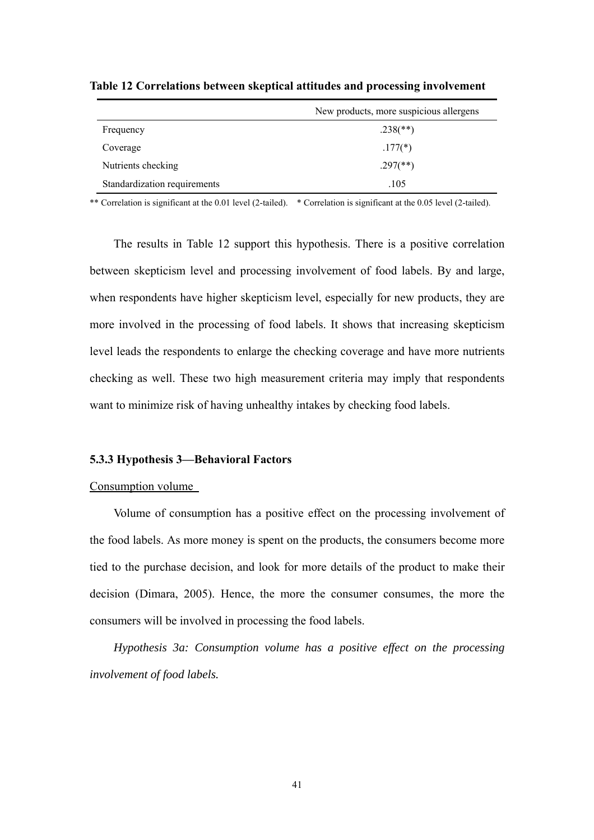|                              | New products, more suspicious allergens |
|------------------------------|-----------------------------------------|
| Frequency                    | $.238$ (**)                             |
| Coverage                     | $.177(*)$                               |
| Nutrients checking           | $.297$ <sup>(**)</sup> )                |
| Standardization requirements | .105                                    |

**Table 12 Correlations between skeptical attitudes and processing involvement** 

The results in Table 12 support this hypothesis. There is a positive correlation between skepticism level and processing involvement of food labels. By and large, when respondents have higher skepticism level, especially for new products, they are more involved in the processing of food labels. It shows that increasing skepticism level leads the respondents to enlarge the checking coverage and have more nutrients checking as well. These two high measurement criteria may imply that respondents want to minimize risk of having unhealthy intakes by checking food labels.

#### **5.3.3 Hypothesis 3—Behavioral Factors**

#### Consumption volume

Volume of consumption has a positive effect on the processing involvement of the food labels. As more money is spent on the products, the consumers become more tied to the purchase decision, and look for more details of the product to make their decision (Dimara, 2005). Hence, the more the consumer consumes, the more the consumers will be involved in processing the food labels.

*Hypothesis 3a: Consumption volume has a positive effect on the processing involvement of food labels.*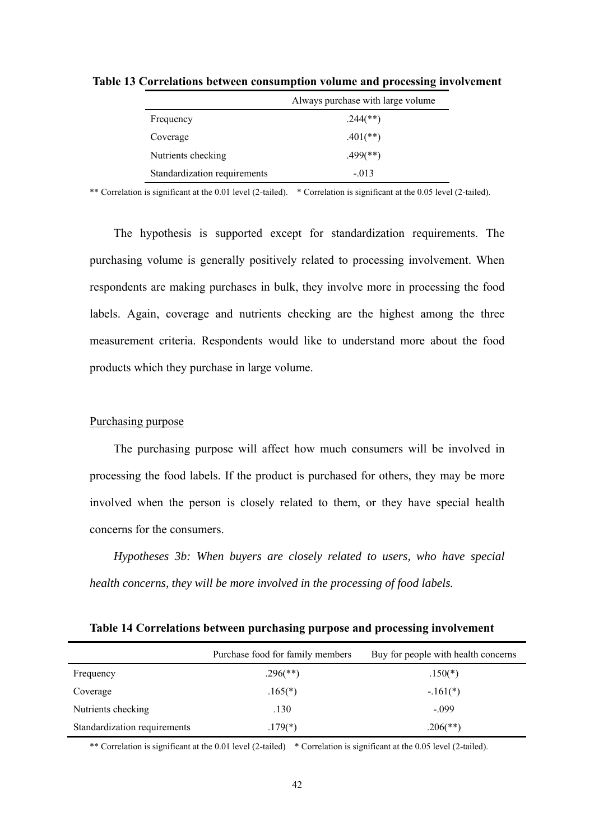|                              | Always purchase with large volume |
|------------------------------|-----------------------------------|
| Frequency                    | $.244$ (**)                       |
| Coverage                     | $.401$ (**)                       |
| Nutrients checking           | $.499$ (**)                       |
| Standardization requirements | $-.013$                           |

**Table 13 Correlations between consumption volume and processing involvement** 

The hypothesis is supported except for standardization requirements. The purchasing volume is generally positively related to processing involvement. When respondents are making purchases in bulk, they involve more in processing the food labels. Again, coverage and nutrients checking are the highest among the three measurement criteria. Respondents would like to understand more about the food products which they purchase in large volume.

# Purchasing purpose

The purchasing purpose will affect how much consumers will be involved in processing the food labels. If the product is purchased for others, they may be more involved when the person is closely related to them, or they have special health concerns for the consumers.

*Hypotheses 3b: When buyers are closely related to users, who have special health concerns, they will be more involved in the processing of food labels.* 

**Table 14 Correlations between purchasing purpose and processing involvement** 

|                              | Purchase food for family members | Buy for people with health concerns |
|------------------------------|----------------------------------|-------------------------------------|
| Frequency                    | $.296$ <sup>(**)</sup> )         | $.150(*)$                           |
| Coverage                     | $.165(*)$                        | $-.161(*)$                          |
| Nutrients checking           | .130                             | $-.099$                             |
| Standardization requirements | $.179(*)$                        | $.206$ (**)                         |

\*\* Correlation is significant at the 0.01 level (2-tailed) \* Correlation is significant at the 0.05 level (2-tailed).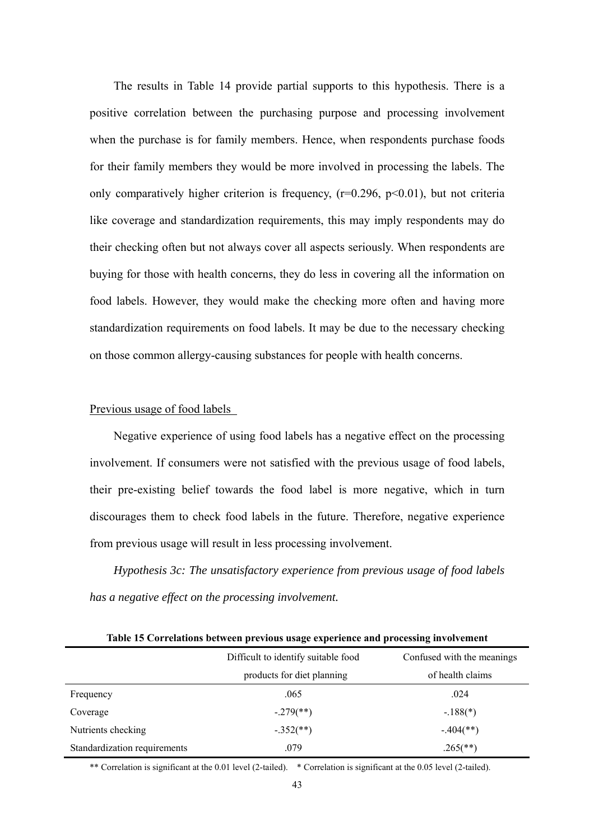The results in Table 14 provide partial supports to this hypothesis. There is a positive correlation between the purchasing purpose and processing involvement when the purchase is for family members. Hence, when respondents purchase foods for their family members they would be more involved in processing the labels. The only comparatively higher criterion is frequency,  $(r=0.296, p<0.01)$ , but not criteria like coverage and standardization requirements, this may imply respondents may do their checking often but not always cover all aspects seriously. When respondents are buying for those with health concerns, they do less in covering all the information on food labels. However, they would make the checking more often and having more standardization requirements on food labels. It may be due to the necessary checking on those common allergy-causing substances for people with health concerns.

# Previous usage of food labels

Negative experience of using food labels has a negative effect on the processing involvement. If consumers were not satisfied with the previous usage of food labels, their pre-existing belief towards the food label is more negative, which in turn discourages them to check food labels in the future. Therefore, negative experience from previous usage will result in less processing involvement.

*Hypothesis 3c: The unsatisfactory experience from previous usage of food labels has a negative effect on the processing involvement.* 

| Table 15 Correlations between previous usage experience and processing involvement |                                     |                            |  |  |  |  |
|------------------------------------------------------------------------------------|-------------------------------------|----------------------------|--|--|--|--|
|                                                                                    | Difficult to identify suitable food | Confused with the meanings |  |  |  |  |
|                                                                                    | products for diet planning          | of health claims           |  |  |  |  |
| Frequency                                                                          | .065                                | .024                       |  |  |  |  |
| Coverage                                                                           | $-.279$ <sup>**</sup> )             | $-.188(*)$                 |  |  |  |  |
| Nutrients checking                                                                 | $-.352$ (**)                        | $-.404$ <sup>**</sup> )    |  |  |  |  |
| Standardization requirements                                                       | .079                                | $.265$ <sup>(**)</sup> )   |  |  |  |  |

**Table 15 Correlations between previous usage experience and processing involvement** 

\*\* Correlation is significant at the 0.01 level (2-tailed). \* Correlation is significant at the 0.05 level (2-tailed).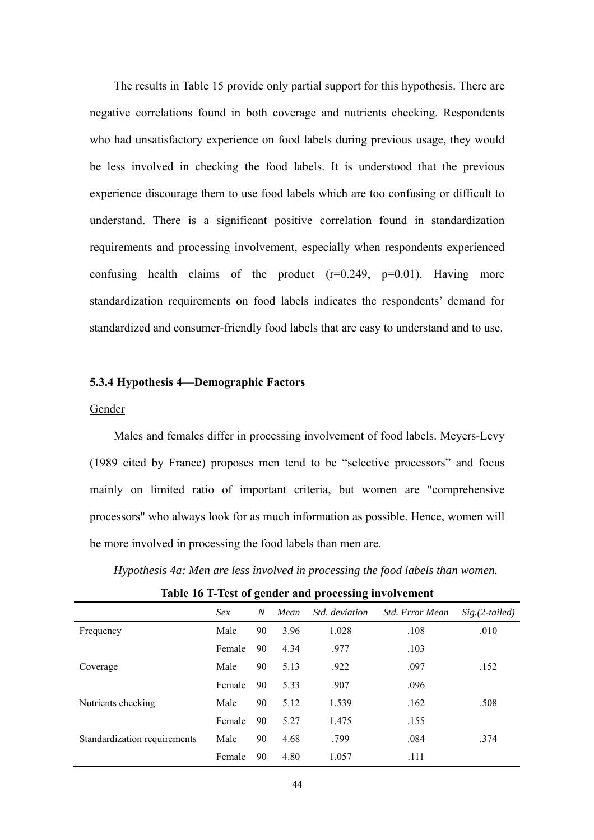The results in Table 15 provide only partial support for this hypothesis. There are negative correlations found in both coverage and nutrients checking. Respondents who had unsatisfactory experience on food labels during previous usage, they would be less involved in checking the food labels. It is understood that the previous experience discourage them to use food labels which are too confusing or difficult to understand. There is a significant positive correlation found in standardization requirements and processing involvement, especially when respondents experienced confusing health claims of the product  $(r=0.249, p=0.01)$ . Having more standardization requirements on food labels indicates the respondents' demand for standardized and consumer-friendly food labels that are easy to understand and to use.

# **5.3.4 Hypothesis 4—Demographic Factors**

# Gender

Males and females differ in processing involvement of food labels. Meyers-Levy (1989 cited by France) proposes men tend to be "selective processors" and focus mainly on limited ratio of important criteria, but women are "comprehensive processors" who always look for as much information as possible. Hence, women will be more involved in processing the food labels than men are.

*Hypothesis 4a: Men are less involved in processing the food labels than women.* 

|                              | Sex    | N  | Mean | Std. deviation | Std. Error Mean | $Sig. (2-tailed)$ |
|------------------------------|--------|----|------|----------------|-----------------|-------------------|
| Frequency                    | Male   | 90 | 3.96 | 1.028          | .108            | .010              |
|                              | Female | 90 | 4.34 | .977           | .103            |                   |
| Coverage                     | Male   | 90 | 5.13 | .922           | .097            | .152              |
|                              | Female | 90 | 5.33 | .907           | .096            |                   |
| Nutrients checking           | Male   | 90 | 5.12 | 1.539          | .162            | .508              |
|                              | Female | 90 | 5.27 | 1.475          | .155            |                   |
| Standardization requirements | Male   | 90 | 4.68 | .799           | .084            | .374              |
|                              | Female | 90 | 4.80 | 1.057          | .111            |                   |

**Table 16 T-Test of gender and processing involvement**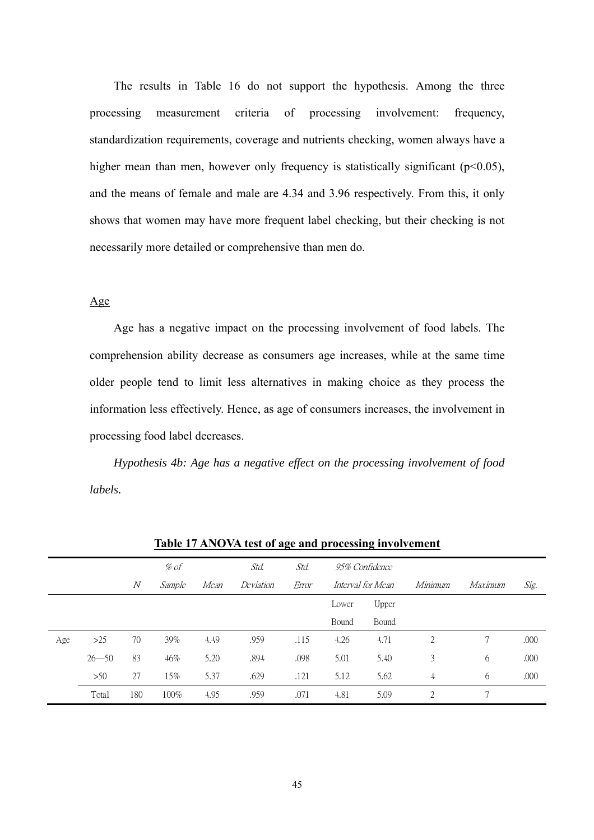The results in Table 16 do not support the hypothesis. Among the three processing measurement criteria of processing involvement: frequency, standardization requirements, coverage and nutrients checking, women always have a higher mean than men, however only frequency is statistically significant ( $p<0.05$ ), and the means of female and male are 4.34 and 3.96 respectively. From this, it only shows that women may have more frequent label checking, but their checking is not necessarily more detailed or comprehensive than men do.

# Age

Age has a negative impact on the processing involvement of food labels. The comprehension ability decrease as consumers age increases, while at the same time older people tend to limit less alternatives in making choice as they process the information less effectively. Hence, as age of consumers increases, the involvement in processing food label decreases.

*Hypothesis 4b: Age has a negative effect on the processing involvement of food labels.*

| Twore IT THEN OUR COOL WERE MIDE DECODED IN FOUR CHICAGO |           |                |        |      |           |       |       |                   |         |         |      |
|----------------------------------------------------------|-----------|----------------|--------|------|-----------|-------|-------|-------------------|---------|---------|------|
|                                                          |           |                | % of   |      | Std.      | Std.  |       | 95% Confidence    |         |         |      |
|                                                          |           | $\overline{N}$ | Sample | Mean | Deviation | Error |       | Interval for Mean | Minimum | Maximum | Sig. |
|                                                          |           |                |        |      |           |       | Lower | Upper             |         |         |      |
|                                                          |           |                |        |      |           |       | Bound | Bound             |         |         |      |
| Age                                                      | >25       | 70             | 39%    | 4.49 | .959      | .115  | 4.26  | 4.71              | 2       | 7       | .000 |
|                                                          | $26 - 50$ | 83             | 46%    | 5.20 | .894      | .098  | 5.01  | 5.40              | 3       | 6       | .000 |
|                                                          | $>50$     | 27             | 15%    | 5.37 | .629      | .121  | 5.12  | 5.62              | 4       | 6       | .000 |
|                                                          | Total     | 180            | 100%   | 4.95 | .959      | .071  | 4.81  | 5.09              | 2       | 7       |      |

**Table 17 ANOVA test of age and processing involvement**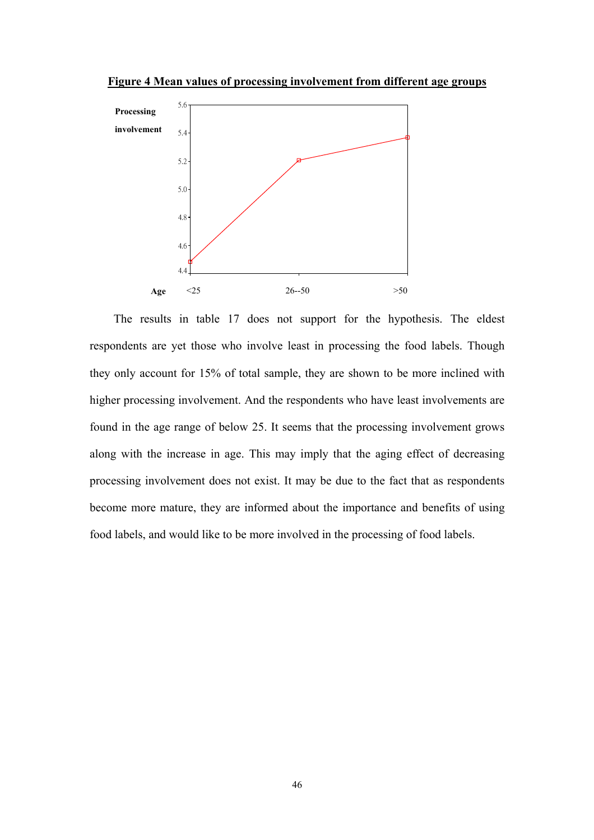**Figure 4 Mean values of processing involvement from different age groups**



The results in table 17 does not support for the hypothesis. The eldest respondents are yet those who involve least in processing the food labels. Though they only account for 15% of total sample, they are shown to be more inclined with higher processing involvement. And the respondents who have least involvements are found in the age range of below 25. It seems that the processing involvement grows along with the increase in age. This may imply that the aging effect of decreasing processing involvement does not exist. It may be due to the fact that as respondents become more mature, they are informed about the importance and benefits of using food labels, and would like to be more involved in the processing of food labels.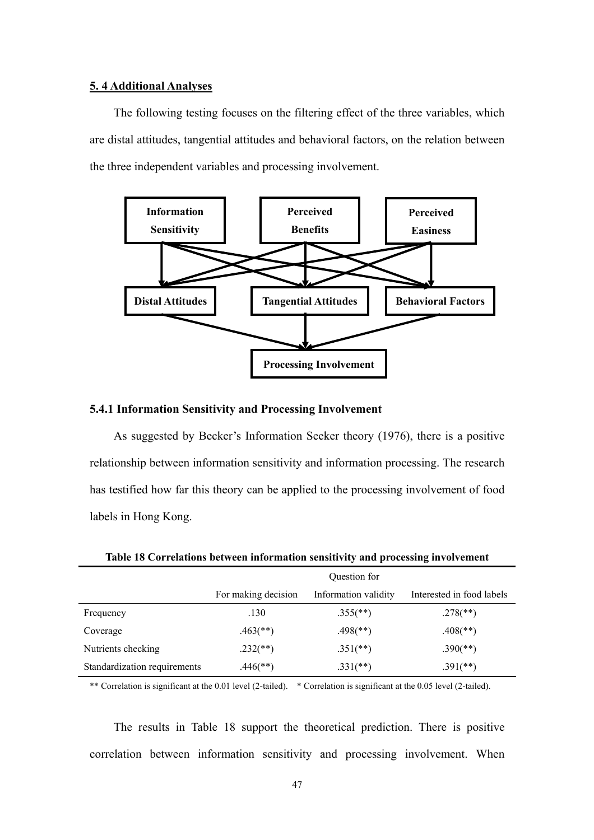# **5. 4 Additional Analyses**

 The following testing focuses on the filtering effect of the three variables, which are distal attitudes, tangential attitudes and behavioral factors, on the relation between the three independent variables and processing involvement.



# **5.4.1 Information Sensitivity and Processing Involvement**

 As suggested by Becker's Information Seeker theory (1976), there is a positive relationship between information sensitivity and information processing. The research has testified how far this theory can be applied to the processing involvement of food labels in Hong Kong.

|                              | Question for           |                          |                           |  |  |  |  |  |
|------------------------------|------------------------|--------------------------|---------------------------|--|--|--|--|--|
|                              | For making decision    | Information validity     | Interested in food labels |  |  |  |  |  |
| Frequency                    | .130                   | $.355$ (**)              | $.278$ <sup>**</sup> )    |  |  |  |  |  |
| Coverage                     | $.463$ <sup>**</sup> ) | $.498$ <sup>(**)</sup> ) | $.408$ <sup>**</sup> )    |  |  |  |  |  |
| Nutrients checking           | $.232$ (**)            | $.351$ (**)              | $.390$ (**)               |  |  |  |  |  |
| Standardization requirements | $.446$ (**)            | $.331$ (**)              | $.391$ (**)               |  |  |  |  |  |

**Table 18 Correlations between information sensitivity and processing involvement** 

\*\* Correlation is significant at the 0.01 level (2-tailed). \* Correlation is significant at the 0.05 level (2-tailed).

The results in Table 18 support the theoretical prediction. There is positive correlation between information sensitivity and processing involvement. When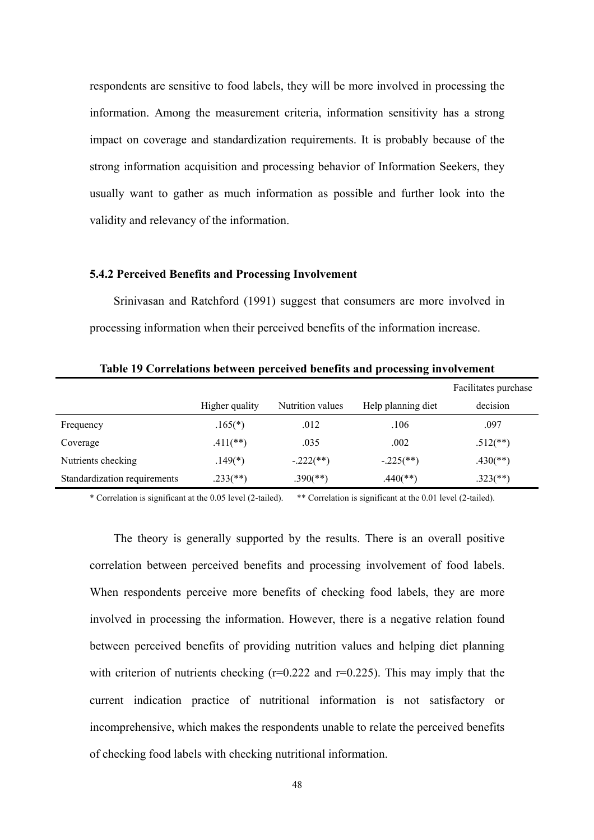respondents are sensitive to food labels, they will be more involved in processing the information. Among the measurement criteria, information sensitivity has a strong impact on coverage and standardization requirements. It is probably because of the strong information acquisition and processing behavior of Information Seekers, they usually want to gather as much information as possible and further look into the validity and relevancy of the information.

## **5.4.2 Perceived Benefits and Processing Involvement**

 Srinivasan and Ratchford (1991) suggest that consumers are more involved in processing information when their perceived benefits of the information increase.

|                              |                |                  |                    | Facilitates purchase     |
|------------------------------|----------------|------------------|--------------------|--------------------------|
|                              | Higher quality | Nutrition values | Help planning diet | decision                 |
| Frequency                    | $.165(*)$      | .012             | .106               | .097                     |
| Coverage                     | $.411$ (**)    | .035             | .002               | $.512$ <sup>**</sup> )   |
| Nutrients checking           | $.149(*)$      | $-.222$ (**)     | $-.225$ (**)       | $.430$ <sup>(**)</sup> ) |
| Standardization requirements | $.233$ (**)    | $.390$ (**)      | $.440$ (**)        | $.323$ <sup>(**)</sup> ) |

**Table 19 Correlations between perceived benefits and processing involvement** 

\* Correlation is significant at the 0.05 level (2-tailed). \*\* Correlation is significant at the 0.01 level (2-tailed).

 The theory is generally supported by the results. There is an overall positive correlation between perceived benefits and processing involvement of food labels. When respondents perceive more benefits of checking food labels, they are more involved in processing the information. However, there is a negative relation found between perceived benefits of providing nutrition values and helping diet planning with criterion of nutrients checking  $(r=0.222$  and  $r=0.225)$ . This may imply that the current indication practice of nutritional information is not satisfactory or incomprehensive, which makes the respondents unable to relate the perceived benefits of checking food labels with checking nutritional information.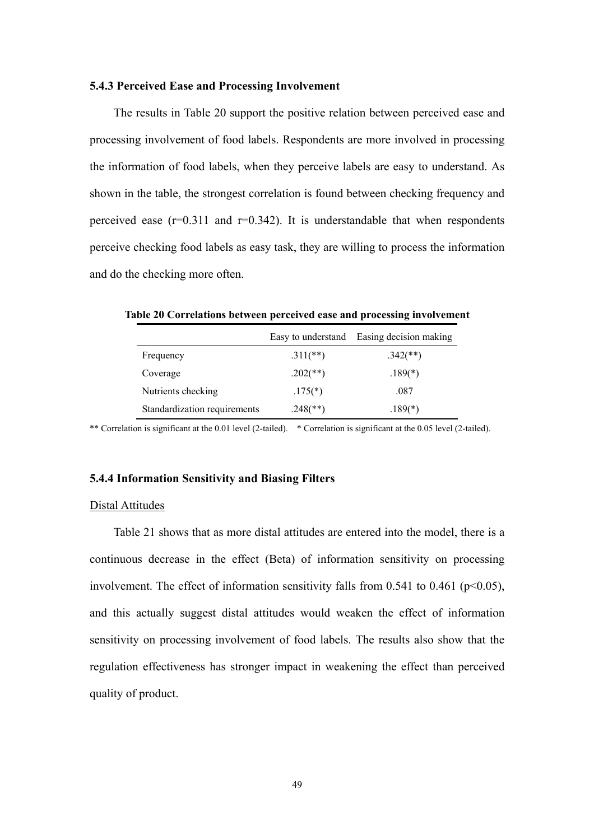#### **5.4.3 Perceived Ease and Processing Involvement**

The results in Table 20 support the positive relation between perceived ease and processing involvement of food labels. Respondents are more involved in processing the information of food labels, when they perceive labels are easy to understand. As shown in the table, the strongest correlation is found between checking frequency and perceived ease  $(r=0.311$  and  $r=0.342$ ). It is understandable that when respondents perceive checking food labels as easy task, they are willing to process the information and do the checking more often.

|                              | Easy to understand | Easing decision making |
|------------------------------|--------------------|------------------------|
| Frequency                    | $.311$ (**)        | $.342$ (**)            |
| Coverage                     | $.202$ (**)        | $.189(*)$              |
| Nutrients checking           | $.175(*)$          | .087                   |
| Standardization requirements | $.248$ (**)        | $.189(*)$              |

**Table 20 Correlations between perceived ease and processing involvement** 

\*\* Correlation is significant at the 0.01 level (2-tailed). \* Correlation is significant at the 0.05 level (2-tailed).

# **5.4.4 Information Sensitivity and Biasing Filters**

#### Distal Attitudes

 Table 21 shows that as more distal attitudes are entered into the model, there is a continuous decrease in the effect (Beta) of information sensitivity on processing involvement. The effect of information sensitivity falls from 0.541 to 0.461 ( $p<0.05$ ), and this actually suggest distal attitudes would weaken the effect of information sensitivity on processing involvement of food labels. The results also show that the regulation effectiveness has stronger impact in weakening the effect than perceived quality of product.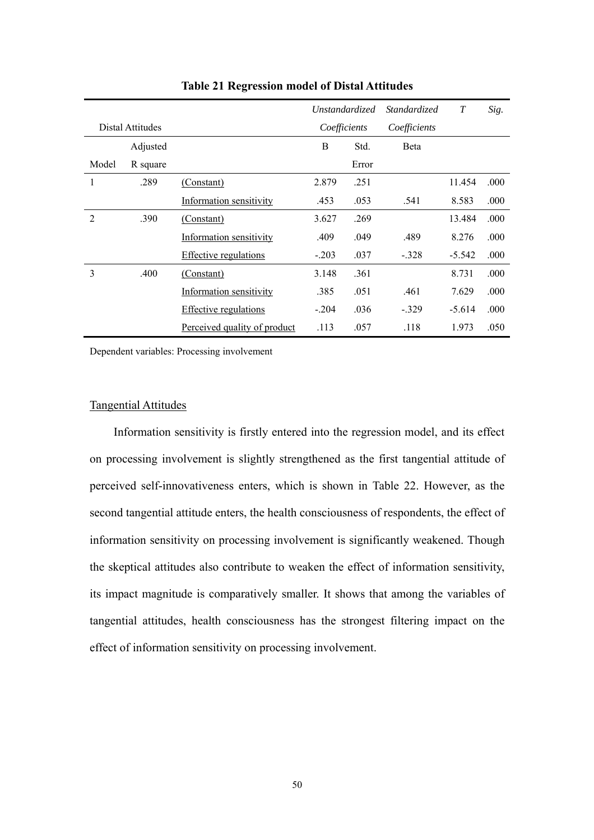|                |                  |                              |         | Unstandardized | <i>Standardized</i> | $\boldsymbol{T}$ | Sig. |
|----------------|------------------|------------------------------|---------|----------------|---------------------|------------------|------|
|                | Distal Attitudes |                              |         | Coefficients   | Coefficients        |                  |      |
|                | Adjusted         |                              | B       | Std.           | <b>B</b> eta        |                  |      |
| Model          | R square         |                              |         | Error          |                     |                  |      |
| 1              | .289             | (Constant)                   | 2.879   | .251           |                     | 11.454           | .000 |
|                |                  | Information sensitivity      | .453    | .053           | .541                | 8.583            | .000 |
| $\mathfrak{D}$ | .390             | (Constant)                   | 3.627   | .269           |                     | 13.484           | .000 |
|                |                  | Information sensitivity      | .409    | .049           | .489                | 8.276            | .000 |
|                |                  | <b>Effective regulations</b> | $-.203$ | .037           | $-.328$             | $-5.542$         | .000 |
| 3              | .400             | (Constant)                   | 3.148   | .361           |                     | 8.731            | .000 |
|                |                  | Information sensitivity      | .385    | .051           | .461                | 7.629            | .000 |
|                |                  | <b>Effective regulations</b> | $-.204$ | .036           | $-.329$             | $-5.614$         | .000 |
|                |                  | Perceived quality of product | .113    | .057           | .118                | 1.973            | .050 |

**Table 21 Regression model of Distal Attitudes** 

# Tangential Attitudes

 Information sensitivity is firstly entered into the regression model, and its effect on processing involvement is slightly strengthened as the first tangential attitude of perceived self-innovativeness enters, which is shown in Table 22. However, as the second tangential attitude enters, the health consciousness of respondents, the effect of information sensitivity on processing involvement is significantly weakened. Though the skeptical attitudes also contribute to weaken the effect of information sensitivity, its impact magnitude is comparatively smaller. It shows that among the variables of tangential attitudes, health consciousness has the strongest filtering impact on the effect of information sensitivity on processing involvement.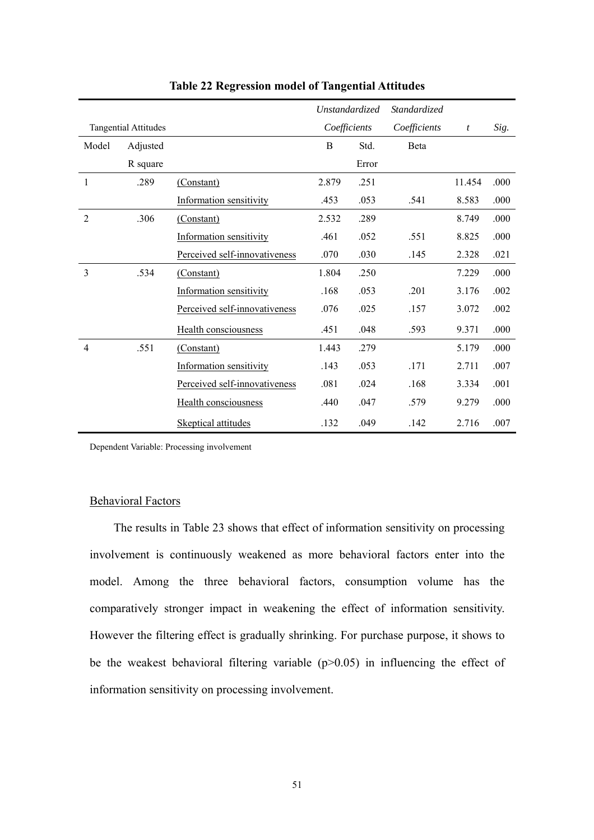|                |                             |                                | Unstandardized |              | <i>Standardized</i> |                  |      |
|----------------|-----------------------------|--------------------------------|----------------|--------------|---------------------|------------------|------|
|                | <b>Tangential Attitudes</b> |                                |                | Coefficients | Coefficients        | $\boldsymbol{t}$ | Sig. |
| Model          | Adjusted                    |                                | B              | Std.         | Beta                |                  |      |
|                | R square                    |                                |                | Error        |                     |                  |      |
| 1              | .289                        | (Constant)                     | 2.879          | .251         |                     | 11.454           | .000 |
|                |                             | Information sensitivity        | .453           | .053         | .541                | 8.583            | .000 |
| 2              | .306                        | (Constant)                     | 2.532          | .289         |                     | 8.749            | .000 |
|                |                             | Information sensitivity        | .461           | .052         | .551                | 8.825            | .000 |
|                |                             | Perceived self-innovativeness  | .070           | .030         | .145                | 2.328            | .021 |
| 3              | .534                        | (Constant)                     | 1.804          | .250         |                     | 7.229            | .000 |
|                |                             | <b>Information sensitivity</b> | .168           | .053         | .201                | 3.176            | .002 |
|                |                             | Perceived self-innovativeness  | .076           | .025         | .157                | 3.072            | .002 |
|                |                             | Health consciousness           | .451           | .048         | .593                | 9.371            | .000 |
| $\overline{4}$ | .551                        | (Constant)                     | 1.443          | .279         |                     | 5.179            | .000 |
|                |                             | Information sensitivity        | .143           | .053         | .171                | 2.711            | .007 |
|                |                             | Perceived self-innovativeness  | .081           | .024         | .168                | 3.334            | .001 |
|                |                             | Health consciousness           | .440           | .047         | .579                | 9.279            | .000 |
|                |                             | Skeptical attitudes            | .132           | .049         | .142                | 2.716            | .007 |

**Table 22 Regression model of Tangential Attitudes** 

# Behavioral Factors

 The results in Table 23 shows that effect of information sensitivity on processing involvement is continuously weakened as more behavioral factors enter into the model. Among the three behavioral factors, consumption volume has the comparatively stronger impact in weakening the effect of information sensitivity. However the filtering effect is gradually shrinking. For purchase purpose, it shows to be the weakest behavioral filtering variable  $(p>0.05)$  in influencing the effect of information sensitivity on processing involvement.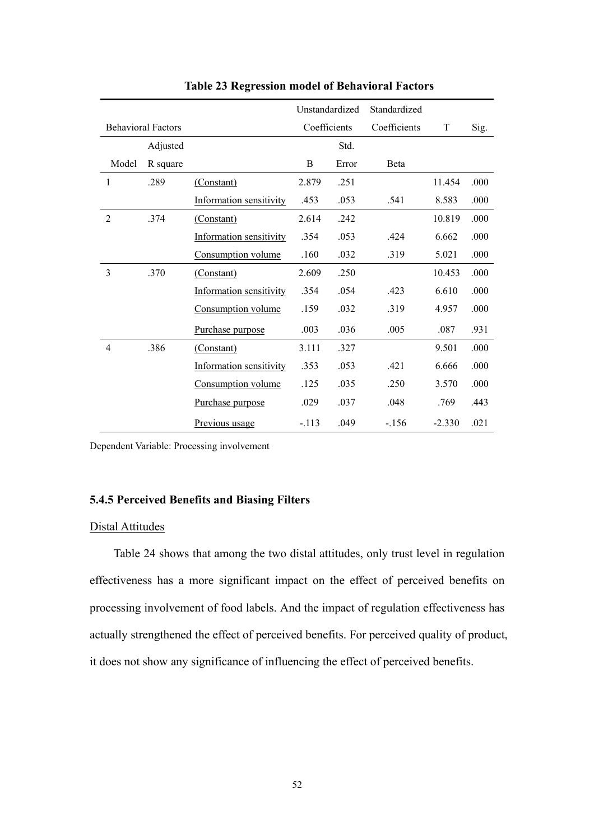|                |                           |                         |         | Unstandardized | Standardized |          |      |
|----------------|---------------------------|-------------------------|---------|----------------|--------------|----------|------|
|                | <b>Behavioral Factors</b> |                         |         | Coefficients   | Coefficients | T        | Sig. |
|                | Adjusted                  |                         |         | Std.           |              |          |      |
| Model          | R square                  |                         | B       | Error          | Beta         |          |      |
| $\mathbf{1}$   | .289                      | (Constant)              | 2.879   | .251           |              | 11.454   | .000 |
|                |                           | Information sensitivity | .453    | .053           | .541         | 8.583    | .000 |
| $\overline{2}$ | .374                      | (Constant)              | 2.614   | .242           |              | 10.819   | .000 |
|                |                           | Information sensitivity | .354    | .053           | .424         | 6.662    | .000 |
|                |                           | Consumption volume      | .160    | .032           | .319         | 5.021    | .000 |
| 3              | .370                      | (Constant)              | 2.609   | .250           |              | 10.453   | .000 |
|                |                           | Information sensitivity | .354    | .054           | .423         | 6.610    | .000 |
|                |                           | Consumption volume      | .159    | .032           | .319         | 4.957    | .000 |
|                |                           | Purchase purpose        | .003    | .036           | .005         | .087     | .931 |
| 4              | .386                      | (Constant)              | 3.111   | .327           |              | 9.501    | .000 |
|                |                           | Information sensitivity | .353    | .053           | .421         | 6.666    | .000 |
|                |                           | Consumption volume      | .125    | .035           | .250         | 3.570    | .000 |
|                |                           | Purchase purpose        | .029    | .037           | .048         | .769     | .443 |
|                |                           | Previous usage          | $-.113$ | .049           | $-.156$      | $-2.330$ | .021 |

**Table 23 Regression model of Behavioral Factors** 

# **5.4.5 Perceived Benefits and Biasing Filters**

# Distal Attitudes

 Table 24 shows that among the two distal attitudes, only trust level in regulation effectiveness has a more significant impact on the effect of perceived benefits on processing involvement of food labels. And the impact of regulation effectiveness has actually strengthened the effect of perceived benefits. For perceived quality of product, it does not show any significance of influencing the effect of perceived benefits.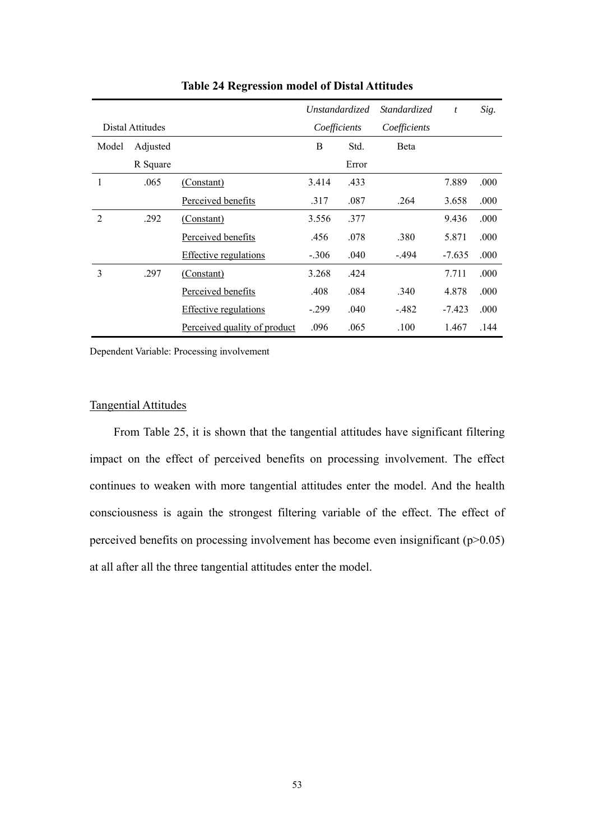|       |                  |                              |         | <b>Unstandardized</b> | <i>Standardized</i> | $\boldsymbol{t}$ | Sig. |
|-------|------------------|------------------------------|---------|-----------------------|---------------------|------------------|------|
|       | Distal Attitudes |                              |         | Coefficients          | Coefficients        |                  |      |
| Model | Adjusted         |                              | B       | Std.                  | <b>B</b> eta        |                  |      |
|       | R Square         |                              |         | Error                 |                     |                  |      |
| 1     | .065             | (Constant)                   | 3.414   | .433                  |                     | 7.889            | .000 |
|       |                  | Perceived benefits           | .317    | .087                  | .264                | 3.658            | .000 |
| 2     | .292             | (Constant)                   | 3.556   | .377                  |                     | 9.436            | .000 |
|       |                  | Perceived benefits           | .456    | .078                  | .380                | 5.871            | .000 |
|       |                  | <b>Effective regulations</b> | $-.306$ | .040                  | -.494               | $-7.635$         | .000 |
| 3     | .297             | (Constant)                   | 3.268   | .424                  |                     | 7.711            | .000 |
|       |                  | Perceived benefits           | .408    | .084                  | .340                | 4.878            | .000 |
|       |                  | <b>Effective regulations</b> | $-299$  | .040                  | $-482$              | $-7.423$         | .000 |
|       |                  | Perceived quality of product | .096    | .065                  | .100                | 1.467            | .144 |

**Table 24 Regression model of Distal Attitudes** 

# Tangential Attitudes

 From Table 25, it is shown that the tangential attitudes have significant filtering impact on the effect of perceived benefits on processing involvement. The effect continues to weaken with more tangential attitudes enter the model. And the health consciousness is again the strongest filtering variable of the effect. The effect of perceived benefits on processing involvement has become even insignificant  $(p>0.05)$ at all after all the three tangential attitudes enter the model.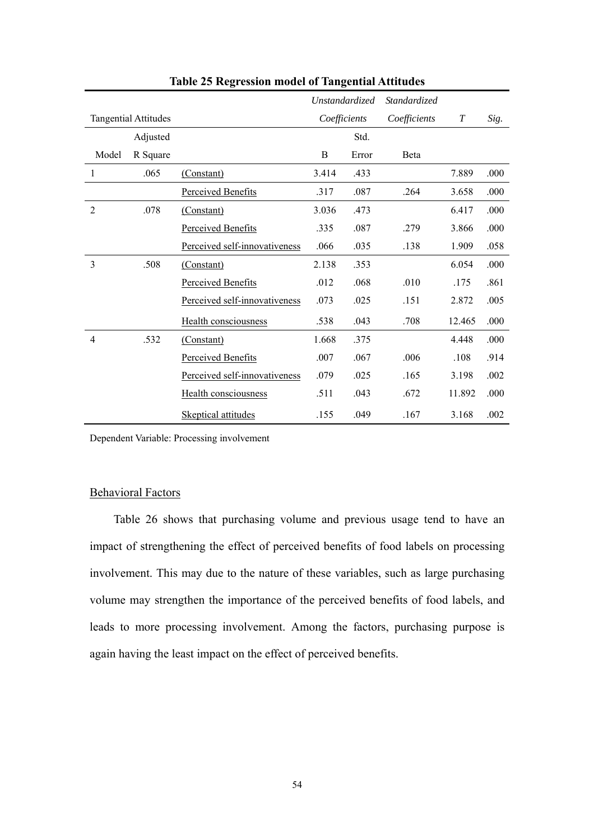|                |                             |                               |       | Unstandardized | Standardized |            |      |
|----------------|-----------------------------|-------------------------------|-------|----------------|--------------|------------|------|
|                | <b>Tangential Attitudes</b> |                               |       | Coefficients   | Coefficients | $\emph{T}$ | Sig. |
|                | Adjusted                    |                               |       | Std.           |              |            |      |
| Model          | R Square                    |                               | B     | Error          | Beta         |            |      |
| $\mathbf{1}$   | .065                        | (Constant)                    | 3.414 | .433           |              | 7.889      | .000 |
|                |                             | Perceived Benefits            | .317  | .087           | .264         | 3.658      | .000 |
| $\overline{2}$ | .078                        | (Constant)                    | 3.036 | .473           |              | 6.417      | .000 |
|                |                             | Perceived Benefits            | .335  | .087           | .279         | 3.866      | .000 |
|                |                             | Perceived self-innovativeness | .066  | .035           | .138         | 1.909      | .058 |
| 3              | .508                        | (Constant)                    | 2.138 | .353           |              | 6.054      | .000 |
|                |                             | Perceived Benefits            | .012  | .068           | .010         | .175       | .861 |
|                |                             | Perceived self-innovativeness | .073  | .025           | .151         | 2.872      | .005 |
|                |                             | Health consciousness          | .538  | .043           | .708         | 12.465     | .000 |
| 4              | .532                        | (Constant)                    | 1.668 | .375           |              | 4.448      | .000 |
|                |                             | Perceived Benefits            | .007  | .067           | .006         | .108       | .914 |
|                |                             | Perceived self-innovativeness | .079  | .025           | .165         | 3.198      | .002 |
|                |                             | <b>Health consciousness</b>   | .511  | .043           | .672         | 11.892     | .000 |
|                |                             | Skeptical attitudes           | .155  | .049           | .167         | 3.168      | .002 |

**Table 25 Regression model of Tangential Attitudes** 

# Behavioral Factors

 Table 26 shows that purchasing volume and previous usage tend to have an impact of strengthening the effect of perceived benefits of food labels on processing involvement. This may due to the nature of these variables, such as large purchasing volume may strengthen the importance of the perceived benefits of food labels, and leads to more processing involvement. Among the factors, purchasing purpose is again having the least impact on the effect of perceived benefits.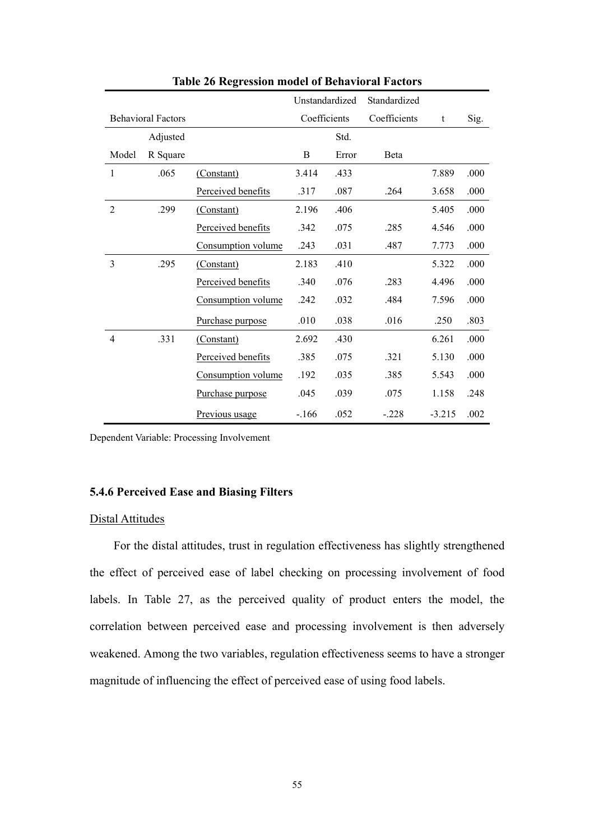|                |                           |                       | Unstandardized |       | Standardized |          |      |
|----------------|---------------------------|-----------------------|----------------|-------|--------------|----------|------|
|                | <b>Behavioral Factors</b> |                       | Coefficients   |       | Coefficients | t        | Sig. |
|                | Adjusted                  |                       |                | Std.  |              |          |      |
| Model          | R Square                  |                       | B              | Error | <b>B</b> eta |          |      |
| $\mathbf{1}$   | .065                      | (Constant)            | 3.414          | .433  |              | 7.889    | .000 |
|                |                           | Perceived benefits    | .317           | .087  | .264         | 3.658    | .000 |
| $\overline{2}$ | .299                      | (Constant)            | 2.196          | .406  |              | 5.405    | .000 |
|                |                           | Perceived benefits    | .342           | .075  | .285         | 4.546    | .000 |
|                |                           | Consumption volume    | .243           | .031  | .487         | 7.773    | .000 |
| 3              | .295                      | (Constant)            | 2.183          | .410  |              | 5.322    | .000 |
|                |                           | Perceived benefits    | .340           | .076  | .283         | 4.496    | .000 |
|                |                           | Consumption volume    | .242           | .032  | .484         | 7.596    | .000 |
|                |                           | Purchase purpose      | .010           | .038  | .016         | .250     | .803 |
| 4              | .331                      | (Constant)            | 2.692          | .430  |              | 6.261    | .000 |
|                |                           | Perceived benefits    | .385           | .075  | .321         | 5.130    | .000 |
|                |                           | Consumption volume    | .192           | .035  | .385         | 5.543    | .000 |
|                |                           | Purchase purpose      | .045           | .039  | .075         | 1.158    | .248 |
|                |                           | <u>Previous usage</u> | $-.166$        | .052  | $-.228$      | $-3.215$ | .002 |

**Table 26 Regression model of Behavioral Factors**

# **5.4.6 Perceived Ease and Biasing Filters**

## Distal Attitudes

 For the distal attitudes, trust in regulation effectiveness has slightly strengthened the effect of perceived ease of label checking on processing involvement of food labels. In Table 27, as the perceived quality of product enters the model, the correlation between perceived ease and processing involvement is then adversely weakened. Among the two variables, regulation effectiveness seems to have a stronger magnitude of influencing the effect of perceived ease of using food labels.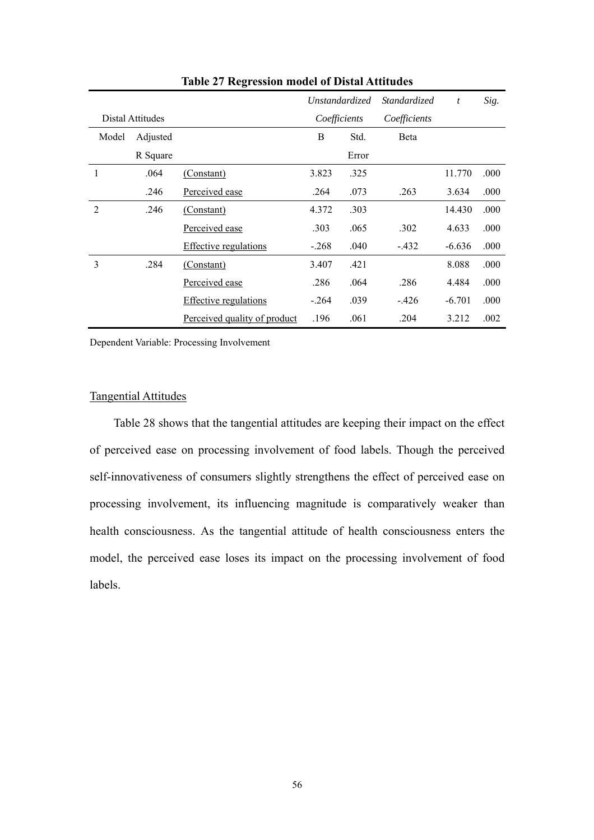|                |                  |                              |         | <i>Unstandardized</i> | Standardized | t        | Sig. |
|----------------|------------------|------------------------------|---------|-----------------------|--------------|----------|------|
|                | Distal Attitudes |                              |         | Coefficients          | Coefficients |          |      |
| Model          | Adjusted         |                              | B       | Std.                  | Beta         |          |      |
|                | R Square         |                              |         | Error                 |              |          |      |
| 1              | .064             | (Constant)                   | 3.823   | .325                  |              | 11.770   | .000 |
|                | .246             | Perceived ease               | .264    | .073                  | .263         | 3.634    | .000 |
| $\overline{2}$ | .246             | (Constant)                   | 4.372   | .303                  |              | 14.430   | .000 |
|                |                  | Perceived ease               | .303    | .065                  | .302         | 4.633    | .000 |
|                |                  | <b>Effective regulations</b> | $-.268$ | .040                  | $-432$       | $-6.636$ | .000 |
| 3              | .284             | (Constant)                   | 3.407   | .421                  |              | 8.088    | .000 |
|                |                  | Perceived ease               | .286    | .064                  | .286         | 4.484    | .000 |
|                |                  | <b>Effective regulations</b> | $-.264$ | .039                  | $-426$       | $-6.701$ | .000 |
|                |                  | Perceived quality of product | .196    | .061                  | .204         | 3.212    | .002 |

**Table 27 Regression model of Distal Attitudes** 

# Tangential Attitudes

 Table 28 shows that the tangential attitudes are keeping their impact on the effect of perceived ease on processing involvement of food labels. Though the perceived self-innovativeness of consumers slightly strengthens the effect of perceived ease on processing involvement, its influencing magnitude is comparatively weaker than health consciousness. As the tangential attitude of health consciousness enters the model, the perceived ease loses its impact on the processing involvement of food labels.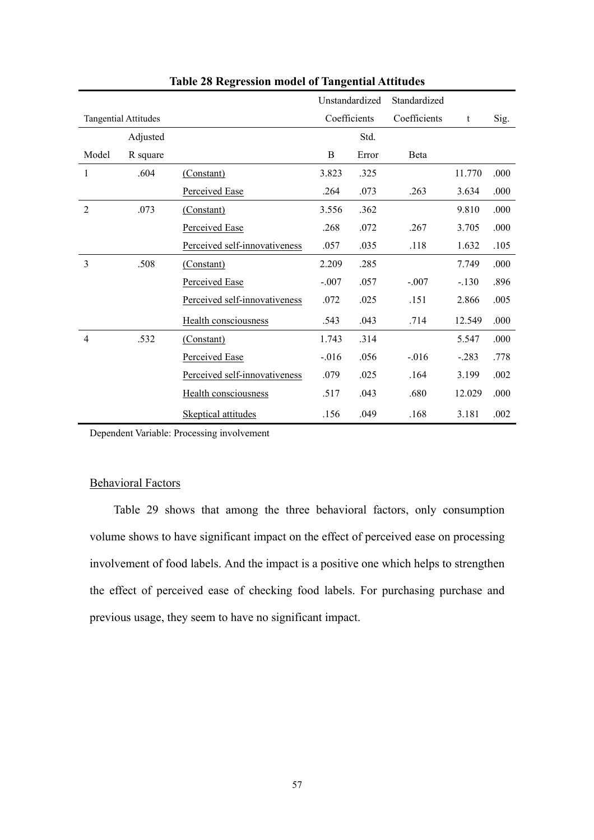|                |                             |                               |          | Unstandardized | Standardized |         |      |
|----------------|-----------------------------|-------------------------------|----------|----------------|--------------|---------|------|
|                | <b>Tangential Attitudes</b> |                               |          | Coefficients   | Coefficients | t       | Sig. |
|                | Adjusted                    |                               |          | Std.           |              |         |      |
| Model          | R square                    |                               | B        | Error          | Beta         |         |      |
| 1              | .604                        | (Constant)                    | 3.823    | .325           |              | 11.770  | .000 |
|                |                             | Perceived Ease                | .264     | .073           | .263         | 3.634   | .000 |
| $\overline{2}$ | .073                        | (Constant)                    | 3.556    | .362           |              | 9.810   | .000 |
|                |                             | Perceived Ease                | .268     | .072           | .267         | 3.705   | .000 |
|                |                             | Perceived self-innovativeness | .057     | .035           | .118         | 1.632   | .105 |
| $\overline{3}$ | .508                        | (Constant)                    | 2.209    | .285           |              | 7.749   | .000 |
|                |                             | Perceived Ease                | $-.007$  | .057           | $-.007$      | $-.130$ | .896 |
|                |                             | Perceived self-innovativeness | .072     | .025           | .151         | 2.866   | .005 |
|                |                             | Health consciousness          | .543     | .043           | .714         | 12.549  | .000 |
| $\overline{4}$ | .532                        | (Constant)                    | 1.743    | .314           |              | 5.547   | .000 |
|                |                             | Perceived Ease                | $-0.016$ | .056           | $-.016$      | $-.283$ | .778 |
|                |                             | Perceived self-innovativeness | .079     | .025           | .164         | 3.199   | .002 |
|                |                             | Health consciousness          | .517     | .043           | .680         | 12.029  | .000 |
|                |                             | <b>Skeptical attitudes</b>    | .156     | .049           | .168         | 3.181   | .002 |

**Table 28 Regression model of Tangential Attitudes**

# Behavioral Factors

 Table 29 shows that among the three behavioral factors, only consumption volume shows to have significant impact on the effect of perceived ease on processing involvement of food labels. And the impact is a positive one which helps to strengthen the effect of perceived ease of checking food labels. For purchasing purchase and previous usage, they seem to have no significant impact.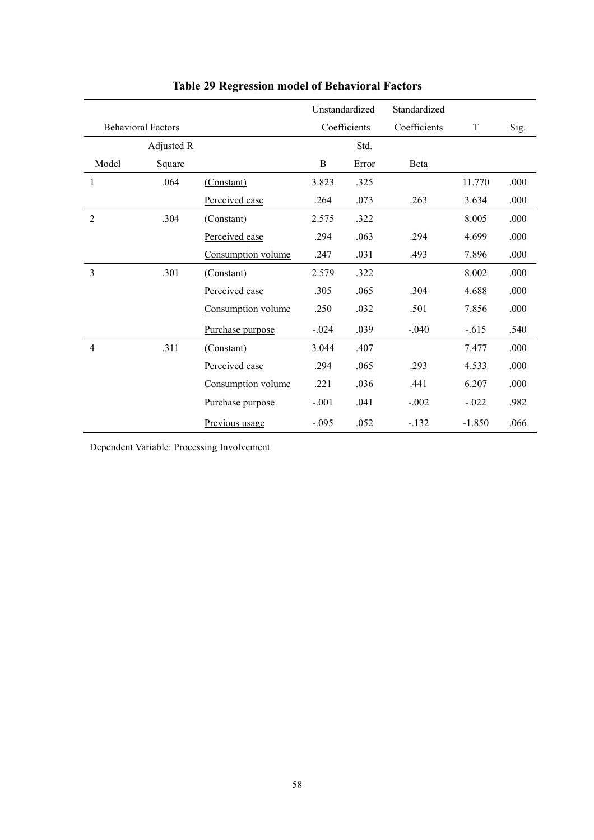|                |                           |                    |         | Unstandardized | Standardized |          |      |
|----------------|---------------------------|--------------------|---------|----------------|--------------|----------|------|
|                | <b>Behavioral Factors</b> |                    |         | Coefficients   | Coefficients | T        | Sig. |
|                | Adjusted R                |                    |         | Std.           |              |          |      |
| Model          | Square                    |                    | B       | Error          | <b>B</b> eta |          |      |
| 1              | .064                      | (Constant)         | 3.823   | .325           |              | 11.770   | .000 |
|                |                           | Perceived ease     | .264    | .073           | .263         | 3.634    | .000 |
| $\overline{2}$ | .304                      | (Constant)         | 2.575   | .322           |              | 8.005    | .000 |
|                |                           | Perceived ease     | .294    | .063           | .294         | 4.699    | .000 |
|                |                           | Consumption volume | .247    | .031           | .493         | 7.896    | .000 |
| 3              | .301                      | (Constant)         | 2.579   | .322           |              | 8.002    | .000 |
|                |                           | Perceived ease     | .305    | .065           | .304         | 4.688    | .000 |
|                |                           | Consumption volume | .250    | .032           | .501         | 7.856    | .000 |
|                |                           | Purchase purpose   | $-.024$ | .039           | $-.040$      | $-.615$  | .540 |
| $\overline{4}$ | .311                      | (Constant)         | 3.044   | .407           |              | 7.477    | .000 |
|                |                           | Perceived ease     | .294    | .065           | .293         | 4.533    | .000 |
|                |                           | Consumption volume | .221    | .036           | .441         | 6.207    | .000 |
|                |                           | Purchase purpose   | $-.001$ | .041           | $-.002$      | $-.022$  | .982 |
|                |                           | Previous usage     | $-.095$ | .052           | $-132$       | $-1.850$ | .066 |

**Table 29 Regression model of Behavioral Factors**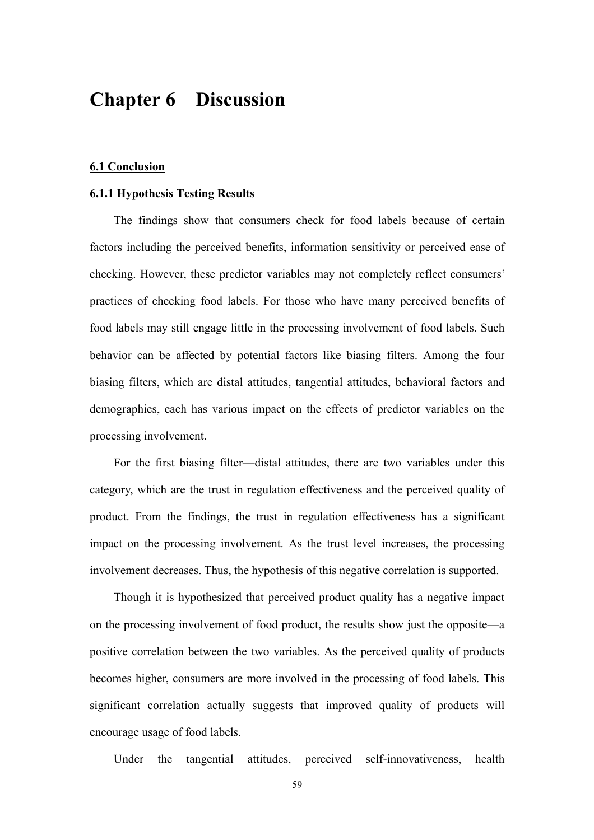# **Chapter 6 Discussion**

#### **6.1 Conclusion**

# **6.1.1 Hypothesis Testing Results**

 The findings show that consumers check for food labels because of certain factors including the perceived benefits, information sensitivity or perceived ease of checking. However, these predictor variables may not completely reflect consumers' practices of checking food labels. For those who have many perceived benefits of food labels may still engage little in the processing involvement of food labels. Such behavior can be affected by potential factors like biasing filters. Among the four biasing filters, which are distal attitudes, tangential attitudes, behavioral factors and demographics, each has various impact on the effects of predictor variables on the processing involvement.

 For the first biasing filter—distal attitudes, there are two variables under this category, which are the trust in regulation effectiveness and the perceived quality of product. From the findings, the trust in regulation effectiveness has a significant impact on the processing involvement. As the trust level increases, the processing involvement decreases. Thus, the hypothesis of this negative correlation is supported.

 Though it is hypothesized that perceived product quality has a negative impact on the processing involvement of food product, the results show just the opposite—a positive correlation between the two variables. As the perceived quality of products becomes higher, consumers are more involved in the processing of food labels. This significant correlation actually suggests that improved quality of products will encourage usage of food labels.

Under the tangential attitudes, perceived self-innovativeness, health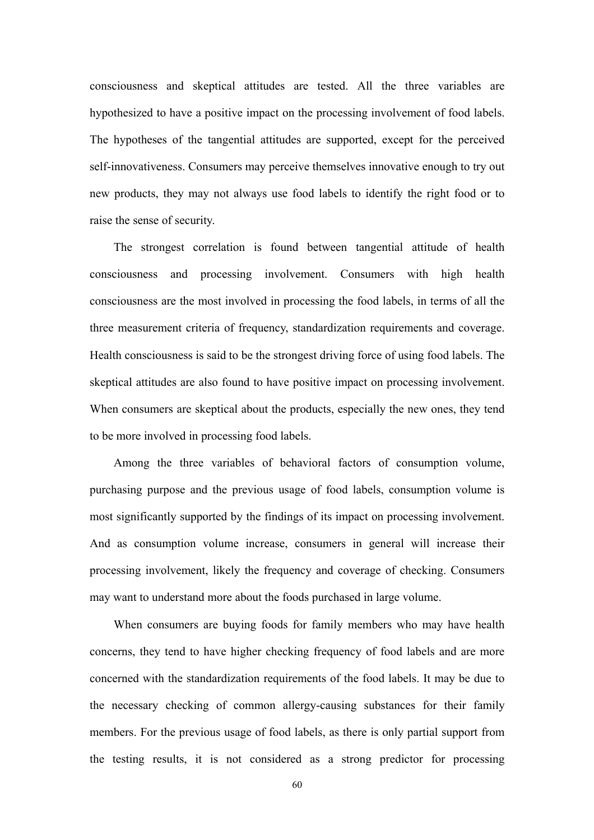consciousness and skeptical attitudes are tested. All the three variables are hypothesized to have a positive impact on the processing involvement of food labels. The hypotheses of the tangential attitudes are supported, except for the perceived self-innovativeness. Consumers may perceive themselves innovative enough to try out new products, they may not always use food labels to identify the right food or to raise the sense of security.

 The strongest correlation is found between tangential attitude of health consciousness and processing involvement. Consumers with high health consciousness are the most involved in processing the food labels, in terms of all the three measurement criteria of frequency, standardization requirements and coverage. Health consciousness is said to be the strongest driving force of using food labels. The skeptical attitudes are also found to have positive impact on processing involvement. When consumers are skeptical about the products, especially the new ones, they tend to be more involved in processing food labels.

 Among the three variables of behavioral factors of consumption volume, purchasing purpose and the previous usage of food labels, consumption volume is most significantly supported by the findings of its impact on processing involvement. And as consumption volume increase, consumers in general will increase their processing involvement, likely the frequency and coverage of checking. Consumers may want to understand more about the foods purchased in large volume.

 When consumers are buying foods for family members who may have health concerns, they tend to have higher checking frequency of food labels and are more concerned with the standardization requirements of the food labels. It may be due to the necessary checking of common allergy-causing substances for their family members. For the previous usage of food labels, as there is only partial support from the testing results, it is not considered as a strong predictor for processing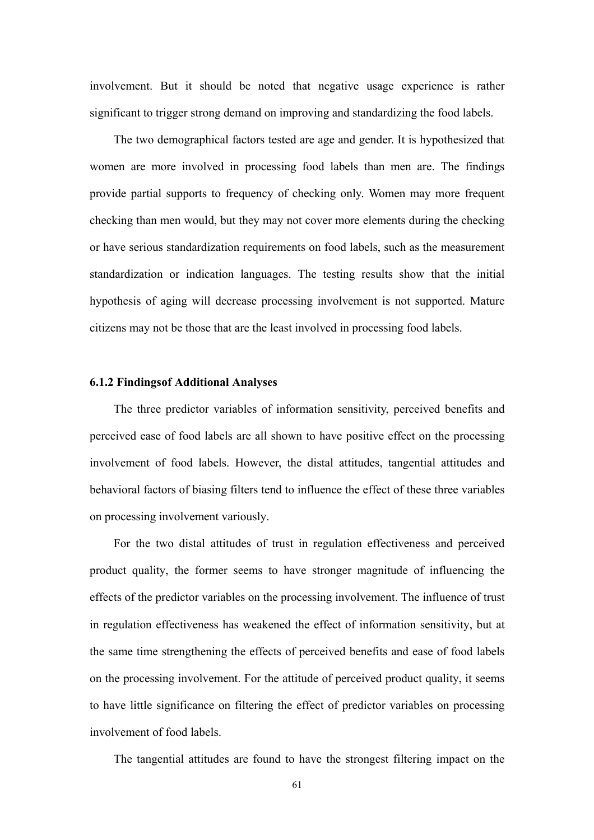involvement. But it should be noted that negative usage experience is rather significant to trigger strong demand on improving and standardizing the food labels.

 The two demographical factors tested are age and gender. It is hypothesized that women are more involved in processing food labels than men are. The findings provide partial supports to frequency of checking only. Women may more frequent checking than men would, but they may not cover more elements during the checking or have serious standardization requirements on food labels, such as the measurement standardization or indication languages. The testing results show that the initial hypothesis of aging will decrease processing involvement is not supported. Mature citizens may not be those that are the least involved in processing food labels.

# **6.1.2 Findings of Additional Analyses**

 The three predictor variables of information sensitivity, perceived benefits and perceived ease of food labels are all shown to have positive effect on the processing involvement of food labels. However, the distal attitudes, tangential attitudes and behavioral factors of biasing filters tend to influence the effect of these three variables on processing involvement variously.

 For the two distal attitudes of trust in regulation effectiveness and perceived product quality, the former seems to have stronger magnitude of influencing the effects of the predictor variables on the processing involvement. The influence of trust in regulation effectiveness has weakened the effect of information sensitivity, but at the same time strengthening the effects of perceived benefits and ease of food labels on the processing involvement. For the attitude of perceived product quality, it seems to have little significance on filtering the effect of predictor variables on processing involvement of food labels.

The tangential attitudes are found to have the strongest filtering impact on the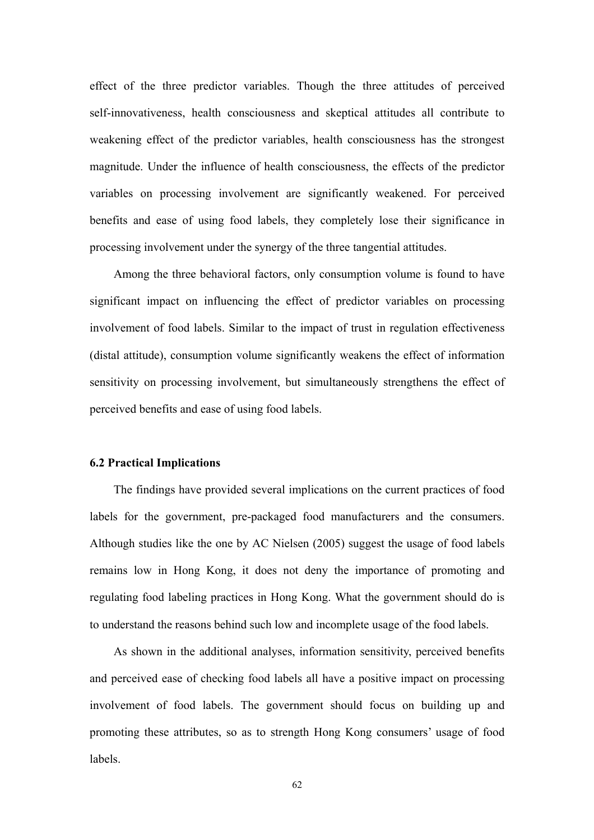effect of the three predictor variables. Though the three attitudes of perceived self-innovativeness, health consciousness and skeptical attitudes all contribute to weakening effect of the predictor variables, health consciousness has the strongest magnitude. Under the influence of health consciousness, the effects of the predictor variables on processing involvement are significantly weakened. For perceived benefits and ease of using food labels, they completely lose their significance in processing involvement under the synergy of the three tangential attitudes.

 Among the three behavioral factors, only consumption volume is found to have significant impact on influencing the effect of predictor variables on processing involvement of food labels. Similar to the impact of trust in regulation effectiveness (distal attitude), consumption volume significantly weakens the effect of information sensitivity on processing involvement, but simultaneously strengthens the effect of perceived benefits and ease of using food labels.

### **6.2 Practical Implications**

 The findings have provided several implications on the current practices of food labels for the government, pre-packaged food manufacturers and the consumers. Although studies like the one by AC Nielsen (2005) suggest the usage of food labels remains low in Hong Kong, it does not deny the importance of promoting and regulating food labeling practices in Hong Kong. What the government should do is to understand the reasons behind such low and incomplete usage of the food labels.

 As shown in the additional analyses, information sensitivity, perceived benefits and perceived ease of checking food labels all have a positive impact on processing involvement of food labels. The government should focus on building up and promoting these attributes, so as to strength Hong Kong consumers' usage of food labels.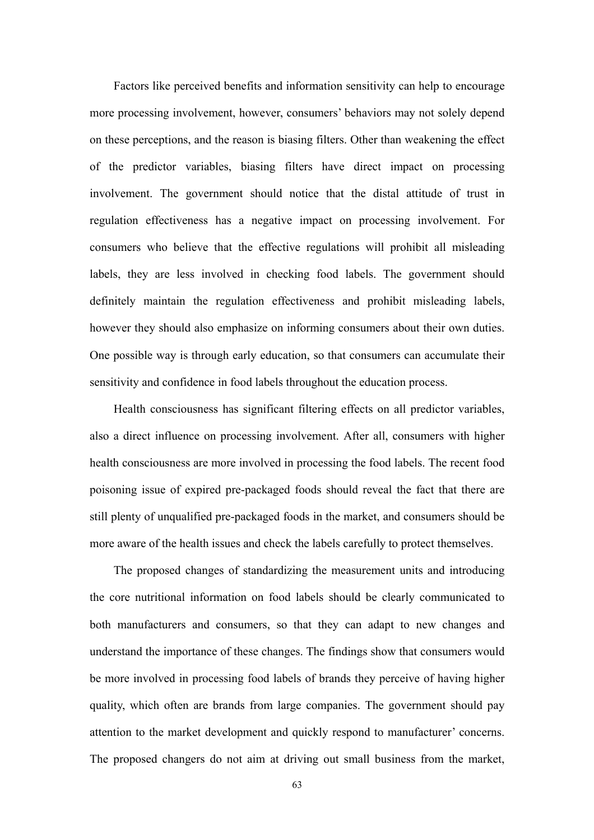Factors like perceived benefits and information sensitivity can help to encourage more processing involvement, however, consumers' behaviors may not solely depend on these perceptions, and the reason is biasing filters. Other than weakening the effect of the predictor variables, biasing filters have direct impact on processing involvement. The government should notice that the distal attitude of trust in regulation effectiveness has a negative impact on processing involvement. For consumers who believe that the effective regulations will prohibit all misleading labels, they are less involved in checking food labels. The government should definitely maintain the regulation effectiveness and prohibit misleading labels, however they should also emphasize on informing consumers about their own duties. One possible way is through early education, so that consumers can accumulate their sensitivity and confidence in food labels throughout the education process.

 Health consciousness has significant filtering effects on all predictor variables, also a direct influence on processing involvement. After all, consumers with higher health consciousness are more involved in processing the food labels. The recent food poisoning issue of expired pre-packaged foods should reveal the fact that there are still plenty of unqualified pre-packaged foods in the market, and consumers should be more aware of the health issues and check the labels carefully to protect themselves.

 The proposed changes of standardizing the measurement units and introducing the core nutritional information on food labels should be clearly communicated to both manufacturers and consumers, so that they can adapt to new changes and understand the importance of these changes. The findings show that consumers would be more involved in processing food labels of brands they perceive of having higher quality, which often are brands from large companies. The government should pay attention to the market development and quickly respond to manufacturer' concerns. The proposed changers do not aim at driving out small business from the market,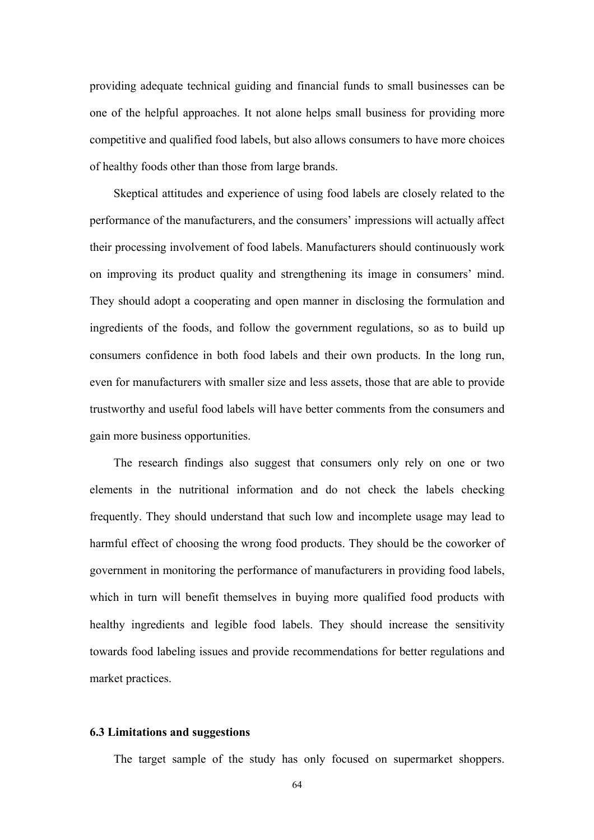providing adequate technical guiding and financial funds to small businesses can be one of the helpful approaches. It not alone helps small business for providing more competitive and qualified food labels, but also allows consumers to have more choices of healthy foods other than those from large brands.

 Skeptical attitudes and experience of using food labels are closely related to the performance of the manufacturers, and the consumers' impressions will actually affect their processing involvement of food labels. Manufacturers should continuously work on improving its product quality and strengthening its image in consumers' mind. They should adopt a cooperating and open manner in disclosing the formulation and ingredients of the foods, and follow the government regulations, so as to build up consumers confidence in both food labels and their own products. In the long run, even for manufacturers with smaller size and less assets, those that are able to provide trustworthy and useful food labels will have better comments from the consumers and gain more business opportunities.

The research findings also suggest that consumers only rely on one or two elements in the nutritional information and do not check the labels checking frequently. They should understand that such low and incomplete usage may lead to harmful effect of choosing the wrong food products. They should be the coworker of government in monitoring the performance of manufacturers in providing food labels, which in turn will benefit themselves in buying more qualified food products with healthy ingredients and legible food labels. They should increase the sensitivity towards food labeling issues and provide recommendations for better regulations and market practices.

# **6.3 Limitations and suggestions**

The target sample of the study has only focused on supermarket shoppers.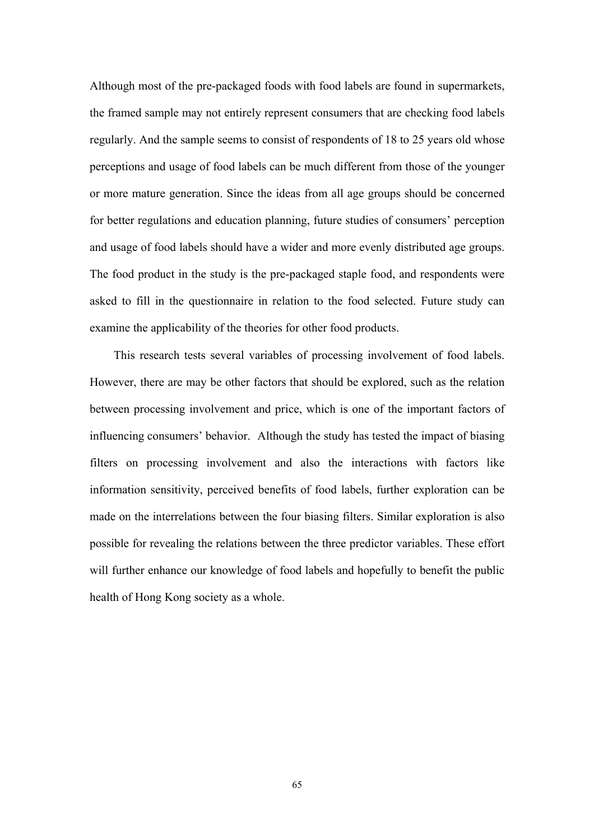Although most of the pre-packaged foods with food labels are found in supermarkets, the framed sample may not entirely represent consumers that are checking food labels regularly. And the sample seems to consist of respondents of 18 to 25 years old whose perceptions and usage of food labels can be much different from those of the younger or more mature generation. Since the ideas from all age groups should be concerned for better regulations and education planning, future studies of consumers' perception and usage of food labels should have a wider and more evenly distributed age groups. The food product in the study is the pre-packaged staple food, and respondents were asked to fill in the questionnaire in relation to the food selected. Future study can examine the applicability of the theories for other food products.

This research tests several variables of processing involvement of food labels. However, there are may be other factors that should be explored, such as the relation between processing involvement and price, which is one of the important factors of influencing consumers' behavior. Although the study has tested the impact of biasing filters on processing involvement and also the interactions with factors like information sensitivity, perceived benefits of food labels, further exploration can be made on the interrelations between the four biasing filters. Similar exploration is also possible for revealing the relations between the three predictor variables. These effort will further enhance our knowledge of food labels and hopefully to benefit the public health of Hong Kong society as a whole.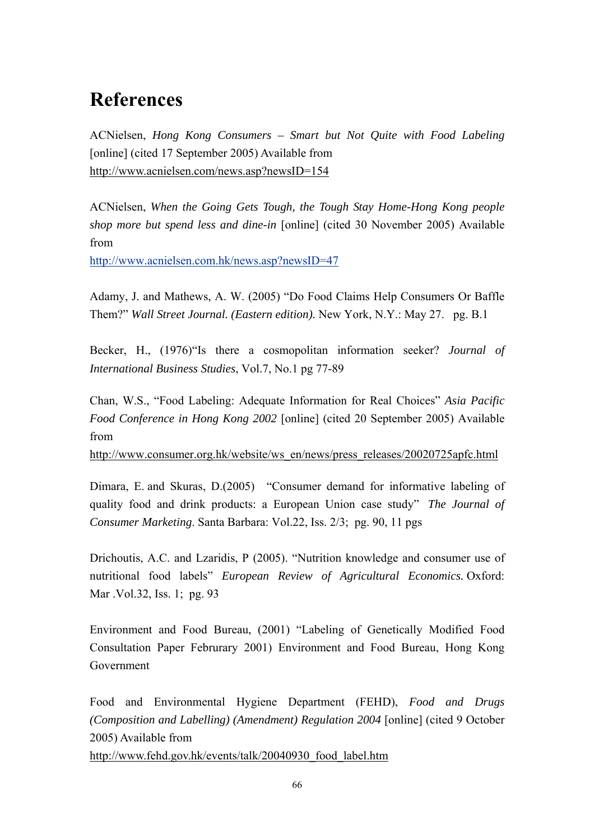# **References**

ACNielsen, *Hong Kong Consumers – Smart but Not Quite with Food Labeling* [online] (cited 17 September 2005) Available from http://www.acnielsen.com/news.asp?newsID=154

ACNielsen, *When the Going Gets Tough, the Tough Stay Home-Hong Kong people shop more but spend less and dine-in* [online] (cited 30 November 2005) Available from

http://www.acnielsen.com.hk/news.asp?newsID=47

Adamy, J. and Mathews, A. W. (2005) "Do Food Claims Help Consumers Or Baffle Them?" *Wall Street Journal. (Eastern edition).* New York, N.Y.: May 27. pg. B.1

Becker, H., (1976)"Is there a cosmopolitan information seeker? *Journal of International Business Studies*, Vol.7, No.1 pg 77-89

Chan, W.S., "Food Labeling: Adequate Information for Real Choices" *Asia Pacific Food Conference in Hong Kong 2002* [online] (cited 20 September 2005) Available from

http://www.consumer.org.hk/website/ws\_en/news/press\_releases/20020725apfc.html

Dimara, E. and Skuras, D.(2005) "Consumer demand for informative labeling of quality food and drink products: a European Union case study" *The Journal of Consumer Marketing*. Santa Barbara: Vol.22, Iss. 2/3; pg. 90, 11 pgs

Drichoutis, A.C. and Lzaridis, P (2005). "Nutrition knowledge and consumer use of nutritional food labels" *European Review of Agricultural Economics.* Oxford: Mar .Vol.32, Iss. 1; pg. 93

Environment and Food Bureau, (2001) "Labeling of Genetically Modified Food Consultation Paper Februrary 2001) Environment and Food Bureau, Hong Kong Government

Food and Environmental Hygiene Department (FEHD), *Food and Drugs (Composition and Labelling) (Amendment) Regulation 2004* [online] (cited 9 October 2005) Available from http://www.fehd.gov.hk/events/talk/20040930\_food\_label.htm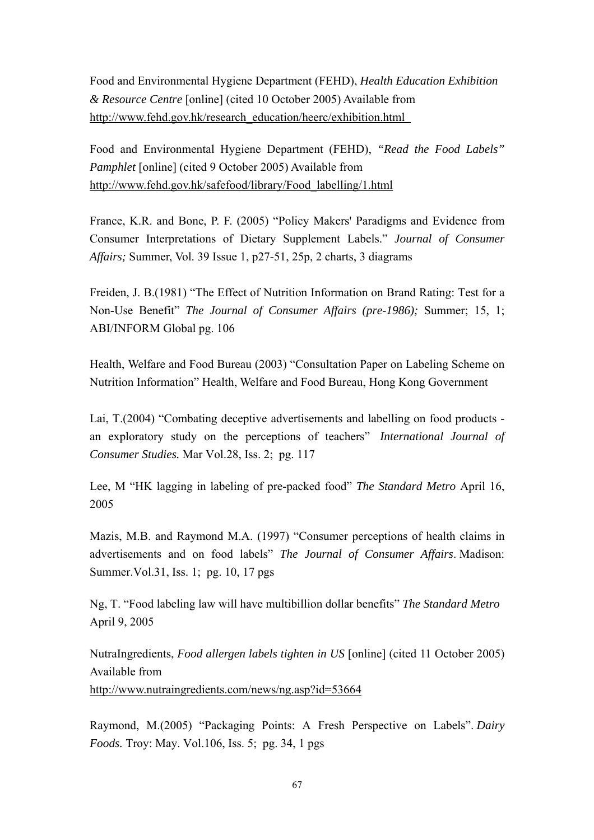Food and Environmental Hygiene Department (FEHD), *Health Education Exhibition & Resource Centre* [online] (cited 10 October 2005) Available from http://www.fehd.gov.hk/research\_education/heerc/exhibition.html

Food and Environmental Hygiene Department (FEHD), *"Read the Food Labels" Pamphlet* [online] (cited 9 October 2005) Available from http://www.fehd.gov.hk/safefood/library/Food\_labelling/1.html

France, K.R. and Bone, P. F. (2005) "Policy Makers' Paradigms and Evidence from Consumer Interpretations of Dietary Supplement Labels." *Journal of Consumer Affairs;* Summer, Vol. 39 Issue 1, p27-51, 25p, 2 charts, 3 diagrams

Freiden, J. B.(1981) "The Effect of Nutrition Information on Brand Rating: Test for a Non-Use Benefit" *The Journal of Consumer Affairs (pre-1986);* Summer; 15, 1; ABI/INFORM Global pg. 106

Health, Welfare and Food Bureau (2003) "Consultation Paper on Labeling Scheme on Nutrition Information" Health, Welfare and Food Bureau, Hong Kong Government

Lai, T.(2004) "Combating deceptive advertisements and labelling on food products an exploratory study on the perceptions of teachers" *International Journal of Consumer Studies.* Mar Vol.28, Iss. 2; pg. 117

Lee, M "HK lagging in labeling of pre-packed food" *The Standard Metro* April 16, 2005

Mazis, M.B. and Raymond M.A. (1997) "Consumer perceptions of health claims in advertisements and on food labels" *The Journal of Consumer Affairs*. Madison: Summer.Vol.31, Iss. 1; pg. 10, 17 pgs

Ng, T. "Food labeling law will have multibillion dollar benefits" *The Standard Metro*  April 9, 2005

NutraIngredients, *Food allergen labels tighten in US* [online] (cited 11 October 2005) Available from http://www.nutraingredients.com/news/ng.asp?id=53664

Raymond, M.(2005) "Packaging Points: A Fresh Perspective on Labels". *Dairy Foods.* Troy: May. Vol.106, Iss. 5; pg. 34, 1 pgs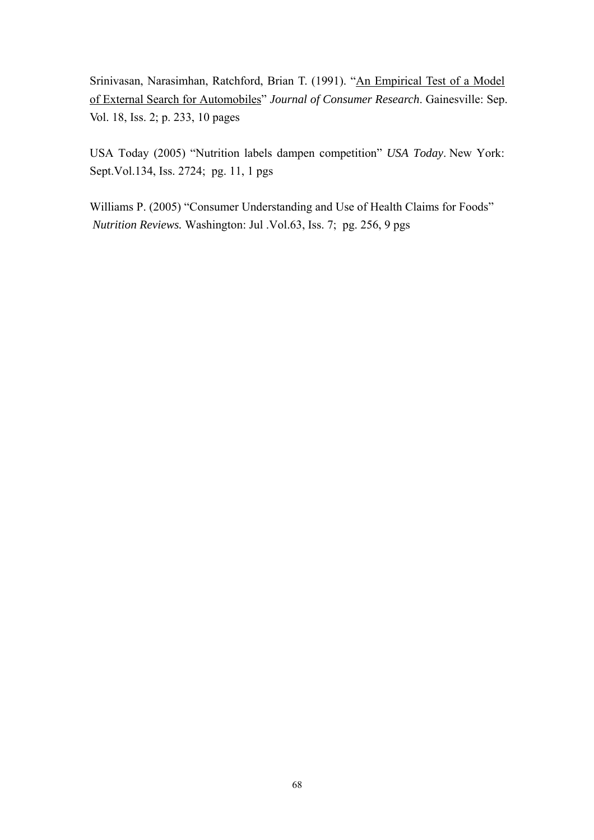Srinivasan, Narasimhan, Ratchford, Brian T. (1991). "An Empirical Test of a Model of External Search for Automobiles" *Journal of Consumer Research*. Gainesville: Sep. Vol. 18, Iss. 2; p. 233, 10 pages

USA Today (2005) "Nutrition labels dampen competition" *USA Today*. New York: Sept.Vol.134, Iss. 2724; pg. 11, 1 pgs

Williams P. (2005) "Consumer Understanding and Use of Health Claims for Foods" *Nutrition Reviews.* Washington: Jul .Vol.63, Iss. 7; pg. 256, 9 pgs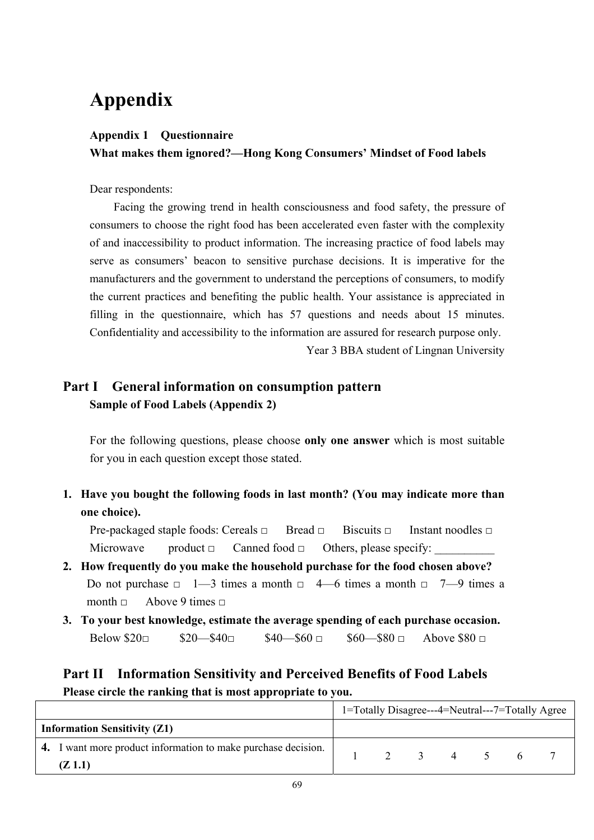# **Appendix**

# **Appendix 1 Questionnaire What makes them ignored?—Hong Kong Consumers' Mindset of Food labels**

Dear respondents:

 Facing the growing trend in health consciousness and food safety, the pressure of consumers to choose the right food has been accelerated even faster with the complexity of and inaccessibility to product information. The increasing practice of food labels may serve as consumers' beacon to sensitive purchase decisions. It is imperative for the manufacturers and the government to understand the perceptions of consumers, to modify the current practices and benefiting the public health. Your assistance is appreciated in filling in the questionnaire, which has 57 questions and needs about 15 minutes. Confidentiality and accessibility to the information are assured for research purpose only.

Year 3 BBA student of Lingnan University

# **Part I General information on consumption pattern Sample of Food Labels (Appendix 2)**

For the following questions, please choose **only one answer** which is most suitable for you in each question except those stated.

**1. Have you bought the following foods in last month? (You may indicate more than one choice).** 

Pre-packaged staple foods: Cereals □ Bread □ Biscuits □ Instant noodles □ Microwave product  $\Box$  Canned food  $\Box$  Others, please specify:

- **2. How frequently do you make the household purchase for the food chosen above?**  Do not purchase  $\Box$  1—3 times a month  $\Box$  4—6 times a month  $\Box$  7—9 times a month  $\Box$  Above 9 times  $\Box$
- **3. To your best knowledge, estimate the average spending of each purchase occasion.**  Below  $20 \Box$   $20 - 340 \Box$   $340 - 560 \Box$   $360 - 380 \Box$  Above  $880 \Box$

# **Part II Information Sensitivity and Perceived Benefits of Food Labels Please circle the ranking that is most appropriate to you.**

|                                                               |             |  |  | 1=Totally Disagree---4=Neutral---7=Totally Agree |
|---------------------------------------------------------------|-------------|--|--|--------------------------------------------------|
| <b>Information Sensitivity (Z1)</b>                           |             |  |  |                                                  |
| 4. I want more product information to make purchase decision. | 2 3 4 5 6 7 |  |  |                                                  |
| (Z 1.1)                                                       |             |  |  |                                                  |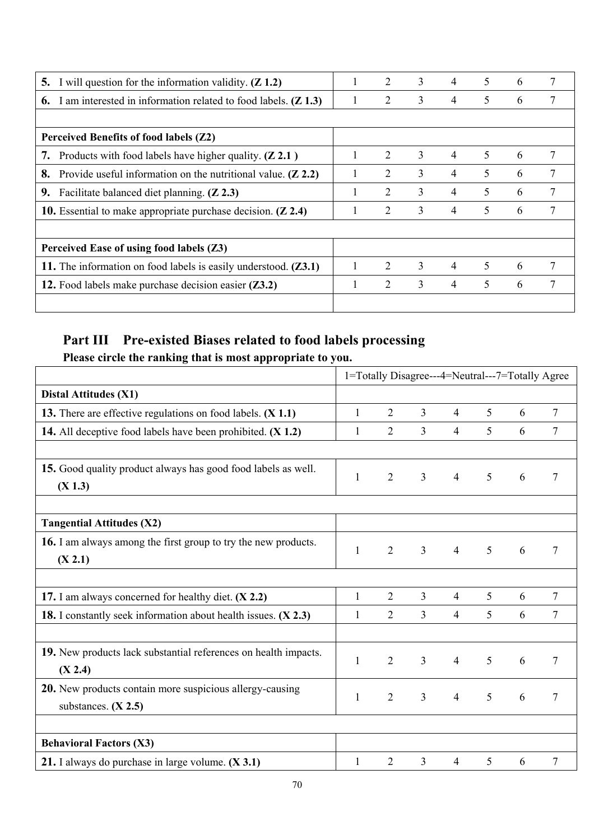| 5. | I will question for the information validity. $(Z 1.2)$                  |   | 2                           | 3 | 4              | 5 | 6 |   |
|----|--------------------------------------------------------------------------|---|-----------------------------|---|----------------|---|---|---|
| 6. | I am interested in information related to food labels. $(Z 1.3)$         |   | 2                           | 3 | 4              | 5 | 6 |   |
|    |                                                                          |   |                             |   |                |   |   |   |
|    | Perceived Benefits of food labels (Z2)                                   |   |                             |   |                |   |   |   |
| 7. | Products with food labels have higher quality. $(Z 2.1)$                 |   | 2                           | 3 | $\overline{4}$ | 5 | 6 | 7 |
| 8. | Provide useful information on the nutritional value. $(Z 2.2)$           | 1 | 2                           | 3 | 4              | 5 | 6 | 7 |
| 9. | Facilitate balanced diet planning. (Z 2.3)                               |   | 2                           | 3 | 4              | 5 | 6 | 7 |
|    | 10. Essential to make appropriate purchase decision. $(Z 2.4)$           |   | 2                           | 3 | 4              | 5 | 6 |   |
|    |                                                                          |   |                             |   |                |   |   |   |
|    | Perceived Ease of using food labels (Z3)                                 |   |                             |   |                |   |   |   |
|    | 11. The information on food labels is easily understood. ( <b>Z3.1</b> ) |   | $\mathcal{D}_{\mathcal{L}}$ | 3 | $\overline{4}$ | 5 | 6 | 7 |
|    | 12. Food labels make purchase decision easier ( <b>Z3.2</b> )            |   | 2                           | 3 | 4              | 5 | 6 | 7 |
|    |                                                                          |   |                             |   |                |   |   |   |

# **Part III Pre-existed Biases related to food labels processing**

|                                                                                                                       | 1=Totally Disagree---4=Neutral---7=Totally Agree |                |                |                |   |   |                |
|-----------------------------------------------------------------------------------------------------------------------|--------------------------------------------------|----------------|----------------|----------------|---|---|----------------|
| <b>Distal Attitudes (X1)</b>                                                                                          |                                                  |                |                |                |   |   |                |
| 13. There are effective regulations on food labels. (X 1.1)                                                           | $\mathbf{1}$                                     | $\overline{2}$ | 3              | $\overline{4}$ | 5 | 6 | 7              |
| 14. All deceptive food labels have been prohibited. (X 1.2)                                                           | $\mathbf{1}$                                     | $\overline{2}$ | $\overline{3}$ | 4              | 5 | 6 | 7              |
| 15. Good quality product always has good food labels as well.<br>(X 1.3)                                              | $\mathbf{1}$                                     | $\overline{2}$ | $\overline{3}$ | $\overline{4}$ | 5 | 6 | 7              |
| <b>Tangential Attitudes (X2)</b>                                                                                      |                                                  |                |                |                |   |   |                |
| 16. I am always among the first group to try the new products.<br>(X 2.1)                                             | $\mathbf{1}$                                     | $\overline{2}$ | $\overline{3}$ | $\overline{4}$ | 5 | 6 | 7              |
|                                                                                                                       | $\mathbf{1}$                                     | $\overline{2}$ | $\overline{3}$ | $\overline{4}$ | 5 | 6 | 7              |
| 17. I am always concerned for healthy diet. (X 2.2)<br>18. I constantly seek information about health issues. (X 2.3) | 1                                                | $\overline{2}$ | 3              | 4              | 5 | 6 | 7              |
| 19. New products lack substantial references on health impacts.<br>(X 2.4)                                            | $\mathbf{1}$                                     | $\overline{2}$ | $\overline{3}$ | $\overline{4}$ | 5 | 6 | $\overline{7}$ |
| <b>20.</b> New products contain more suspicious allergy-causing<br>substances. $(X 2.5)$                              | $\mathbf{1}$                                     | $\overline{2}$ | $\overline{3}$ | $\overline{4}$ | 5 | 6 | 7              |
| <b>Behavioral Factors (X3)</b>                                                                                        |                                                  |                |                |                |   |   |                |
| 21. I always do purchase in large volume. $(X 3.1)$                                                                   | 1                                                | $\overline{2}$ | 3              | $\overline{4}$ | 5 | 6 | 7              |

**Please circle the ranking that is most appropriate to you.**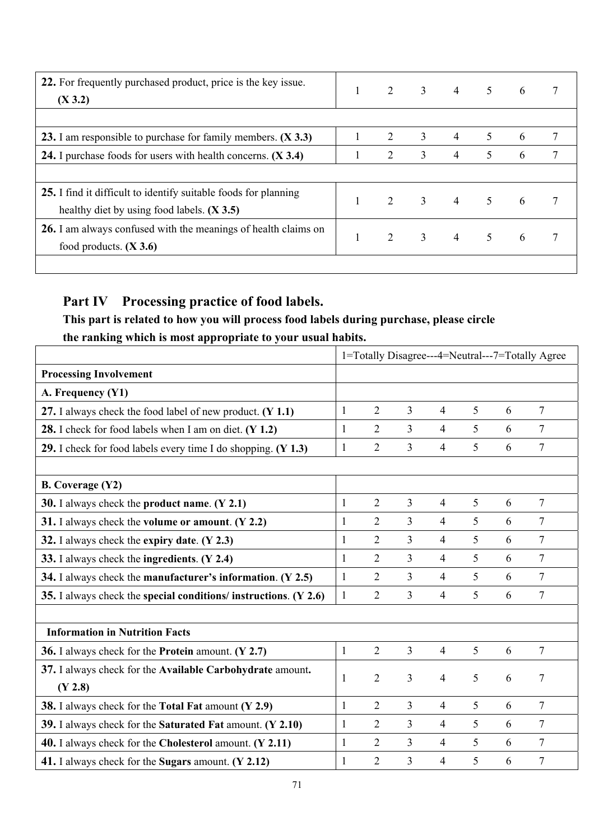| 22. For frequently purchased product, price is the key issue.<br>(X 3.2) | 2 3            |                           | $4 \quad 5 \quad 6$ |                 |                 |   |
|--------------------------------------------------------------------------|----------------|---------------------------|---------------------|-----------------|-----------------|---|
|                                                                          |                |                           |                     |                 |                 |   |
| 23. I am responsible to purchase for family members. (X 3.3)             | 2              | 3                         | $\overline{4}$      | 5               | 6               | 7 |
| 24. I purchase foods for users with health concerns. (X 3.4)             | 2              | 3                         | $\overline{4}$      | 5               | 6               |   |
|                                                                          |                |                           |                     |                 |                 |   |
| 25. I find it difficult to identify suitable foods for planning          | 2 3            |                           | $\overline{4}$      |                 | $6\overline{6}$ |   |
| healthy diet by using food labels. $(X 3.5)$                             |                |                           |                     | $5\overline{)}$ |                 |   |
| 26. I am always confused with the meanings of health claims on           |                |                           |                     |                 |                 |   |
| food products. $(X 3.6)$                                                 | $\overline{2}$ | $\overline{\phantom{a}3}$ | $\overline{4}$      | $5\overline{)}$ | $6\overline{6}$ |   |
|                                                                          |                |                           |                     |                 |                 |   |

# **Part IV Processing practice of food labels.**

# **This part is related to how you will process food labels during purchase, please circle the ranking which is most appropriate to your usual habits.**

|                                                                    | 1=Totally Disagree---4=Neutral---7=Totally Agree |                |                |                |   |   |                 |  |
|--------------------------------------------------------------------|--------------------------------------------------|----------------|----------------|----------------|---|---|-----------------|--|
| <b>Processing Involvement</b>                                      |                                                  |                |                |                |   |   |                 |  |
| A. Frequency (Y1)                                                  |                                                  |                |                |                |   |   |                 |  |
| 27. I always check the food label of new product. (Y 1.1)          | $\mathbf{1}$                                     | $\overline{2}$ | $\overline{3}$ | $\overline{4}$ | 5 | 6 | 7               |  |
| 28. I check for food labels when I am on diet. (Y 1.2)             | $\mathbf{1}$                                     | $\overline{2}$ | $\overline{3}$ | $\overline{4}$ | 5 | 6 | $7\phantom{.0}$ |  |
| 29. I check for food labels every time I do shopping. (Y 1.3)      | $\mathbf{1}$                                     | $\overline{2}$ | $\overline{3}$ | $\overline{4}$ | 5 | 6 | $\overline{7}$  |  |
|                                                                    |                                                  |                |                |                |   |   |                 |  |
| <b>B.</b> Coverage (Y2)                                            |                                                  |                |                |                |   |   |                 |  |
| 30. I always check the product name. $(Y 2.1)$                     | $\mathbf{1}$                                     | $\overline{2}$ | $\overline{3}$ | $\overline{4}$ | 5 | 6 | 7               |  |
| 31. I always check the volume or amount. $(Y 2.2)$                 | $\mathbf{1}$                                     | $\overline{2}$ | 3              | $\overline{4}$ | 5 | 6 | 7               |  |
| 32. I always check the expiry date. $(Y 2.3)$                      | $\mathbf{1}$                                     | $\overline{2}$ | 3              | $\overline{4}$ | 5 | 6 | 7               |  |
| 33. I always check the ingredients. (Y 2.4)                        | $\mathbf{1}$                                     | $\overline{2}$ | 3              | $\overline{4}$ | 5 | 6 | 7               |  |
| 34. I always check the manufacturer's information. (Y 2.5)         | 1                                                | $\overline{2}$ | 3              | $\overline{4}$ | 5 | 6 | 7               |  |
| 35. I always check the special conditions/ instructions. $(Y 2.6)$ | $\mathbf{1}$                                     | $\overline{2}$ | $\overline{3}$ | $\overline{4}$ | 5 | 6 | 7               |  |
|                                                                    |                                                  |                |                |                |   |   |                 |  |
| <b>Information in Nutrition Facts</b>                              |                                                  |                |                |                |   |   |                 |  |
| 36. I always check for the Protein amount. (Y 2.7)                 | $\mathbf{1}$                                     | $\overline{2}$ | $\overline{3}$ | $\overline{4}$ | 5 | 6 | 7               |  |
| 37. I always check for the Available Carbohydrate amount.          | $\mathbf{1}$                                     | $\overline{2}$ | 3              | 4              | 5 | 6 | 7               |  |
| (Y 2.8)                                                            |                                                  |                |                |                |   |   |                 |  |
| 38. I always check for the Total Fat amount (Y 2.9)                | $\mathbf{1}$                                     | $\overline{2}$ | 3              | $\overline{4}$ | 5 | 6 | 7               |  |
| 39. I always check for the Saturated Fat amount. (Y 2.10)          | $\mathbf{1}$                                     | $\overline{2}$ | $\overline{3}$ | $\overline{4}$ | 5 | 6 | 7               |  |
| 40. I always check for the Cholesterol amount. (Y 2.11)            | $\mathbf{1}$                                     | $\overline{2}$ | 3              | $\overline{4}$ | 5 | 6 | 7               |  |
| 41. I always check for the Sugars amount. (Y 2.12)                 | $\mathbf{1}$                                     | $\overline{2}$ | 3              | 4              | 5 | 6 | 7               |  |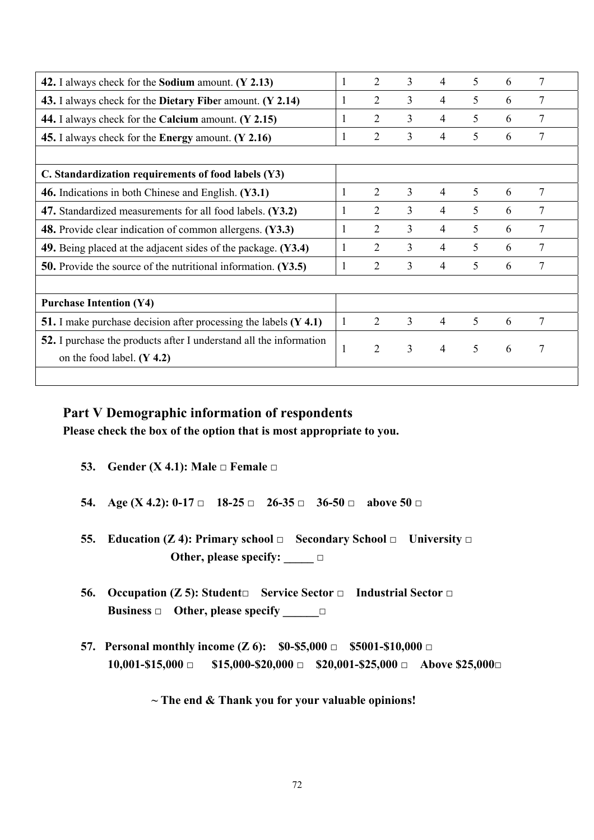| 42. I always check for the <b>Sodium</b> amount. (Y 2.13)                 | 1            | 2              | 3              | 4              | 5 | 6 | 7 |
|---------------------------------------------------------------------------|--------------|----------------|----------------|----------------|---|---|---|
| 43. I always check for the Dietary Fiber amount. (Y 2.14)                 | 1            | 2              | 3              | 4              | 5 | 6 | 7 |
| 44. I always check for the Calcium amount. (Y 2.15)                       | 1            | 2              | 3              | 4              | 5 | 6 | 7 |
| 45. I always check for the Energy amount. (Y 2.16)                        | 1            | $\overline{2}$ | $\overline{3}$ | 4              | 5 | 6 | 7 |
|                                                                           |              |                |                |                |   |   |   |
| C. Standardization requirements of food labels (Y3)                       |              |                |                |                |   |   |   |
| 46. Indications in both Chinese and English. (Y3.1)                       | 1            | 2              | 3              | $\overline{4}$ | 5 | 6 | 7 |
| 47. Standardized measurements for all food labels. (Y3.2)                 | 1            | $\overline{2}$ | $\overline{3}$ | 4              | 5 | 6 | 7 |
| <b>48.</b> Provide clear indication of common allergens. (Y3.3)           | 1            | $\overline{2}$ | 3              | 4              | 5 | 6 | 7 |
| 49. Being placed at the adjacent sides of the package. (Y3.4)             | 1            | 2              | 3              | 4              | 5 | 6 | 7 |
| <b>50.</b> Provide the source of the nutritional information. (Y3.5)      | 1            | $\overline{2}$ | $\overline{3}$ | 4              | 5 | 6 | 7 |
|                                                                           |              |                |                |                |   |   |   |
| <b>Purchase Intention (Y4)</b>                                            |              |                |                |                |   |   |   |
| <b>51.</b> I make purchase decision after processing the labels $(Y 4.1)$ | $\mathbf{1}$ | 2              | 3              | $\overline{4}$ | 5 | 6 | 7 |
| 52. I purchase the products after I understand all the information        |              | $\overline{2}$ | 3              | $\overline{4}$ | 5 |   | 7 |
| on the food label. $(Y 4.2)$                                              | $\mathbf{1}$ |                |                |                |   | 6 |   |
|                                                                           |              |                |                |                |   |   |   |

## **Part V Demographic information of respondents**

**Please check the box of the option that is most appropriate to you.** 

- **53. Gender (X 4.1): Male**  $\Box$  **Female**  $\Box$
- **54. Age (X 4.2): 0-17 □ 18-25 □ 26-35 □ 36-50 □ above 50 □**
- **55. Education (Z 4): Primary school**  $\Box$  **<b>Secondary School**  $\Box$  University  $\Box$  **Other, please specify: \_\_\_\_\_ □**
- **56. Occupation (Z 5): Student□ Service Sector □ Industrial Sector □ Business □ Other, please specify \_\_\_\_\_\_□**
- **57. Personal monthly income (Z 6): \$0-\$5,000 □ \$5001-\$10,000 □ 10,001-\$15,000 □ \$15,000-\$20,000 □ \$20,001-\$25,000 □ Above \$25,000□**

#### **~ The end & Thank you for your valuable opinions!**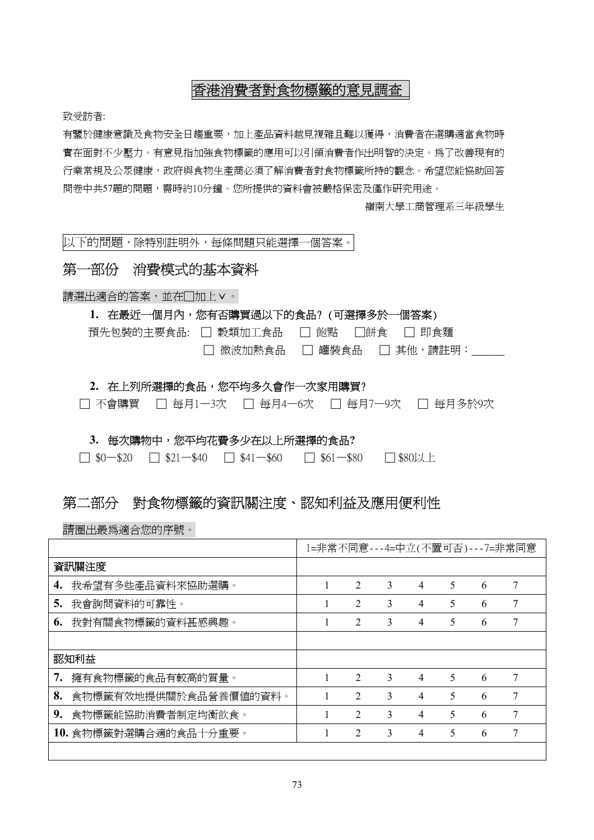# 香港消費者對食物標籤的意見調查

致受訪者:

有鑒於健康意識及食物安全日趨重要,加上產品資料越見複雜且難以獲得,消費者在選購適當食物時 實在面對不少壓力。有意見指加強食物標籤的應用可以引領消費者作出明智的決定。為了改善現有的 行業常規及公眾健康,政府與食物生產商必須了解消費者對食物標籤所持的觀念。希望您能協助回答 問卷中共57題的問題,需時約10分鐘。您所提供的資料會被嚴格保密及僅作研究用途。

嶺南大學工商管理系三年級學生

以下的問題,除特別註明外,每條問題只能選擇一個答案。

## 第一部份消費模式的基本資料

請選出適合的答案,並在□加上∨。

#### **1.** 在最近一個月內,您有否購買過以下的食品? (可選擇多於一個答案)

| 預先包裝的主要食品: □ 穀類加工食品 □ 飽點 □餅食 □ 即食麵 |                           |  |
|------------------------------------|---------------------------|--|
|                                    | □ 微波加熱食品 □ 罐裝食品 □ 其他,請註明: |  |

#### 2. 在上列所選擇的食品,您平均多久會作一次家用購買?

□ 不會購買 □ 每月1-3次 □ 每月4-6次 □ 每月7-9次 □ 每月多於9次

#### **3.** 每次購物中,您平均花費多少在以上所選擇的食品**?**

|  | $\Box$ \$61-\$80<br>$-$ \$41-\$60<br>$\Box$ \$0-\$20<br>$\Box$ \$21-\$40 | □ \$80以上 |
|--|--------------------------------------------------------------------------|----------|
|--|--------------------------------------------------------------------------|----------|

## 第二部分對食物標籤的資訊關注度、認知利益及應用便利性

請圈出最為適合您的序號。

|    |                       | 1=非常不同意---4=中立(不置可否)---7=非常同意 |                |   |                |   |   |   |
|----|-----------------------|-------------------------------|----------------|---|----------------|---|---|---|
|    | 資訊關注度                 |                               |                |   |                |   |   |   |
| 4. | 我希望有多些產品資料來協助選購。      |                               | $\overline{2}$ | 3 | 4              | 5 | 6 | 7 |
| 5. | 我會詢問資料的可靠性。           |                               | $\overline{2}$ | 3 | 4              | 5 | 6 | 7 |
| 6. | 我對有關食物標籤的資料甚感興趣。      |                               | $\overline{2}$ | 3 | 4              | 5 | 6 | 7 |
|    |                       |                               |                |   |                |   |   |   |
|    | 認知利益                  |                               |                |   |                |   |   |   |
| 7. | 擁有食物標籤的食品有較高的質量。      |                               | $\overline{2}$ | 3 | $\overline{4}$ | 5 | 6 | 7 |
| 8. | 食物標籤有效地提供關於食品營養價值的資料。 |                               | $\mathfrak{D}$ | 3 | 4              | 5 | 6 | 7 |
| 9. | 食物標籤能協助消費者制定均衡飲食。     |                               | $\mathfrak{D}$ | 3 | 4              | 5 | 6 | 7 |
|    | 10. 食物標籤對選購合適的食品十分重要。 |                               | $\overline{2}$ | 3 | 4              | 5 | 6 |   |
|    |                       |                               |                |   |                |   |   |   |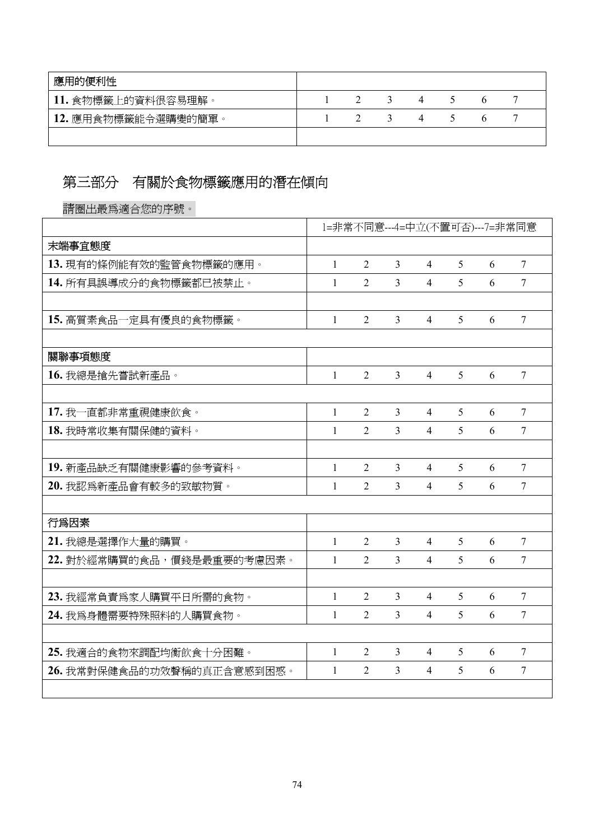| 應用的便利性             |  |  |  |  |
|--------------------|--|--|--|--|
| 11. 食物標籤上的資料很容易理解。 |  |  |  |  |
| 12. 應用食物標籤能令選購變的簡單 |  |  |  |  |
|                    |  |  |  |  |

# 第三部分有關於食物標籤應用的潛在傾向

請圈出最為適合您的序號。

|                            | 1=非常不同意---4=中立(不置可否)---7=非常同意 |                |                |                          |   |   |                          |
|----------------------------|-------------------------------|----------------|----------------|--------------------------|---|---|--------------------------|
| 末端事宜態度                     |                               |                |                |                          |   |   |                          |
| 13. 現有的條例能有效的監管食物標籤的應用。    | $\mathbf{1}$                  | $\overline{2}$ | $\overline{3}$ | $\overline{4}$           | 5 | 6 | $\overline{7}$           |
| 14. 所有具誤導成分的食物標籤都已被禁止。     | $\mathbf{1}$                  | $\overline{2}$ | $\overline{3}$ | $\overline{4}$           | 5 | 6 | $\overline{\mathcal{I}}$ |
|                            |                               |                |                |                          |   |   |                          |
| 15. 高質素食品一定具有優良的食物標籤。      | $\mathbf{1}$                  | $\overline{2}$ | $\overline{3}$ | $\overline{4}$           | 5 | 6 | $\overline{7}$           |
|                            |                               |                |                |                          |   |   |                          |
| 關聯事項態度                     |                               |                |                |                          |   |   |                          |
| 16. 我總是搶先嘗試新產品。            | 1                             | $\overline{2}$ | 3              | $\overline{4}$           | 5 | 6 | 7                        |
|                            |                               |                |                |                          |   |   |                          |
| 17. 我一直都非常重視健康飲食。          | 1                             | $\overline{2}$ | $\overline{3}$ | $\overline{4}$           | 5 | 6 | 7                        |
| 18. 我時常收集有關保健的資料。          | 1                             | 2              | $\overline{3}$ | $\overline{4}$           | 5 | 6 | 7                        |
|                            |                               |                |                |                          |   |   |                          |
| 19. 新產品缺乏有關健康影響的參考資料。      | $\mathbf{1}$                  | $\overline{2}$ | $\overline{3}$ | $\overline{4}$           | 5 | 6 | $\tau$                   |
| 20. 我認爲新產品會有較多的致敏物質。       | $\mathbf{1}$                  | $\overline{2}$ | $\overline{3}$ | $\overline{4}$           | 5 | 6 | $\overline{7}$           |
|                            |                               |                |                |                          |   |   |                          |
| 行爲因素                       |                               |                |                |                          |   |   |                          |
| 21. 我總是選擇作大量的購買。           | $\mathbf{1}$                  | $\overline{2}$ | 3              | $\overline{4}$           | 5 | 6 | 7                        |
| 22. 對於經常購買的食品,價錢是最重要的考慮因素。 | 1                             | $\overline{2}$ | $\overline{3}$ | $\overline{4}$           | 5 | 6 | 7                        |
|                            |                               |                |                |                          |   |   |                          |
| 23. 我經常負責爲家人購買平日所需的食物。     | 1                             | $\overline{2}$ | $\overline{3}$ | $\overline{4}$           | 5 | 6 | 7                        |
| 24. 我為身體需要特殊照料的人購買食物。      | 1                             | $\overline{2}$ | $\overline{3}$ | $\overline{\mathcal{A}}$ | 5 | 6 | 7                        |
|                            |                               |                |                |                          |   |   |                          |
| 25. 我適合的食物來調配均衡飲食十分困難。     | $\mathbf{1}$                  | $\overline{2}$ | $\overline{3}$ | 4                        | 5 | 6 | $\overline{7}$           |
| 26. 我常對保健食品的功效聲稱的真正含意感到困惑。 | 1                             | $\overline{2}$ | $\overline{3}$ | $\overline{4}$           | 5 | 6 | $\overline{7}$           |
|                            |                               |                |                |                          |   |   |                          |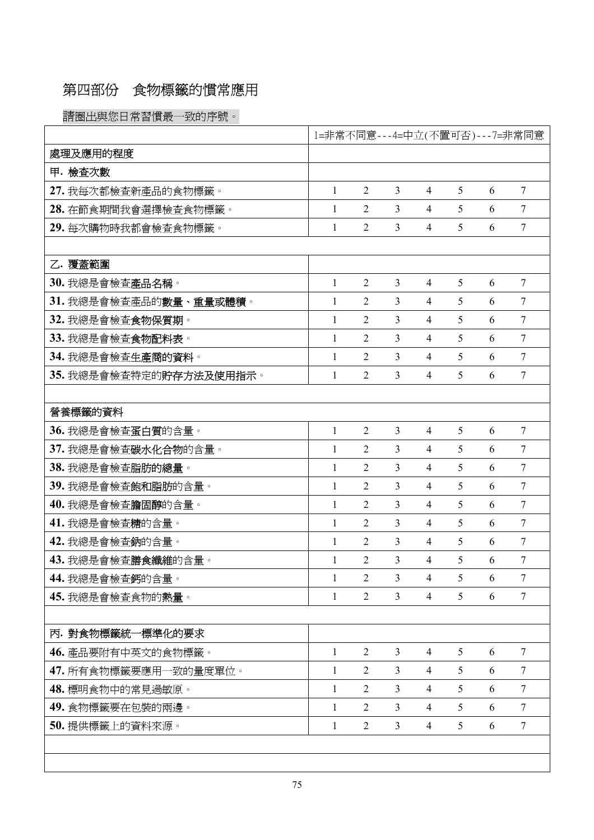# 第四部份食物標籤的慣常應用

請圈出與您日常習慣最一致的序號。

|                                 | 1=非常不同意---4=中立(不置可否)---7=非常同意 |                |                |                |   |   |                |
|---------------------------------|-------------------------------|----------------|----------------|----------------|---|---|----------------|
| 處理及應用的程度                        |                               |                |                |                |   |   |                |
| 甲. 檢查次數                         |                               |                |                |                |   |   |                |
| 27. 我每次都檢查新產品的食物標籤。             | $\mathbf{1}$                  | $\overline{2}$ | 3              | 4              | 5 | 6 | $\overline{7}$ |
| 28. 在節食期間我會選擇檢查食物標籤。            | $\mathbf{1}$                  | $\overline{2}$ | 3              | $\overline{4}$ | 5 | 6 | $\overline{7}$ |
| 29. 每次購物時我都會檢查食物標籤。             | $\mathbf{1}$                  | $\overline{2}$ | 3              | $\overline{4}$ | 5 | 6 | $\overline{7}$ |
|                                 |                               |                |                |                |   |   |                |
| 乙. 覆蓋範圍                         |                               |                |                |                |   |   |                |
| 30. 我總是會檢查產品名稱。                 | $\mathbf{1}$                  | $\overline{2}$ | 3              | $\overline{4}$ | 5 | 6 | 7              |
| 31. 我總是會檢查產品的數量、重量或體積。          | 1                             | $\overline{2}$ | 3              | $\overline{4}$ | 5 | 6 | $\tau$         |
| 32. 我總是會檢查食物保質期。                | $\mathbf{1}$                  | $\overline{2}$ | 3              | $\overline{4}$ | 5 | 6 | 7              |
| 33. 我總是會檢查食物配料表。                | 1                             | $\overline{2}$ | $\overline{3}$ | 4              | 5 | 6 | $\overline{7}$ |
| 34. 我總是會檢查生產商的資料。               | 1                             | $\overline{2}$ | 3              | 4              | 5 | 6 | $\tau$         |
| 35. 我總是會檢查特定的貯存方法及使用指示。         | 1                             | $\overline{2}$ | 3              | 4              | 5 | 6 | 7              |
|                                 |                               |                |                |                |   |   |                |
| 營養標籤的資料                         |                               |                |                |                |   |   |                |
| 36. 我總是會檢查蛋白質的含量。               | $\mathbf{1}$                  | $\overline{2}$ | 3              | $\overline{4}$ | 5 | 6 | $\tau$         |
| 37. 我總是會檢查碳水化合物的含量。             | $\mathbf{1}$                  | $\overline{2}$ | 3              | 4              | 5 | 6 | $\overline{7}$ |
| 38. 我總是會檢查脂肪的總量。                | 1                             | $\overline{2}$ | 3              | $\overline{4}$ | 5 | 6 | $\overline{7}$ |
| 39. 我總是會檢查飽和脂肪的含量。              | $\mathbf{1}$                  | $\overline{2}$ | 3              | $\overline{4}$ | 5 | 6 | $\tau$         |
| 40. 我總是會檢查膽固醇的含量。               | 1                             | $\overline{2}$ | 3              | $\overline{4}$ | 5 | 6 | 7              |
| 41. 我總是會檢查 <b>糖</b> 的含量。        | $\mathbf{1}$                  | $\overline{2}$ | 3              | $\overline{4}$ | 5 | 6 | 7              |
| 42. 我總是會檢查鈉的含量。                 | 1                             | $\overline{2}$ | 3              | 4              | 5 | 6 | 7              |
| 43. 我總是會檢查膳食纖維的含量。              | 1                             | 2              | 3              | 4              | 5 | 6 | 7              |
| <b>44.</b> 我總是會檢查 <b>鈣</b> 的含量。 |                               | 2              | 3              | 4              | 5 | 6 | 7              |
| 45. 我總是會檢查食物的熱量。                | 1                             | $\overline{2}$ | $\overline{3}$ | $\overline{4}$ | 5 | 6 | $\tau$         |
|                                 |                               |                |                |                |   |   |                |
| 丙. 對食物標籤統一標準化的要求                |                               |                |                |                |   |   |                |
| 46. 產品要附有中英文的食物標籤。              | $\mathbf{1}$                  | $\overline{2}$ | $\overline{3}$ | 4              | 5 | 6 | $\overline{7}$ |
| 47. 所有食物標籤要應用一致的量度單位。           | $\mathbf{1}$                  | $\overline{2}$ | $\overline{3}$ | $\overline{4}$ | 5 | 6 | $\tau$         |
| 48. 標明食物中的常見過敏原。                | $\mathbf{1}$                  | $\overline{2}$ | $\overline{3}$ | $\overline{4}$ | 5 | 6 | $\overline{7}$ |
| 49. 食物標籤要在包裝的兩邊。                | $\mathbf{1}$                  | 2              | $\overline{3}$ | $\overline{4}$ | 5 | 6 | $\overline{7}$ |
| 50. 提供標籤上的資料來源。                 | 1                             | $\overline{2}$ | $\overline{3}$ | $\overline{4}$ | 5 | 6 | $\tau$         |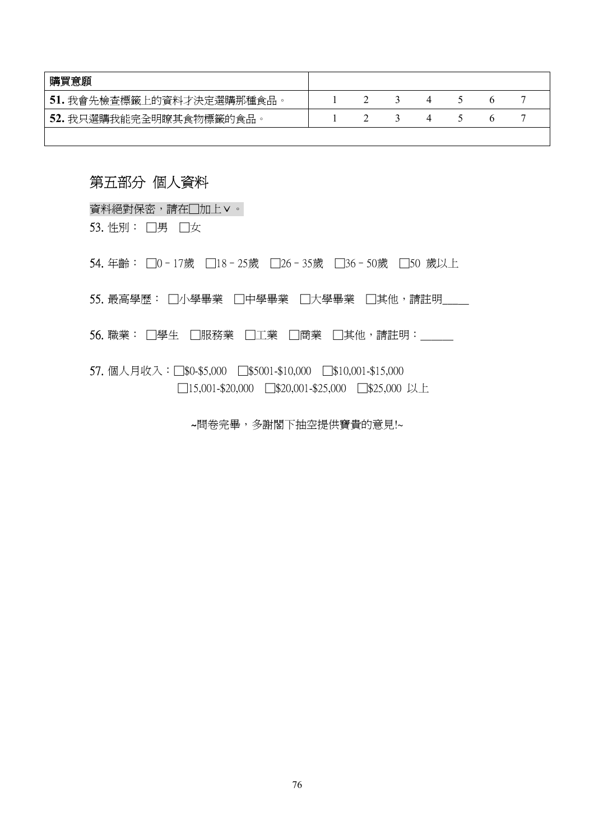| 購買意願                      |  |  |  |  |
|---------------------------|--|--|--|--|
| 51. 我會先檢查標籤上的資料才決定選購那種食品。 |  |  |  |  |
| 52. 我只選購我能完全明瞭其食物標籤的食品。   |  |  |  |  |
|                           |  |  |  |  |

# 第五部分 個人資料

資料絕對保密,請在□加上∨。

53. 性別: □男 □女

54. 年齡: □0-17歲 □18-25歲 □26-35歲 □36-50歲 □50 歲以上

55. 最高學歷: □小學畢業 □中學畢業 □大學畢業 □其他,請註明\_\_

56. 職業: □學生 □服務業 □工業 □商業 □其他,請註明: \_\_\_\_

57. 個人月收入:□\$0-\$5,000 □\$5001-\$10,000 □\$10,001-\$15,000 □15,001-\$20,000 □\$20,001-\$25,000 □\$25,000 以上

~問卷完畢,多謝閣下抽空提供寶貴的意見!~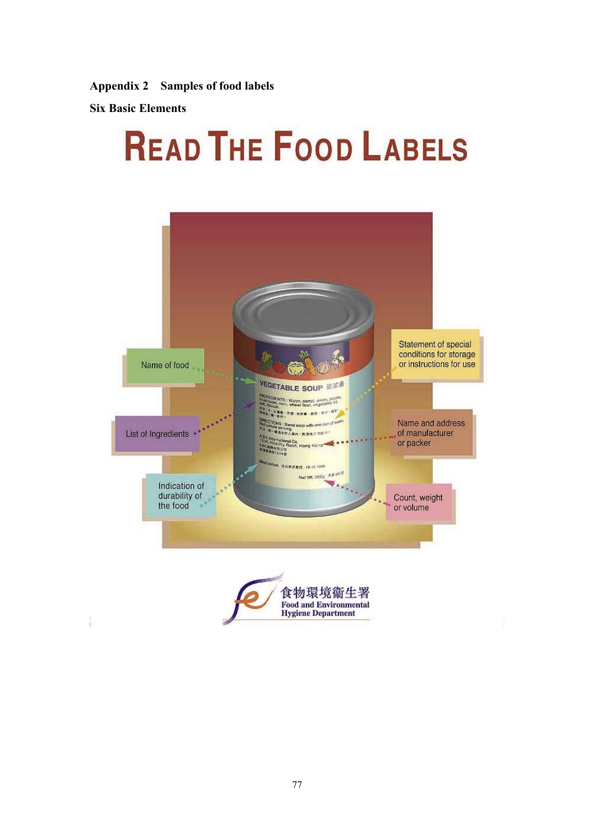**Appendix 2 Samples of food labels** 

**Six Basic Elements** 

# **READ THE FOOD LABELS**